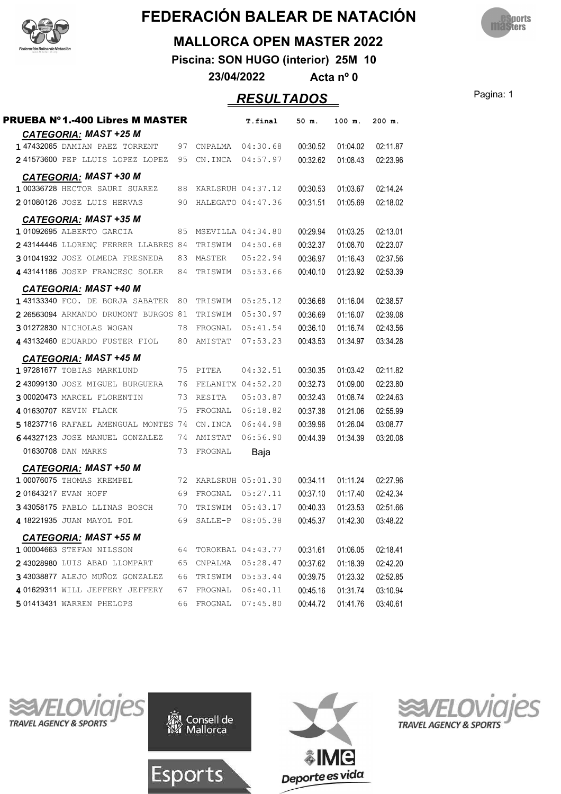



#### **MALLORCA OPEN MASTER 2022**

**Piscina: SON HUGO (interior) 25M 10**

**23/04/2022 Acta nº 0**

### Pagina: 1 *RESULTADOS*

| <b>CATEGORIA: MAST +25 M</b><br>147432065 DAMIAN PAEZ TORRENT<br>00:30.52<br>97<br>04:30.68<br>CNPALMA<br>241573600 PEP LLUIS LOPEZ LOPEZ<br>95<br>04:57.97<br>00:32.62<br>CN.INCA<br><b>CATEGORIA: MAST +30 M</b><br>1 00336728 HECTOR SAURI SUAREZ<br>88<br>KARLSRUH 04:37.12<br>00:30.53<br>201080126 JOSE LUIS HERVAS<br>HALEGATO 04:47.36<br>00:31.51<br>90<br><b>CATEGORIA: MAST +35 M</b><br>101092695 ALBERTO GARCIA<br>00:29.94<br>85 MSEVILLA 04:34.80<br>2 43144446 LLORENÇ FERRER LLABRES 84<br>00:32.37<br>TRISWIM<br>04:50.68<br>301041932 JOSE OLMEDA FRESNEDA<br>00:36.97<br>83 MASTER<br>05:22.94<br>4 43141186 JOSEP FRANCESC SOLER<br>84<br>05:53.66<br>00:40.10<br>TRISWIM<br><b>CATEGORIA: MAST +40 M</b><br>1 43133340 FCO. DE BORJA SABATER<br>00:36.68<br>80<br>05:25.12<br>TRISWIM<br>00:36.69<br>2 26563094 ARMANDO DRUMONT BURGOS 81<br>05:30.97<br>TRISWIM<br>301272830 NICHOLAS WOGAN<br>00:36.10<br>78<br>FROGNAL<br>05:41.54<br>4 43132460 EDUARDO FUSTER FIOL<br>80<br>AMISTAT<br>07:53.23<br>00:43.53<br><b>CATEGORIA: MAST +45 M</b> | 02:11.87<br>01:04.02<br>01:08.43<br>02:23.96<br>01:03.67<br>02:14.24<br>02:18.02<br>01:05.69<br>01:03.25<br>02:13.01<br>02:23.07<br>01:08.70<br>01:16.43<br>02:37.56<br>02:53.39<br>01:23.92<br>01:16.04<br>02:38.57<br>02:39.08<br>01:16.07<br>01:16.74<br>02:43.56<br>01:34.97<br>03:34.28 |
|------------------------------------------------------------------------------------------------------------------------------------------------------------------------------------------------------------------------------------------------------------------------------------------------------------------------------------------------------------------------------------------------------------------------------------------------------------------------------------------------------------------------------------------------------------------------------------------------------------------------------------------------------------------------------------------------------------------------------------------------------------------------------------------------------------------------------------------------------------------------------------------------------------------------------------------------------------------------------------------------------------------------------------------------------------------------|----------------------------------------------------------------------------------------------------------------------------------------------------------------------------------------------------------------------------------------------------------------------------------------------|
|                                                                                                                                                                                                                                                                                                                                                                                                                                                                                                                                                                                                                                                                                                                                                                                                                                                                                                                                                                                                                                                                        |                                                                                                                                                                                                                                                                                              |
|                                                                                                                                                                                                                                                                                                                                                                                                                                                                                                                                                                                                                                                                                                                                                                                                                                                                                                                                                                                                                                                                        |                                                                                                                                                                                                                                                                                              |
|                                                                                                                                                                                                                                                                                                                                                                                                                                                                                                                                                                                                                                                                                                                                                                                                                                                                                                                                                                                                                                                                        |                                                                                                                                                                                                                                                                                              |
|                                                                                                                                                                                                                                                                                                                                                                                                                                                                                                                                                                                                                                                                                                                                                                                                                                                                                                                                                                                                                                                                        |                                                                                                                                                                                                                                                                                              |
|                                                                                                                                                                                                                                                                                                                                                                                                                                                                                                                                                                                                                                                                                                                                                                                                                                                                                                                                                                                                                                                                        |                                                                                                                                                                                                                                                                                              |
|                                                                                                                                                                                                                                                                                                                                                                                                                                                                                                                                                                                                                                                                                                                                                                                                                                                                                                                                                                                                                                                                        |                                                                                                                                                                                                                                                                                              |
|                                                                                                                                                                                                                                                                                                                                                                                                                                                                                                                                                                                                                                                                                                                                                                                                                                                                                                                                                                                                                                                                        |                                                                                                                                                                                                                                                                                              |
|                                                                                                                                                                                                                                                                                                                                                                                                                                                                                                                                                                                                                                                                                                                                                                                                                                                                                                                                                                                                                                                                        |                                                                                                                                                                                                                                                                                              |
|                                                                                                                                                                                                                                                                                                                                                                                                                                                                                                                                                                                                                                                                                                                                                                                                                                                                                                                                                                                                                                                                        |                                                                                                                                                                                                                                                                                              |
|                                                                                                                                                                                                                                                                                                                                                                                                                                                                                                                                                                                                                                                                                                                                                                                                                                                                                                                                                                                                                                                                        |                                                                                                                                                                                                                                                                                              |
|                                                                                                                                                                                                                                                                                                                                                                                                                                                                                                                                                                                                                                                                                                                                                                                                                                                                                                                                                                                                                                                                        |                                                                                                                                                                                                                                                                                              |
|                                                                                                                                                                                                                                                                                                                                                                                                                                                                                                                                                                                                                                                                                                                                                                                                                                                                                                                                                                                                                                                                        |                                                                                                                                                                                                                                                                                              |
|                                                                                                                                                                                                                                                                                                                                                                                                                                                                                                                                                                                                                                                                                                                                                                                                                                                                                                                                                                                                                                                                        |                                                                                                                                                                                                                                                                                              |
|                                                                                                                                                                                                                                                                                                                                                                                                                                                                                                                                                                                                                                                                                                                                                                                                                                                                                                                                                                                                                                                                        |                                                                                                                                                                                                                                                                                              |
|                                                                                                                                                                                                                                                                                                                                                                                                                                                                                                                                                                                                                                                                                                                                                                                                                                                                                                                                                                                                                                                                        |                                                                                                                                                                                                                                                                                              |
|                                                                                                                                                                                                                                                                                                                                                                                                                                                                                                                                                                                                                                                                                                                                                                                                                                                                                                                                                                                                                                                                        |                                                                                                                                                                                                                                                                                              |
|                                                                                                                                                                                                                                                                                                                                                                                                                                                                                                                                                                                                                                                                                                                                                                                                                                                                                                                                                                                                                                                                        |                                                                                                                                                                                                                                                                                              |
| 197281677 TOBIAS MARKLUND<br>04:32.51<br>00:30.35<br>75<br>PITEA                                                                                                                                                                                                                                                                                                                                                                                                                                                                                                                                                                                                                                                                                                                                                                                                                                                                                                                                                                                                       | 01:03.42<br>02:11.82                                                                                                                                                                                                                                                                         |
| 2 43099130 JOSE MIGUEL BURGUERA<br>00:32.73<br>76<br>FELANITX 04:52.20                                                                                                                                                                                                                                                                                                                                                                                                                                                                                                                                                                                                                                                                                                                                                                                                                                                                                                                                                                                                 | 02:23.80<br>01:09.00                                                                                                                                                                                                                                                                         |
| 3 00020473 MARCEL FLORENTIN<br>05:03.87<br>00:32.43<br>73<br>RESITA                                                                                                                                                                                                                                                                                                                                                                                                                                                                                                                                                                                                                                                                                                                                                                                                                                                                                                                                                                                                    | 02:24.63<br>01:08.74                                                                                                                                                                                                                                                                         |
| 4 01630707 KEVIN FLACK<br>75<br>06:18.82<br>00:37.38<br>FROGNAL                                                                                                                                                                                                                                                                                                                                                                                                                                                                                                                                                                                                                                                                                                                                                                                                                                                                                                                                                                                                        | 01:21.06<br>02:55.99                                                                                                                                                                                                                                                                         |
| 5 18237716 RAFAEL AMENGUAL MONTES 74<br>00:39.96<br>CN.INCA<br>06:44.98                                                                                                                                                                                                                                                                                                                                                                                                                                                                                                                                                                                                                                                                                                                                                                                                                                                                                                                                                                                                | 01:26.04<br>03:08.77                                                                                                                                                                                                                                                                         |
| 06:56.90<br>00:44.39<br>644327123 JOSE MANUEL GONZALEZ<br>74<br>AMISTAT                                                                                                                                                                                                                                                                                                                                                                                                                                                                                                                                                                                                                                                                                                                                                                                                                                                                                                                                                                                                | 03:20.08<br>01:34.39                                                                                                                                                                                                                                                                         |
| 01630708 DAN MARKS<br>73<br>FROGNAL<br>Baja                                                                                                                                                                                                                                                                                                                                                                                                                                                                                                                                                                                                                                                                                                                                                                                                                                                                                                                                                                                                                            |                                                                                                                                                                                                                                                                                              |
| <b>CATEGORIA: MAST +50 M</b>                                                                                                                                                                                                                                                                                                                                                                                                                                                                                                                                                                                                                                                                                                                                                                                                                                                                                                                                                                                                                                           |                                                                                                                                                                                                                                                                                              |
| 1 00076075 THOMAS KREMPEL<br>00:34.11<br>72<br>KARLSRUH 05:01.30                                                                                                                                                                                                                                                                                                                                                                                                                                                                                                                                                                                                                                                                                                                                                                                                                                                                                                                                                                                                       | 01:11.24<br>02:27.96                                                                                                                                                                                                                                                                         |
| 201643217 EVAN HOFF<br>69<br>00:37.10<br>FROGNAL<br>05:27.11                                                                                                                                                                                                                                                                                                                                                                                                                                                                                                                                                                                                                                                                                                                                                                                                                                                                                                                                                                                                           | 02:42.34<br>01:17.40                                                                                                                                                                                                                                                                         |
| 343058175 PABLO LLINAS BOSCH<br>00:40.33<br>70<br>TRISWIM 05:43.17                                                                                                                                                                                                                                                                                                                                                                                                                                                                                                                                                                                                                                                                                                                                                                                                                                                                                                                                                                                                     | 02:51.66<br>01:23.53                                                                                                                                                                                                                                                                         |
| 4 18221935 JUAN MAYOL POL<br>69<br>SALLE-P<br>08:05.38<br>00:45.37                                                                                                                                                                                                                                                                                                                                                                                                                                                                                                                                                                                                                                                                                                                                                                                                                                                                                                                                                                                                     | 03:48.22<br>01:42.30                                                                                                                                                                                                                                                                         |
| CATEGORIA: MAST +55 M                                                                                                                                                                                                                                                                                                                                                                                                                                                                                                                                                                                                                                                                                                                                                                                                                                                                                                                                                                                                                                                  |                                                                                                                                                                                                                                                                                              |
| 1 00004663 STEFAN NILSSON<br>00:31.61<br>64<br>TOROKBAL 04:43.77                                                                                                                                                                                                                                                                                                                                                                                                                                                                                                                                                                                                                                                                                                                                                                                                                                                                                                                                                                                                       | 01:06.05<br>02:18.41                                                                                                                                                                                                                                                                         |
| 2 43028980 LUIS ABAD LLOMPART<br>00:37.62<br>65<br>CNPALMA<br>05:28.47                                                                                                                                                                                                                                                                                                                                                                                                                                                                                                                                                                                                                                                                                                                                                                                                                                                                                                                                                                                                 | 01:18.39<br>02:42.20                                                                                                                                                                                                                                                                         |
| 3 43038877 ALEJO MUÑOZ GONZALEZ<br>05:53.44<br>00:39.75<br>66<br>TRISWIM                                                                                                                                                                                                                                                                                                                                                                                                                                                                                                                                                                                                                                                                                                                                                                                                                                                                                                                                                                                               | 01:23.32<br>02:52.85                                                                                                                                                                                                                                                                         |
| 4 01629311 WILL JEFFERY JEFFERY<br>00:45.16<br>67<br>FROGNAL<br>06:40.11                                                                                                                                                                                                                                                                                                                                                                                                                                                                                                                                                                                                                                                                                                                                                                                                                                                                                                                                                                                               | 03:10.94<br>01:31.74                                                                                                                                                                                                                                                                         |
| <b>501413431 WARREN PHELOPS</b><br>66<br>FROGNAL<br>07:45.80<br>00:44.72                                                                                                                                                                                                                                                                                                                                                                                                                                                                                                                                                                                                                                                                                                                                                                                                                                                                                                                                                                                               | 03:40.61<br>01:41.76                                                                                                                                                                                                                                                                         |







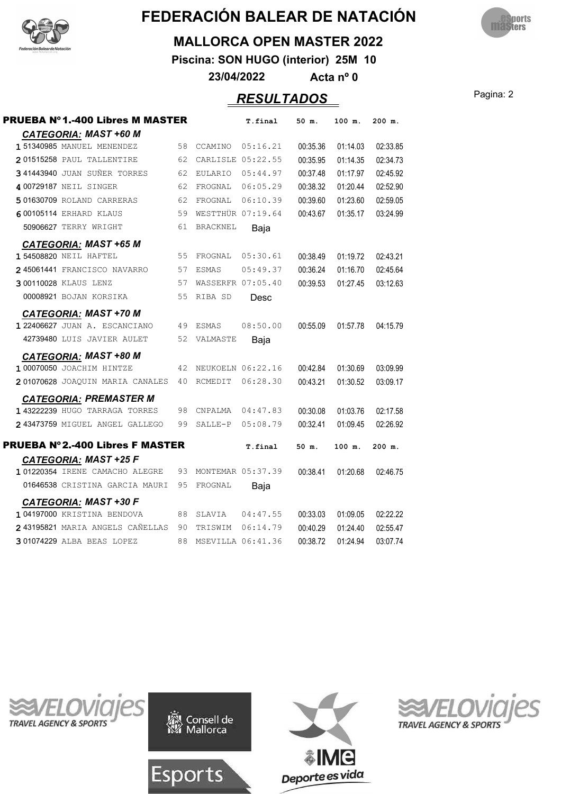



#### **MALLORCA OPEN MASTER 2022**

**Piscina: SON HUGO (interior) 25M 10**

**23/04/2022 Acta nº 0**

#### Pagina: 2 *RESULTADOS*

| <b>PRUEBA Nº1.-400 Libres M MASTER</b> |    |                   | T.final           | 50 m.    | 100 m.   | 200 m.   |
|----------------------------------------|----|-------------------|-------------------|----------|----------|----------|
| <b>CATEGORIA: MAST +60 M</b>           |    |                   |                   |          |          |          |
| 1 51340985 MANUEL MENENDEZ             | 58 | CCAMINO           | 05:16.21          | 00:35.36 | 01:14.03 | 02:33.85 |
| 201515258 PAUL TALLENTIRE              | 62 |                   | CARLISLE 05:22.55 | 00:35.95 | 01:14.35 | 02:34.73 |
| 341443940 JUAN SUÑER TORRES            | 62 |                   | EULARIO 05:44.97  | 00:37.48 | 01:17.97 | 02:45.92 |
| 4 00729187 NEIL SINGER                 | 62 | FROGNAL           | 06:05.29          | 00:38.32 | 01:20.44 | 02:52.90 |
| 501630709 ROLAND CARRERAS              | 62 | FROGNAL           | 06:10.39          | 00:39.60 | 01:23.60 | 02:59.05 |
| <b>600105114 ERHARD KLAUS</b>          | 59 |                   | WESTTHÜR 07:19.64 | 00:43.67 | 01:35.17 | 03:24.99 |
| 50906627 TERRY WRIGHT                  | 61 | BRACKNEL          | Baja              |          |          |          |
| <b>CATEGORIA: MAST +65 M</b>           |    |                   |                   |          |          |          |
| 1 54508820 NEIL HAFTEL                 | 55 | FROGNAL           | 05:30.61          | 00:38.49 | 01:19.72 | 02:43.21 |
| 245061441 FRANCISCO NAVARRO            | 57 | <b>ESMAS</b>      | 05:49.37          | 00:36.24 | 01:16.70 | 02:45.64 |
| 300110028 KLAUS LENZ                   | 57 |                   | WASSERFR 07:05.40 | 00:39.53 | 01:27.45 | 03:12.63 |
| 00008921 BOJAN KORSIKA                 | 55 | RIBA SD           | Desc              |          |          |          |
| <b>CATEGORIA: MAST +70 M</b>           |    |                   |                   |          |          |          |
| 122406627 JUAN A. ESCANCIANO           | 49 | ESMAS             | 08:50.00          | 00:55.09 | 01:57.78 | 04:15.79 |
| 42739480 LUIS JAVIER AULET             | 52 | VALMASTE          | Baja              |          |          |          |
| <b>CATEGORIA: MAST +80 M</b>           |    |                   |                   |          |          |          |
| 1 00070050 JOACHIM HINTZE              | 42 |                   | NEUKOELN 06:22.16 | 00:42.84 | 01:30.69 | 03:09.99 |
| 201070628 JOAQUIN MARIA CANALES        | 40 | RCMEDIT           | 06:28.30          | 00:43.21 | 01:30.52 | 03:09.17 |
| <b>CATEGORIA: PREMASTER M</b>          |    |                   |                   |          |          |          |
| 1 43222239 HUGO TARRAGA TORRES         | 98 | CNPALMA           | 04:47.83          | 00:30.08 | 01:03.76 | 02:17.58 |
| 2 43473759 MIGUEL ANGEL GALLEGO        | 99 | SALLE-P           | 05:08.79          | 00:32.41 | 01:09.45 | 02:26.92 |
| <b>PRUEBA Nº2.-400 Libres F MASTER</b> |    |                   | T.final           | 50 m.    | 100 m.   | 200 m.   |
| <b>CATEGORIA: MAST +25 F</b>           |    |                   |                   |          |          |          |
| 101220354 IRENE CAMACHO ALEGRE         | 93 |                   | MONTEMAR 05:37.39 | 00:38.41 | 01:20.68 | 02:46.75 |
| 01646538 CRISTINA GARCIA MAURI         | 95 | FROGNAL           | Baja              |          |          |          |
| <b>CATEGORIA: MAST +30 F</b>           |    |                   |                   |          |          |          |
| 104197000 KRISTINA BENDOVA             | 88 | SLAVIA            | 04:47.55          | 00:33.03 | 01:09.05 | 02:22.22 |
| 2 43195821 MARIA ANGELS CAÑELLAS 90    |    | TRISWIM           | 06:14.79          | 00:40.29 | 01:24.40 | 02:55.47 |
| 301074229 ALBA BEAS LOPEZ              | 88 | MSEVILLA 06:41.36 |                   | 00:38.72 | 01:24.94 | 03:07.74 |
|                                        |    |                   |                   |          |          |          |







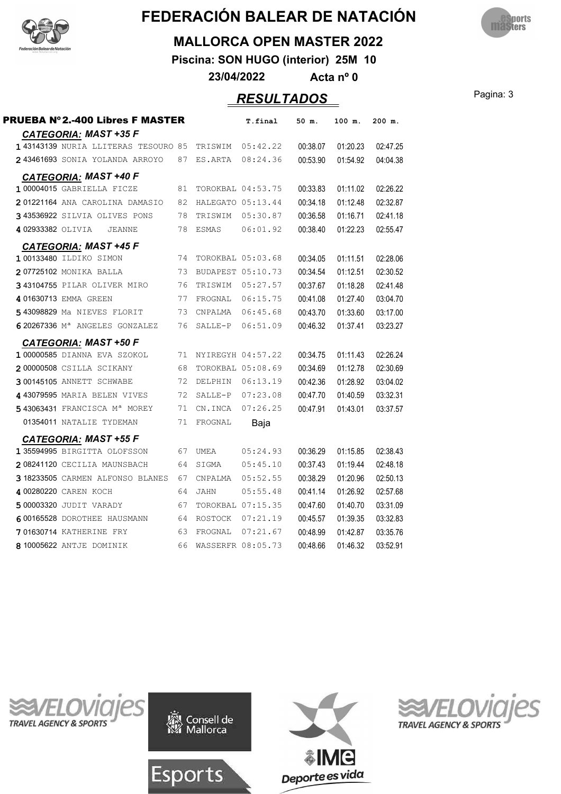



#### **MALLORCA OPEN MASTER 2022**

**Piscina: SON HUGO (interior) 25M 10**

**23/04/2022 Acta nº 0**

#### Pagina: 3 *RESULTADOS*

| <b>PRUEBA Nº 2.-400 Libres F MASTER</b>   |    |                | T.final           | 50 m.    | 100 m.   | 200 m.   |
|-------------------------------------------|----|----------------|-------------------|----------|----------|----------|
| CATEGORIA: MAST +35 F                     |    |                |                   |          |          |          |
| 143143139 NURIA LLITERAS TESOURO 85       |    |                | TRISWIM 05:42.22  | 00:38.07 | 01:20.23 | 02:47.25 |
| 243461693 SONIA YOLANDA ARROYO            | 87 | ES.ARTA        | 08:24.36          | 00:53.90 | 01:54.92 | 04:04.38 |
| <b>CATEGORIA: MAST +40 F</b>              |    |                |                   |          |          |          |
| 100004015 GABRIELLA FICZE                 | 81 |                | TOROKBAL 04:53.75 | 00:33.83 | 01:11.02 | 02:26.22 |
| 201221164 ANA CAROLINA DAMASIO            | 82 |                | HALEGATO 05:13.44 | 00:34.18 | 01:12.48 | 02:32.87 |
| 343536922 SILVIA OLIVES PONS              | 78 | TRISWIM        | 05:30.87          | 00:36.58 | 01:16.71 | 02:41.18 |
| 402933382 OLIVIA<br>JEANNE                | 78 | ESMAS          | 06:01.92          | 00:38.40 | 01:22.23 | 02:55.47 |
| <b>CATEGORIA: MAST +45 F</b>              |    |                |                   |          |          |          |
| 100133480 ILDIKO SIMON                    | 74 |                | TOROKBAL 05:03.68 | 00:34.05 | 01:11.51 | 02:28.06 |
| 207725102 MONIKA BALLA                    | 73 |                | BUDAPEST 05:10.73 | 00:34.54 | 01:12.51 | 02:30.52 |
| 343104755 PILAR OLIVER MIRO               | 76 | TRISWIM        | 05:27.57          | 00:37.67 | 01:18.28 | 02:41.48 |
| 401630713 EMMA GREEN                      | 77 | FROGNAL        | 06:15.75          | 00:41.08 | 01:27.40 | 03:04.70 |
| 5 43098829 Ma NIEVES FLORIT               | 73 | CNPALMA        | 06:45.68          | 00:43.70 | 01:33.60 | 03:17.00 |
| 620267336 M <sup>a</sup> ANGELES GONZALEZ | 76 | SALLE-P        | 06:51.09          | 00:46.32 | 01:37.41 | 03:23.27 |
| <b>CATEGORIA: MAST +50 F</b>              |    |                |                   |          |          |          |
| 100000585 DIANNA EVA SZOKOL               | 71 |                | NYIREGYH 04:57.22 | 00:34.75 | 01:11.43 | 02:26.24 |
| 200000508 CSILLA SCIKANY                  | 68 |                | TOROKBAL 05:08.69 | 00:34.69 | 01:12.78 | 02:30.69 |
| 300145105 ANNETT SCHWABE                  | 72 | DELPHIN        | 06:13.19          | 00:42.36 | 01:28.92 | 03:04.02 |
| 4 43079595 MARIA BELEN VIVES              | 72 | SALLE-P        | 07:23.08          | 00:47.70 | 01:40.59 | 03:32.31 |
| 543063431 FRANCISCA Mª MOREY              | 71 | CN.INCA        | 07:26.25          | 00:47.91 | 01:43.01 | 03:37.57 |
| 01354011 NATALIE TYDEMAN                  | 71 | FROGNAL        | Baja              |          |          |          |
| <b>CATEGORIA: MAST +55 F</b>              |    |                |                   |          |          |          |
| 135594995 BIRGITTA OLOFSSON               | 67 | <b>UMEA</b>    | 05:24.93          | 00:36.29 | 01:15.85 | 02:38.43 |
| 208241120 CECILIA MAUNSBACH               | 64 | SIGMA          | 05:45.10          | 00:37.43 | 01:19.44 | 02:48.18 |
| 3 18233505 CARMEN ALFONSO BLANES          | 67 | CNPALMA        | 05:52.55          | 00:38.29 | 01:20.96 | 02:50.13 |
| 4 00280220 CAREN KOCH                     | 64 | JAHN           | 05:55.48          | 00:41.14 | 01:26.92 | 02:57.68 |
| 5 00003320 JUDIT VARADY                   | 67 |                | TOROKBAL 07:15.35 | 00:47.60 | 01:40.70 | 03:31.09 |
| 600165528 DOROTHEE HAUSMANN               | 64 | <b>ROSTOCK</b> | 07:21.19          | 00:45.57 | 01:39.35 | 03:32.83 |
| <b>701630714 KATHERINE FRY</b>            | 63 | FROGNAL        | 07:21.67          | 00:48.99 | 01:42.87 | 03:35.76 |
| 8 10005622 ANTJE DOMINIK                  | 66 |                | WASSERFR 08:05.73 | 00:48.66 | 01:46.32 | 03:52.91 |
|                                           |    |                |                   |          |          |          |







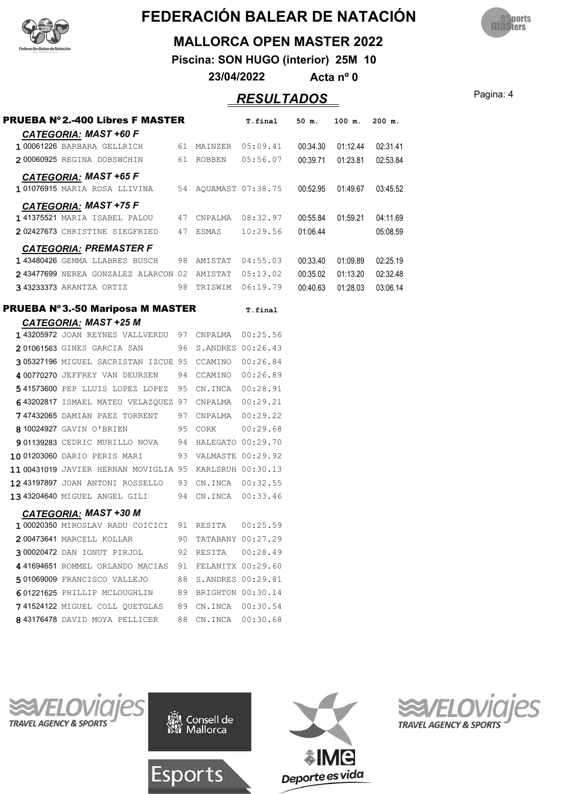



#### **MALLORCA OPEN MASTER 2022**

**Piscina: SON HUGO (interior) 25M 10**

**23/04/2022 Acta nº 0**

#### Pagina: 4 *RESULTADOS*

| <b>PRUEBA Nº2.-400 Libres F MASTER</b>                  |    |                      | T.final             | 50 m.    | 100 m.             | $200$ m. |
|---------------------------------------------------------|----|----------------------|---------------------|----------|--------------------|----------|
| <b>CATEGORIA: MAST +60 F</b>                            |    |                      |                     |          |                    |          |
| 100061226 BARBARA GELLRICH 61 MAINZER 05:09.41 00:34.30 |    |                      |                     |          | 01:12.44           | 02:31.41 |
| 200060925 REGINA DOBSWCHIN 61 ROBBEN 05:56.07           |    |                      |                     |          | 00:39.71  01:23.81 | 02:53.84 |
| <b>CATEGORIA: MAST +65 F</b>                            |    |                      |                     |          |                    |          |
| 101076915 MARIA ROSA LLIVINA 54 AQUAMAST 07:38.75       |    |                      |                     | 00:52.95 | 01:49.67           | 03:45.52 |
| <b>CATEGORIA: MAST +75 F</b>                            |    |                      |                     |          |                    |          |
| 141375521 MARIA ISABEL PALOU                            |    |                      | 47 CNPALMA 08:32.97 | 00:55.84 | 01:59.21           | 04:11.69 |
| 202427673 CHRISTINE SIEGFRIED 47 ESMAS 10:29.56         |    |                      |                     | 01:06.44 |                    | 05:08.59 |
| <b>CATEGORIA: PREMASTER F</b>                           |    |                      |                     |          |                    |          |
| 143480426 GEMMA LLABRES BUSCH 98 AMISTAT 04:55.03       |    |                      |                     | 00:33.40 | 01:09.89           | 02:25.19 |
| 243477699 NEREA GONZALEZ ALARCON 02 AMISTAT 05:13.02    |    |                      |                     | 00:35.02 | 01:13.20           | 02:32.48 |
| 343233373 ARANTZA ORTIZ 98 TRISWIM 06:19.79             |    |                      |                     | 00:40.63 | 01:28.03           | 03:06.14 |
| <b>PRUEBA Nº 3.-50 Mariposa M MASTER</b>                |    |                      | T.final             |          |                    |          |
| <b>CATEGORIA: MAST +25 M</b>                            |    |                      |                     |          |                    |          |
| 143205972 JOAN REYNES VALLVERDU 97 CNPALMA 00:25.56     |    |                      |                     |          |                    |          |
| 201061563 GINES GARCIA SAN                              |    | 96 S.ANDRES 00:26.43 |                     |          |                    |          |
| 305327196 MIGUEL SACRISTAN IZCUE 95 CCAMINO 00:26.84    |    |                      |                     |          |                    |          |
| 4 00770270 JEFFREY VAN DEURSEN 94 CCAMINO 00:26.89      |    |                      |                     |          |                    |          |
| 541573600 PEP LLUIS LOPEZ LOPEZ 95 CN.INCA 00:28.91     |    |                      |                     |          |                    |          |
| 643202817 ISMAEL MATEU VELAZQUEZ 97 CNPALMA 00:29.21    |    |                      |                     |          |                    |          |
| 747432065 DAMIAN PAEZ TORRENT 97 CNPALMA 00:29.22       |    |                      |                     |          |                    |          |
| 8 10024927 GAVIN O'BRIEN<br>95 CORK                     |    |                      | 00:29.68            |          |                    |          |
| 901139283 CEDRIC MURILLO NOVA 94 HALEGATO 00:29.70      |    |                      |                     |          |                    |          |
| 10 01203060 DARIO PERIS MARI                            |    | 93 VALMASTE 00:29.92 |                     |          |                    |          |
| 11 00431019 JAVIER HERNAN MOVIGLIA 95 KARLSRUH 00:30.13 |    |                      |                     |          |                    |          |
| 12 43197897 JOAN ANTONI ROSSELLO 93 CN.INCA 00:32.55    |    |                      |                     |          |                    |          |
| 13 43204640 MIGUEL ANGEL GILI 94 CN. INCA 00:33.46      |    |                      |                     |          |                    |          |
| <b>CATEGORIA: MAST +30 M</b>                            |    |                      |                     |          |                    |          |
| 100020350 MIROSLAV RADU COICICI 91 RESITA 00:25.59      |    |                      |                     |          |                    |          |
| 200473641 MARCELL KOLLAR                                | 90 | TATABANY 00:27.29    |                     |          |                    |          |
| 300020472 DAN IONUT PIRJOL                              | 92 | RESITA               | 00:28.49            |          |                    |          |
| 441694651 ROMMEL ORLANDO MACIAS                         | 91 | FELANITX 00:29.60    |                     |          |                    |          |
| 501069009 FRANCISCO VALLEJO                             | 88 | S.ANDRES 00:29.81    |                     |          |                    |          |
| 601221625 PHILLIP MCLOUGHLIN                            | 89 | BRIGHTON 00:30.14    |                     |          |                    |          |
| 741524122 MIGUEL COLL QUETGLAS                          | 89 | CN.INCA 00:30.54     |                     |          |                    |          |
| 843176478 DAVID MOYA PELLICER                           | 88 | CN.INCA 00:30.68     |                     |          |                    |          |
|                                                         |    |                      |                     |          |                    |          |

**TRAVEL AGENCY & SPORTS** 





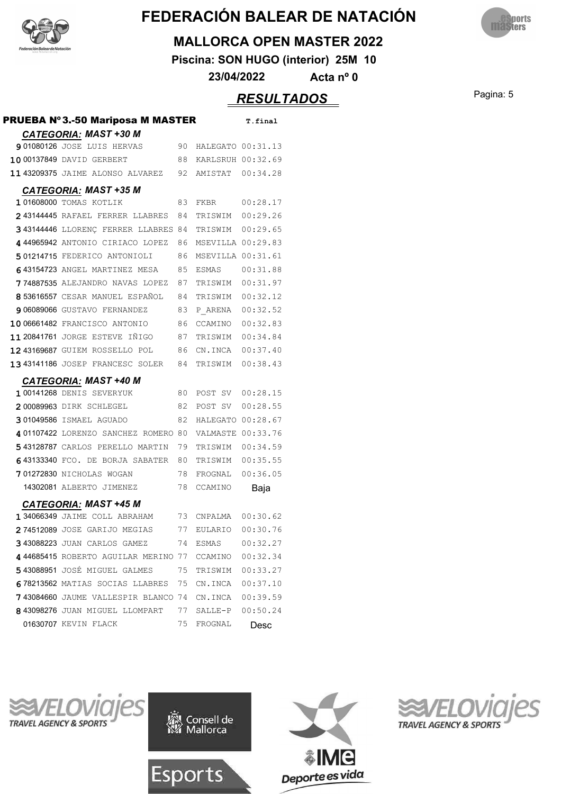



#### **MALLORCA OPEN MASTER 2022**

**Piscina: SON HUGO (interior) 25M 10**

**23/04/2022 Acta nº 0**

### Pagina: 5 *RESULTADOS*

| <b>PRUEBA Nº3.-50 Mariposa M MASTER</b>              |     |                      | T.final  |
|------------------------------------------------------|-----|----------------------|----------|
| <b>CATEGORIA: MAST +30 M</b>                         |     |                      |          |
| <b>901080126</b> JOSE LUIS HERVAS                    | 90  | HALEGATO 00:31.13    |          |
| 10 00137849 DAVID GERBERT                            |     | 88 KARLSRUH 00:32.69 |          |
| 11 43209375 JAIME ALONSO ALVAREZ 92 AMISTAT 00:34.28 |     |                      |          |
| <b>CATEGORIA: MAST +35 M</b>                         |     |                      |          |
| 101608000 TOMAS KOTLIK                               | 83  | FKBR                 | 00:28.17 |
| 243144445 RAFAEL FERRER LLABRES 84                   |     | TRISWIM 00:29.26     |          |
| 343144446 LLORENC FERRER LLABRES 84 TRISWIM 00:29.65 |     |                      |          |
| 444965942 ANTONIO CIRIACO LOPEZ                      | 86  | MSEVILLA 00:29.83    |          |
| 501214715 FEDERICO ANTONIOLI                         | 86  | MSEVILLA 00:31.61    |          |
| 643154723 ANGEL MARTINEZ MESA                        | 85  |                      |          |
| 774887535 ALEJANDRO NAVAS LOPEZ                      | 87  | TRISWIM              | 00:31.97 |
| 853616557 CESAR MANUEL ESPAÑOL                       | 84  | TRISWIM              | 00:32.12 |
| 906089066 GUSTAVO FERNANDEZ                          | 83  | P ARENA              | 00:32.52 |
| 10 06661482 FRANCISCO ANTONIO                        | 86  | CCAMINO 00:32.83     |          |
| 11 20841761 JORGE ESTEVE IÑIGO                       | 87  | TRISWIM 00:34.84     |          |
| 1243169687 GUIEM ROSSELLO POL                        | 86  | CN.INCA 00:37.40     |          |
| 1343141186 JOSEP FRANCESC SOLER 84                   |     | TRISWIM 00:38.43     |          |
| <b>CATEGORIA: MAST +40 M</b>                         |     |                      |          |
| 1 00141268 DENIS SEVERYUK                            | 80  | POST SV 00:28.15     |          |
| 200089963 DIRK SCHLEGEL                              | -82 | POST SV 00:28.55     |          |
| 301049586 ISMAEL AGUADO                              | 82  | HALEGATO 00:28.67    |          |
| 401107422 LORENZO SANCHEZ ROMERO 80                  |     | VALMASTE 00:33.76    |          |
| 543128787 CARLOS PERELLO MARTIN                      | 79  | TRISWIM 00:34.59     |          |
| 643133340 FCO. DE BORJA SABATER                      | 80  | TRISWIM 00:35.55     |          |
| <b>701272830</b> NICHOLAS WOGAN                      | 78  | FROGNAL              | 00:36.05 |
| 14302081 ALBERTO JIMENEZ                             | 78  | CCAMINO              | Baja     |
| <b>CATEGORIA: MAST +45 M</b>                         |     |                      |          |
| 1 34066349 JAIME COLL ABRAHAM                        | 73  | CNPALMA  00:30.62    |          |
| 274512089 JOSE GARIJO MEGIAS                         | 77  | EULARIO              | 00:30.76 |
| 343088223 JUAN CARLOS GAMEZ                          | 74  | ESMAS                | 00:32.27 |
| 44685415 ROBERTO AGUILAR MERINO 77 CCAMINO 00:32.34  |     |                      |          |
| 543088951 JOSÉ MIGUEL GALMES                         | 75  | TRISWIM              | 00:33.27 |
| 678213562 MATIAS SOCIAS LLABRES 75                   |     | CN.INCA 00:37.10     |          |
| <b>743084660</b> JAUME VALLESPIR BLANCO 74           |     | CN.INCA              | 00:39.59 |
| 843098276 JUAN MIGUEL LLOMPART                       | 77  | SALLE-P              | 00:50.24 |
| 01630707 KEVIN FLACK                                 | 75  | FROGNAL              | Desc     |







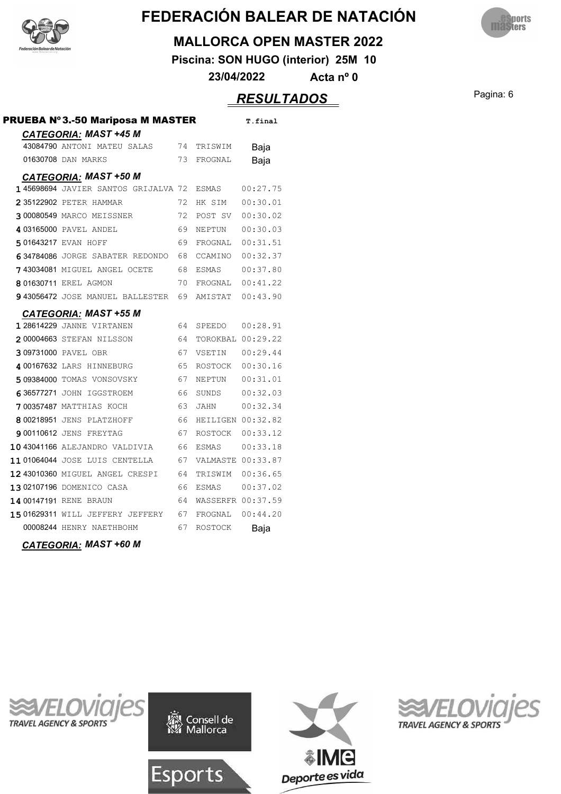



#### **MALLORCA OPEN MASTER 2022**

**Piscina: SON HUGO (interior) 25M 10**

**23/04/2022 Acta nº 0**

### Pagina: 6 *RESULTADOS*

| <b>PRUEBA Nº3.-50 Mariposa M MASTER</b>                     |    |                   | T.final  |
|-------------------------------------------------------------|----|-------------------|----------|
| <b>CATEGORIA: MAST +45 M</b><br>43084790 ANTONI MATEU SALAS | 74 | TRISWIM           | Baja     |
| 01630708 DAN MARKS                                          | 73 | FROGNAL           | Baja     |
| <b>CATEGORIA: MAST +50 M</b>                                |    |                   |          |
| 1 45698694 JAVIER SANTOS GRIJALVA 72                        |    | ESMAS             | 00:27.75 |
| 2 35122902 PETER HAMMAR                                     | 72 | HK SIM            | 00:30.01 |
| 300080549 MARCO MEISSNER                                    | 72 | POST SV           | 00:30.02 |
| 4 03165000 PAVEL ANDEL                                      | 69 | NEPTUN            | 00:30.03 |
| 501643217 EVAN HOFF                                         | 69 | FROGNAL           | 00:31.51 |
| 634784086 JORGE SABATER REDONDO                             | 68 | CCAMINO           | 00:32.37 |
| 743034081 MIGUEL ANGEL OCETE                                | 68 | <b>ESMAS</b>      | 00:37.80 |
| 8 01630711 EREL AGMON                                       | 70 | FROGNAL           | 00:41.22 |
| <b>943056472 JOSE MANUEL BALLESTER</b>                      | 69 | AMISTAT           | 00:43.90 |
| <b>CATEGORIA: MAST +55 M</b>                                |    |                   |          |
| <b>128614229 JANNE VIRTANEN</b>                             | 64 | SPEEDO            | 00:28.91 |
| 200004663 STEFAN NILSSON                                    | 64 | TOROKBAL 00:29.22 |          |
| 309731000 PAVEL OBR                                         | 67 | VSETIN            | 00:29.44 |
| 4 00167632 LARS HINNEBURG                                   | 65 | ROSTOCK           | 00:30.16 |
| 509384000 TOMAS VONSOVSKY                                   | 67 | NEPTUN            | 00:31.01 |
| 636577271 JOHN IGGSTROEM                                    | 66 | SUNDS             | 00:32.03 |
| 700357487 MATTHIAS KOCH                                     | 63 | JAHN              | 00:32.34 |
| 8 00218951 JENS PLATZHOFF                                   | 66 | HEILIGEN 00:32.82 |          |
| <b>900110612 JENS FREYTAG</b>                               | 67 | ROSTOCK           | 00:33.12 |
| 1043041166 ALEJANDRO VALDIVIA                               | 66 | ESMAS             | 00:33.18 |
| 11 01064044 JOSE LUIS CENTELLA                              | 67 | VALMASTE 00:33.87 |          |
| 12 43010360 MIGUEL ANGEL CRESPI                             | 64 | TRISWIM           | 00:36.65 |
| 1302107196 DOMENICO CASA                                    | 66 | <b>ESMAS</b>      | 00:37.02 |
| 14 00147191 RENE BRAUN                                      | 64 | WASSERFR 00:37.59 |          |
| 1501629311 WILL JEFFERY JEFFERY                             | 67 | FROGNAL           | 00:44.20 |
| 00008244 HENRY NAETHBOHM                                    | 67 | ROSTOCK           | Baja     |
|                                                             |    |                   |          |

*CATEGORIA: MAST +60 M*



Consell de<br>Mallorca





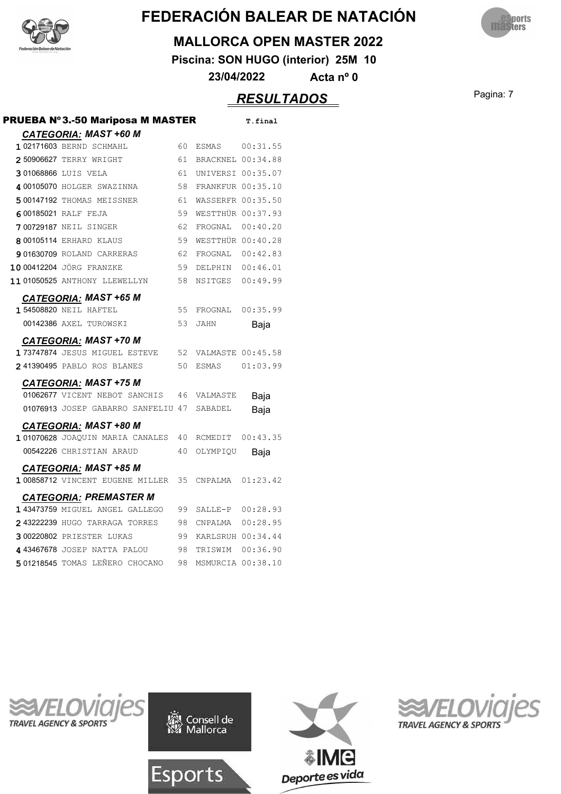



#### **MALLORCA OPEN MASTER 2022**

**Piscina: SON HUGO (interior) 25M 10**

**23/04/2022 Acta nº 0**

### Pagina: 7 *RESULTADOS*

| <b>PRUEBA Nº3.-50 Mariposa M MASTER</b> |     |                      | T.final          |
|-----------------------------------------|-----|----------------------|------------------|
| <b>CATEGORIA: MAST +60 M</b>            |     |                      |                  |
| 1 02171603 BERND SCHMAHL                | 60  |                      |                  |
| 250906627 TERRY WRIGHT                  | 61  | BRACKNEL 00:34.88    |                  |
| 301068866 LUIS VELA                     | 61  | UNIVERSI 00:35.07    |                  |
| 4 00105070 HOLGER SWAZINNA              | 58  | FRANKFUR 00:35.10    |                  |
| 500147192 THOMAS MEISSNER               | 61  | WASSERFR 00:35.50    |                  |
| 600185021 RALF FEJA                     | 59  | WESTTHÜR 00:37.93    |                  |
| 700729187 NEIL SINGER                   | -62 | FROGNAL 00:40.20     |                  |
| 8 00105114 ERHARD KLAUS                 | 59  | WESTTHÜR 00:40.28    |                  |
| 901630709 ROLAND CARRERAS               | 62  | FROGNAL 00:42.83     |                  |
| 10 00412204 JÖRG FRANZKE                | 59  | DELPHIN 00:46.01     |                  |
| 11 01050525 ANTHONY LLEWELLYN           | 58  | NSITGES 00:49.99     |                  |
| <b>CATEGORIA: MAST +65 M</b>            |     |                      |                  |
| <b>154508820 NEIL HAFTEL</b>            |     | 55 FROGNAL           | 00:35.99         |
| 00142386 AXEL TUROWSKI                  | 53  | <b>JAHN</b>          | Baja             |
| <b>CATEGORIA: MAST +70 M</b>            |     |                      |                  |
| 173747874 JESUS MIGUEL ESTEVE           |     | 52 VALMASTE 00:45.58 |                  |
| 241390495 PABLO ROS BLANES              |     | 50 ESMAS             | 01:03.99         |
| <b>CATEGORIA: MAST +75 M</b>            |     |                      |                  |
| 01062677 VICENT NEBOT SANCHIS           |     | 46 VALMASTE          | Baja             |
| 01076913 JOSEP GABARRO SANFELIU 47      |     | SABADEL              | Baja             |
| <b>CATEGORIA: MAST +80 M</b>            |     |                      |                  |
| 101070628 JOAQUIN MARIA CANALES         |     | 40 RCMEDIT           | 00:43.35         |
| 00542226 CHRISTIAN ARAUD                | 40  | OLYMPIQU             | Baja             |
| <b>CATEGORIA: MAST +85 M</b>            |     |                      |                  |
| 1 00858712 VINCENT EUGENE MILLER        |     | 35 CNPALMA           | 01:23.42         |
| <b>CATEGORIA: PREMASTER M</b>           |     |                      |                  |
| 1 43473759 MIGUEL ANGEL GALLEGO         | 99  |                      | SALLE-P 00:28.93 |
| 243222239 HUGO TARRAGA TORRES           | 98  | CNPALMA 00:28.95     |                  |
| 300220802 PRIESTER LUKAS                | 99  | KARLSRUH 00:34.44    |                  |
| 443467678 JOSEP NATTA PALOU             | 98  | TRISWIM              | 00:36.90         |
| 501218545 TOMAS LEÑERO CHOCANO          | 98  | MSMURCIA 00:38.10    |                  |
|                                         |     |                      |                  |







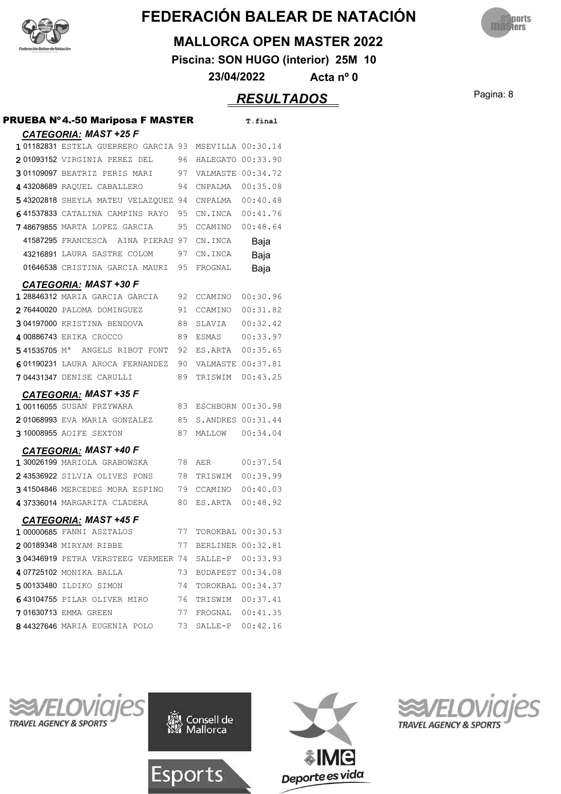



#### **MALLORCA OPEN MASTER 2022**

**Piscina: SON HUGO (interior) 25M 10**

**23/04/2022 Acta nº 0**

### Pagina: 8 *RESULTADOS*

| PRUEBA Nº4.-50 Mariposa F MASTER                      |    |                      | T.final           |
|-------------------------------------------------------|----|----------------------|-------------------|
| <b>CATEGORIA: MAST +25 F</b>                          |    |                      |                   |
| 101182831 ESTELA GUERRERO GARCIA 93 MSEVILLA 00:30.14 |    |                      |                   |
| 201093152 VIRGINIA PEREZ DEL 96                       |    | HALEGATO 00:33.90    |                   |
| 301109097 BEATRIZ PERIS MARI 97                       |    | VALMASTE 00:34.72    |                   |
| 443208689 RAQUEL CABALLERO                            | 94 | CNPALMA  00:35.08    |                   |
| 543202818 SHEYLA MATEU VELAZQUEZ 94                   |    | CNPALMA  00:40.48    |                   |
| 641537833 CATALINA CAMPINS RAYO                       | 95 | CN.INCA 00:41.76     |                   |
| 748679855 MARTA LOPEZ GARCIA                          | 95 | CCAMINO 00:48.64     |                   |
| 41587295 FRANCESCA<br>AINA PIERAS 97                  |    | CN.INCA              | Baja              |
| 43216891 LAURA SASTRE COLOM                           | 97 | CN.INCA              | Baja              |
| 01646538 CRISTINA GARCIA MAURI                        | 95 | FROGNAL              | Baja              |
| <b>CATEGORIA: MAST +30 F</b>                          |    |                      |                   |
| 1 28846312 MARIA GARCIA GARCIA                        | 92 | CCAMINO              | 00:30.96          |
| 276440020 PALOMA DOMINGUEZ                            | 91 | CCAMINO              | 00:31.82          |
| 304197000 KRISTINA BENDOVA                            | 88 | SLAVIA               | 00:32.42          |
| 4 00886743 ERIKA CROCCO                               | 89 | ESMAS                | 00:33.97          |
| 541535705 M <sup>a</sup> ANGELS RIBOT FONT            | 92 | ES.ARTA 00:35.65     |                   |
| 601190231 LAURA AROCA FERNANDEZ                       | 90 | VALMASTE 00:37.81    |                   |
| <b>704431347 DENISE CARULLI</b>                       | 89 | TRISWIM              | 00:43.25          |
| <b>CATEGORIA: MAST +35 F</b>                          |    |                      |                   |
| 1 00116055 SUSAN PRZYWARA                             | 83 | ESCHBORN 00:30.98    |                   |
| 201068993 EVA MARIA GONZALEZ                          | 85 | S.ANDRES 00:31.44    |                   |
| 3 10008955 AOIFE SEXTON                               | 87 | MALLOW 00:34.04      |                   |
| <b>CATEGORIA: MAST +40 F</b>                          |    |                      |                   |
| 1 30026199 MARIOLA GRABOWSKA                          | 78 | AER                  | 00:37.54          |
| 243536922 SILVIA OLIVES PONS                          | 78 | TRISWIM              | 00:39.99          |
| 341504846 MERCEDES MORA ESPINO                        | 79 | CCAMINO              | 00:40.03          |
| 437336014 MARGARITA CLADERA                           | 80 | ES.ARTA              | 00:48.92          |
| <b>CATEGORIA: MAST +45 F</b>                          |    |                      |                   |
| 100000685 FANNI ASZTALOS                              | 77 | TOROKBAL 00:30.53    |                   |
| 200189348 MIRYAM RIBBE                                |    | 77 BERLINER 00:32.81 |                   |
| 304346919 PETRA VERSTEEG VERMEER 74 SALLE-P 00:33.93  |    |                      |                   |
| 407725102 MONIKA BALLA                                | 73 |                      | BUDAPEST 00:34.08 |
| 500133480 ILDIKO SIMON                                | 74 |                      | TOROKBAL 00:34.37 |
| 643104755 PILAR OLIVER MIRO                           |    | 76 TRISWIM 00:37.41  |                   |
| 701630713 EMMA GREEN                                  |    | 77 FROGNAL 00:41.35  |                   |
| 844327646 MARIA EUGENIA POLO 73                       |    |                      | SALLE-P 00:42.16  |







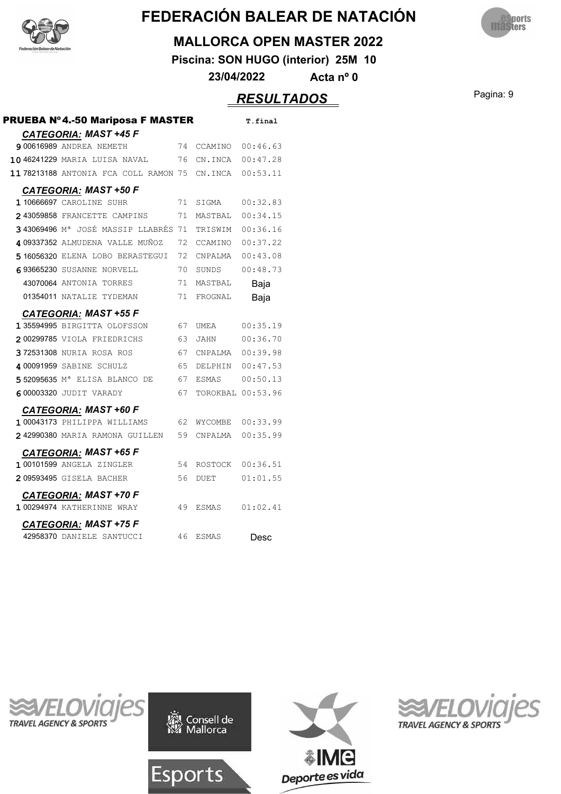



#### **MALLORCA OPEN MASTER 2022**

**Piscina: SON HUGO (interior) 25M 10**

**23/04/2022 Acta nº 0**

### Pagina: 9 *RESULTADOS*

| <b>PRUEBA Nº4.-50 Mariposa F MASTER</b>         |    |                   | T.final  |
|-------------------------------------------------|----|-------------------|----------|
| <b>CATEGORIA: MAST +45 F</b>                    |    |                   |          |
| <b>9 00616989 ANDREA NEMETH</b>                 | 74 | CCAMINO           | 00:46.63 |
| 1046241229 MARIA LUISA NAVAL                    | 76 | CN.INCA           | 00:47.28 |
| 11 78213188 ANTONIA FCA COLL RAMON 75 CN.INCA   |    |                   | 00:53.11 |
| <b>CATEGORIA: MAST +50 F</b>                    |    |                   |          |
| 1 10666697 CAROLINE SUHR                        | 71 | SIGMA             | 00:32.83 |
| 243059858 FRANCETTE CAMPINS                     | 71 | MASTBAL           | 00:34.15 |
| 343069496 M <sup>a</sup> JOSÉ MASSIP LLABRÉS 71 |    | TRISWIM           | 00:36.16 |
| 4 09337352 ALMUDENA VALLE MUÑOZ                 | 72 | CCAMINO           | 00:37.22 |
| 5 16056320 ELENA LOBO BERASTEGUI                | 72 | CNPALMA           | 00:43.08 |
| 693665230 SUSANNE NORVELL                       | 70 | SUNDS             | 00:48.73 |
| 43070064 ANTONIA TORRES                         | 71 | MASTBAL           | Baja     |
| 01354011 NATALIE TYDEMAN                        | 71 | FROGNAL           | Baja     |
| <b>CATEGORIA: MAST +55 F</b>                    |    |                   |          |
| 1 35594995 BIRGITTA OLOFSSON                    | 67 | UMEA              | 00:35.19 |
| 200299785 VIOLA FRIEDRICHS                      | 63 | JAHN              | 00:36.70 |
| 372531308 NURIA ROSA ROS                        | 67 | CNPALMA           | 00:39.98 |
| 4 00091959 SABINE SCHULZ                        | 65 | DELPHIN           | 00:47.53 |
| 552095635 M <sup>a</sup> ELISA BLANCO DE        | 67 | ESMAS             | 00:50.13 |
| 600003320 JUDIT VARADY                          | 67 | TOROKBAL 00:53.96 |          |
| <b>CATEGORIA: MAST +60 F</b>                    |    |                   |          |
| 1 00043173 PHILIPPA WILLIAMS                    | 62 | WYCOMBE           | 00:33.99 |
| 242990380 MARIA RAMONA GUILLEN                  | 59 | CNPALMA           | 00:35.99 |
| <b>CATEGORIA: MAST +65 F</b>                    |    |                   |          |
| 1 00101599 ANGELA ZINGLER                       | 54 | ROSTOCK           | 00:36.51 |
| 209593495 GISELA BACHER                         | 56 | <b>DUET</b>       | 01:01.55 |
| <b>CATEGORIA: MAST +70 F</b>                    |    |                   |          |
| 1 00294974 KATHERINNE WRAY                      | 49 | ESMAS             | 01:02.41 |
| <b>CATEGORIA: MAST +75 F</b>                    |    |                   |          |
| 42958370 DANIELE SANTUCCI                       | 46 | <b>ESMAS</b>      | Desc     |
|                                                 |    |                   |          |







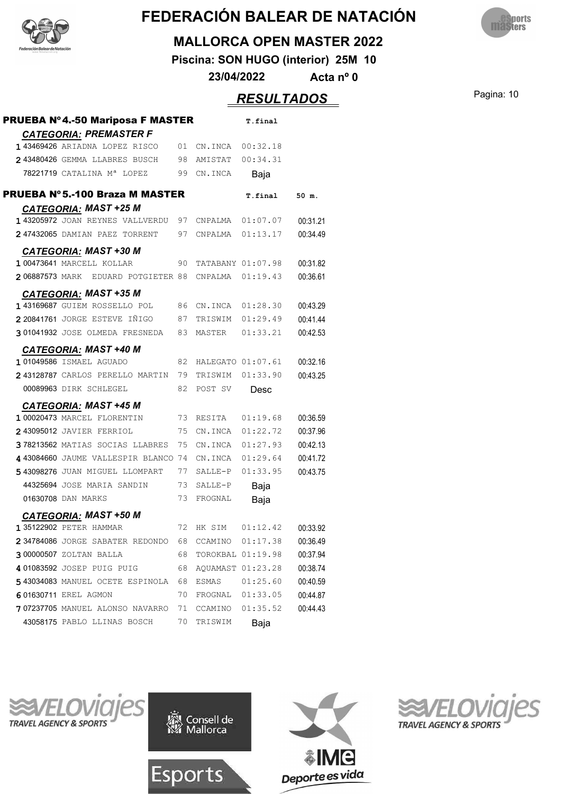



#### **MALLORCA OPEN MASTER 2022**

**Piscina: SON HUGO (interior) 25M 10**

**23/04/2022 Acta nº 0**

## **RESULTADOS** Pagina: 10

| <b>PRUEBA Nº4.-50 Mariposa F MASTER</b>                        |    |                     | T.final            |          |
|----------------------------------------------------------------|----|---------------------|--------------------|----------|
| <u>CATEGORIA:</u> PREMASTER F<br>143469426 ARIADNA LOPEZ RISCO | 01 | CN.INCA  00:32.18   |                    |          |
| 243480426 GEMMA LLABRES BUSCH                                  | 98 | AMISTAT 00:34.31    |                    |          |
| 78221719 CATALINA Mª LOPEZ                                     | 99 | CN.INCA             | Baja               |          |
|                                                                |    |                     |                    |          |
| PRUEBA Nº 5.-100 Braza M MASTER                                |    |                     | T.final            | 50 m.    |
| <b>CATEGORIA: MAST +25 M</b>                                   |    |                     |                    |          |
| <b>143205972</b> JOAN REYNES VALLVERDU                         | 97 |                     | CNPALMA   01:07.07 | 00:31.21 |
| 247432065 DAMIAN PAEZ TORRENT                                  | 97 | CNPALMA 01:13.17    |                    | 00:34.49 |
| <b>CATEGORIA: MAST +30 M</b>                                   |    |                     |                    |          |
| 100473641 MARCELL KOLLAR                                       | 90 |                     | TATABANY 01:07.98  | 00:31.82 |
| 206887573 MARK EDUARD POTGIETER 88                             |    |                     | CNPALMA  01:19.43  | 00:36.61 |
| <b>CATEGORIA: MAST +35 M</b>                                   |    |                     |                    |          |
| 143169687 GUIEM ROSSELLO POL                                   |    | 86 CN.INCA 01:28.30 |                    | 00:43.29 |
| 2 20841761 JORGE ESTEVE IÑIGO                                  | 87 | TRISWIM 01:29.49    |                    | 00:41.44 |
| 301041932 JOSE OLMEDA FRESNEDA                                 | 83 | MASTER              | 01:33.21           | 00:42.53 |
|                                                                |    |                     |                    |          |
| <b>CATEGORIA: MAST +40 M</b><br>101049586 ISMAEL AGUADO        | 82 | HALEGATO 01:07.61   |                    | 00:32.16 |
| 243128787 CARLOS PERELLO MARTIN                                | 79 | TRISWIM             | 01:33.90           | 00:43.25 |
| 00089963 DIRK SCHLEGEL                                         | 82 | POST SV             |                    |          |
|                                                                |    |                     | Desc               |          |
| <b>CATEGORIA: MAST +45 M</b>                                   |    |                     |                    |          |
| 1 00020473 MARCEL FLORENTIN                                    | 73 | RESITA              | 01:19.68           | 00:36.59 |
| 243095012 JAVIER FERRIOL                                       | 75 |                     | CN.INCA 01:22.72   | 00:37.96 |
| 378213562 MATIAS SOCIAS LLABRES                                | 75 |                     | CN.INCA 01:27.93   | 00:42.13 |
| 443084660 JAUME VALLESPIR BLANCO                               | 74 |                     | CN.INCA 01:29.64   | 00:41.72 |
| 543098276 JUAN MIGUEL LLOMPART                                 | 77 |                     | SALLE-P 01:33.95   | 00:43.75 |
| 44325694 JOSE MARIA SANDIN                                     | 73 | SALLE-P             | Baja               |          |
| 01630708 DAN MARKS                                             | 73 | FROGNAL             | Baja               |          |
| <b>CATEGORIA: MAST +50 M</b>                                   |    |                     |                    |          |
| 135122902 PETER HAMMAR                                         |    |                     | 72 HK SIM 01:12.42 | 00:33.92 |
| 234784086 JORGE SABATER REDONDO                                | 68 |                     | CCAMINO 01:17.38   | 00:36.49 |
| 300000507 ZOLTAN BALLA                                         | 68 |                     | TOROKBAL 01:19.98  | 00:37.94 |
| 401083592 JOSEP PUIG PUIG                                      | 68 |                     | AQUAMAST 01:23.28  | 00:38.74 |
| 543034083 MANUEL OCETE ESPINOLA                                | 68 |                     |                    | 00:40.59 |
| 601630711 EREL AGMON                                           | 70 |                     | FROGNAL 01:33.05   | 00:44.87 |
| 707237705 MANUEL ALONSO NAVARRO                                | 71 |                     | CCAMINO 01:35.52   | 00:44.43 |
| 43058175 PABLO LLINAS BOSCH                                    | 70 | TRISWIM             | Baja               |          |
|                                                                |    |                     |                    |          |







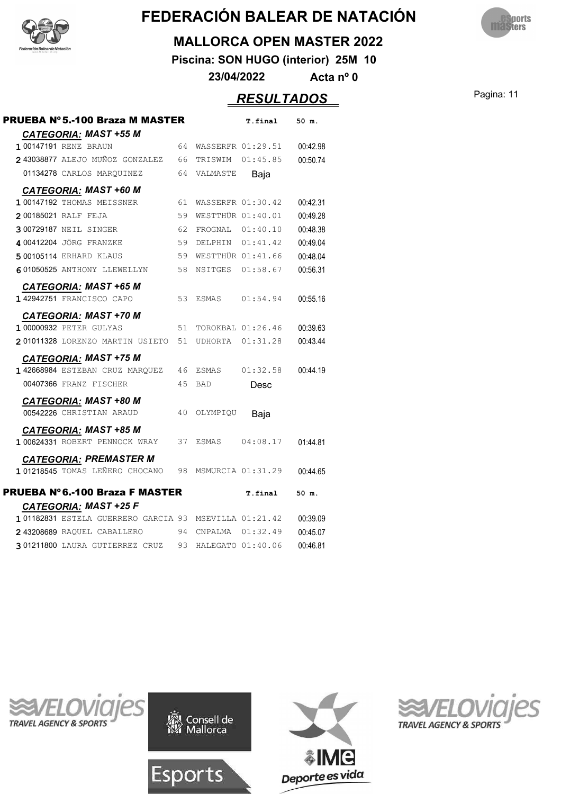



#### **MALLORCA OPEN MASTER 2022**

**Piscina: SON HUGO (interior) 25M 10**

**23/04/2022 Acta nº 0**

### Pagina: 11 *RESULTADOS*

| PRUEBA Nº 5.-100 Braza M MASTER                       |    |                     | T.final           | 50 m.    |
|-------------------------------------------------------|----|---------------------|-------------------|----------|
| <b>CATEGORIA: MAST +55 M</b>                          |    |                     |                   |          |
| 1 00147191 RENE BRAUN                                 | 64 | WASSERFR 01:29.51   |                   | 00:42.98 |
| 2 43038877 ALEJO MUÑOZ GONZALEZ                       | 66 | TRISWIM             | 01:45.85          | 00:50.74 |
| 01134278 CARLOS MARQUINEZ                             | 64 | VALMASTE            | Baja              |          |
| <b>CATEGORIA: MAST +60 M</b>                          |    |                     |                   |          |
| 1 00147192 THOMAS MEISSNER                            | 61 | WASSERFR 01:30.42   |                   | 00:42.31 |
| 200185021 RALF FEJA                                   | 59 | WESTTHÜR 01:40.01   |                   | 00:49.28 |
| 300729187 NEIL SINGER                                 | 62 | FROGNAL 01:40.10    |                   | 00:48.38 |
| 4 00412204 JÖRG FRANZKE                               | 59 | DELPHIN 01:41.42    |                   | 00:49.04 |
| 5 00105114 ERHARD KLAUS                               | 59 | WESTTHÜR 01:41.66   |                   | 00:48.04 |
| 601050525 ANTHONY LLEWELLYN                           | 58 | NSITGES 01:58.67    |                   | 00:56.31 |
| <b>CATEGORIA: MAST +65 M</b>                          |    |                     |                   |          |
| 1 42942751 FRANCISCO CAPO                             | 53 | ESMAS 01:54.94      |                   | 00:55.16 |
| <b>CATEGORIA: MAST +70 M</b>                          |    |                     |                   |          |
| <b>1 00000932 PETER GULYAS</b>                        | 51 |                     | TOROKBAL 01:26.46 | 00:39.63 |
| 201011328 LORENZO MARTIN USIETO                       | 51 | UDHORTA 01:31.28    |                   | 00:43.44 |
| <u>CATEGORIA:</u> MAST +75 M                          |    |                     |                   |          |
| 1 42668984 ESTEBAN CRUZ MAROUEZ                       | 46 | ESMAS               | 01:32.58          | 00:44.19 |
| 00407366 FRANZ FISCHER                                | 45 | <b>BAD</b>          | Desc              |          |
| <b>CATEGORIA: MAST +80 M</b>                          |    |                     |                   |          |
| 00542226 CHRISTIAN ARAUD                              | 40 | OLYMPIQU            | Baja              |          |
| <b>CATEGORIA: MAST +85 M</b>                          |    |                     |                   |          |
| 1 00624331 ROBERT PENNOCK WRAY                        | 37 | ESMAS               | 04:08.17          | 01:44.81 |
| <b>CATEGORIA: PREMASTER M</b>                         |    |                     |                   |          |
| 101218545 TOMAS LEÑERO CHOCANO                        | 98 | MSMURCIA 01:31.29   |                   | 00:44.65 |
| <b>PRUEBA Nº 6.-100 Braza F MASTER</b>                |    |                     | T.final           | 50 m.    |
| <b>CATEGORIA: MAST +25 F</b>                          |    |                     |                   |          |
| 101182831 ESTELA GUERRERO GARCIA 93 MSEVILLA 01:21.42 |    |                     |                   | 00:39.09 |
| 243208689 RAQUEL CABALLERO                            |    | 94 CNPALMA 01:32.49 |                   | 00:45.07 |
| 301211800 LAURA GUTIERREZ CRUZ 93 HALEGATO 01:40.06   |    |                     |                   | 00:46.81 |
|                                                       |    |                     |                   |          |







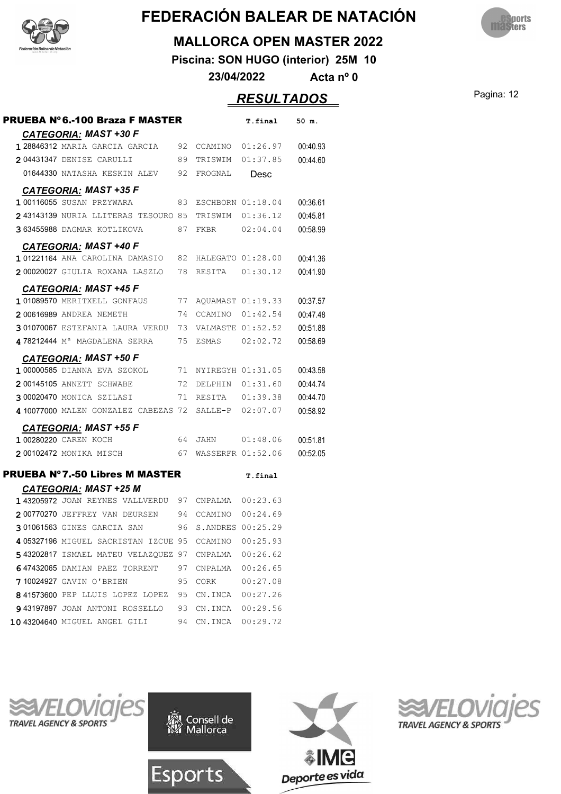



#### **MALLORCA OPEN MASTER 2022**

**Piscina: SON HUGO (interior) 25M 10**

**23/04/2022 Acta nº 0**

#### Pagina: 12 *RESULTADOS*

| <b>PRUEBA N°6.-100 Braza F MASTER</b>                      |      |                      | T.final           | 50 m.    |
|------------------------------------------------------------|------|----------------------|-------------------|----------|
| CATEGORIA: MAST +30 F                                      |      |                      |                   |          |
| 1 28846312 MARIA GARCIA GARCIA                             | 92   |                      | CCAMINO 01:26.97  | 00:40.93 |
| 204431347 DENISE CARULLI                                   | 89   |                      | TRISWIM 01:37.85  | 00:44.60 |
| 01644330 NATASHA KESKIN ALEV 92                            |      | FROGNAL              | Desc              |          |
| <b>CATEGORIA: MAST +35 F</b>                               |      |                      |                   |          |
| 100116055 SUSAN PRZYWARA                                   |      | 83 ESCHBORN 01:18.04 |                   | 00:36.61 |
| 243143139 NURIA LLITERAS TESOURO 85 TRISWIM 01:36.12       |      |                      |                   | 00:45.81 |
| 363455988 DAGMAR KOTLIKOVA<br>87                           |      | FKBR 02:04.04        |                   | 00:58.99 |
| <b>CATEGORIA: MAST +40 F</b>                               |      |                      |                   |          |
| 101221164 ANA CAROLINA DAMASIO 82 HALEGATO 01:28.00        |      |                      |                   | 00:41.36 |
| 200020027 GIULIA ROXANA LASZLO                             |      | 78 RESITA 01:30.12   |                   | 00:41.90 |
| <b>CATEGORIA: MAST +45 F</b>                               |      |                      |                   |          |
| 101089570 MERITXELL GONFAUS                                |      | 77 AQUAMAST 01:19.33 |                   | 00:37.57 |
| 200616989 ANDREA NEMETH                                    |      | 74 CCAMINO 01:42.54  |                   | 00:47.48 |
| 301070067 ESTEFANIA LAURA VERDU 73 VALMASTE 01:52.52       |      |                      |                   | 00:51.88 |
| 478212444 M <sup>a</sup> MAGDALENA SERRA 75 ESMAS 02:02.72 |      |                      |                   | 00:58.69 |
| <b>CATEGORIA: MAST +50 F</b>                               |      |                      |                   |          |
| 1 00000585 DIANNA EVA SZOKOL 71 NYIREGYH 01:31.05          |      |                      |                   | 00:43.58 |
| 72<br>200145105 ANNETT SCHWABE                             |      |                      | DELPHIN 01:31.60  | 00:44.74 |
| 3 00020470 MONICA SZILASI                                  | 71   | RESITA 01:39.38      |                   | 00:44.70 |
| 4 10077000 MALEN GONZALEZ CABEZAS 72                       |      | SALLE-P 02:07.07     |                   | 00:58.92 |
| <b>CATEGORIA: MAST +55 F</b>                               |      |                      |                   |          |
| 100280220 CAREN KOCH                                       |      | 64 JAHN 01:48.06     |                   | 00:51.81 |
| 200102472 MONIKA MISCH                                     | 67   |                      | WASSERFR 01:52.06 | 00:52.05 |
| <b>PRUEBA Nº 7.-50 Libres M MASTER</b>                     |      |                      | T.final           |          |
| <b>CATEGORIA: MAST +25 M</b>                               |      |                      |                   |          |
| 143205972 JOAN REYNES VALLVERDU 97 CNPALMA 00:23.63        |      |                      |                   |          |
| 200770270 JEFFREY VAN DEURSEN 94 CCAMINO 00:24.69          |      |                      |                   |          |
| 301061563 GINES GARCIA SAN                                 |      | 96 S.ANDRES 00:25.29 |                   |          |
| 4 05327196 MIGUEL SACRISTAN IZCUE 95 CCAMINO               |      |                      | 00:25.93          |          |
| 543202817 ISMAEL MATEU VELAZOUEZ 97 CNPALMA                |      |                      | 00:26.62          |          |
| 647432065 DAMIAN PAEZ TORRENT                              | 97   |                      | CNPALMA 00:26.65  |          |
| 710024927 GAVIN O'BRIEN                                    | 95   | CORK                 | 00:27.08          |          |
| 841573600 PEP LLUIS LOPEZ LOPEZ                            |      | 95 CN.INCA 00:27.26  |                   |          |
| 943197897 JOAN ANTONI ROSSELLO                             | - 93 | CN.INCA 00:29.56     |                   |          |
| 10 43204640 MIGUEL ANGEL GILI                              | 94   |                      | CN.INCA 00:29.72  |          |







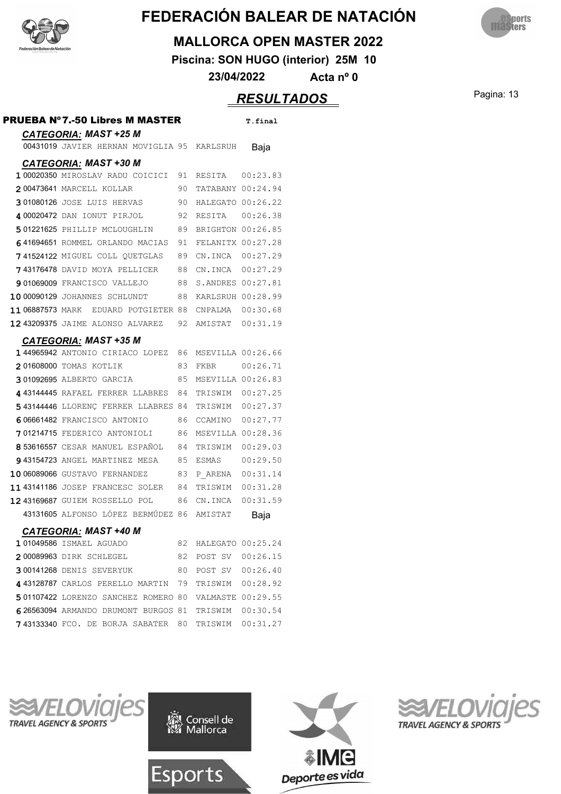



#### **MALLORCA OPEN MASTER 2022**

**Piscina: SON HUGO (interior) 25M 10**

**23/04/2022 Acta nº 0**

# Pagina: 13 *RESULTADOS*

|                                                       |      |                    | <u>\LUULIAI</u> |
|-------------------------------------------------------|------|--------------------|-----------------|
| <b>PRUEBA Nº7.-50 Libres M MASTER</b>                 |      |                    | T.final         |
| <b>CATEGORIA: MAST +25 M</b>                          |      |                    |                 |
| 00431019 JAVIER HERNAN MOVIGLIA 95 KARLSRUH           |      |                    | Baja            |
| <b>CATEGORIA: MAST +30 M</b>                          |      |                    |                 |
| 100020350 MIROSLAV RADU COICICI 91 RESITA 00:23.83    |      |                    |                 |
| 200473641 MARCELL KOLLAR                              | 90.  | TATABANY 00:24.94  |                 |
| 301080126 JOSE LUIS HERVAS                            | 90 - | HALEGATO 00:26.22  |                 |
| 4 00020472 DAN IONUT PIRJOL 92                        |      | RESITA 00:26.38    |                 |
| 501221625 PHILLIP MCLOUGHLIN 89                       |      | BRIGHTON 00:26.85  |                 |
| 641694651 ROMMEL ORLANDO MACIAS 91                    |      | FELANITX 00:27.28  |                 |
| 741524122 MIGUEL COLL QUETGLAS 89                     |      | CN. INCA  00:27.29 |                 |
| 743176478 DAVID MOYA PELLICER 88                      |      | CN.INCA 00:27.29   |                 |
| 901069009 FRANCISCO VALLEJO 88                        |      | S.ANDRES 00:27.81  |                 |
| 10 00090129 JOHANNES SCHLUNDT                         | 88   | KARLSRUH 00:28.99  |                 |
| 11 06887573 MARK EDUARD POTGIETER 88 CNPALMA 00:30.68 |      |                    |                 |
| 12 43209375 JAIME ALONSO ALVAREZ 92                   |      | AMISTAT 00:31.19   |                 |
| <b>CATEGORIA: MAST +35 M</b>                          |      |                    |                 |
| 144965942 ANTONIO CIRIACO LOPEZ 86                    |      | MSEVILLA 00:26.66  |                 |
| 201608000 TOMAS KOTLIK                                | 83   | FKBR               | 00:26.71        |
| 301092695 ALBERTO GARCIA 65                           |      | MSEVILLA 00:26.83  |                 |
| 4 43144445 RAFAEL FERRER LLABRES 84                   |      | TRISWIM 00:27.25   |                 |
| 543144446 LLORENÇ FERRER LLABRES 84                   |      | TRISWIM 00:27.37   |                 |
| 606661482 FRANCISCO ANTONIO                           | 86   | CCAMINO 00:27.77   |                 |
| 701214715 FEDERICO ANTONIOLI 86                       |      | MSEVILLA 00:28.36  |                 |
| 8 53616557 CESAR MANUEL ESPAÑOL                       | 84   | TRISWIM 00:29.03   |                 |
| 943154723 ANGEL MARTINEZ MESA                         | 85   | ESMAS 00:29.50     |                 |
| 10 06089066 GUSTAVO FERNANDEZ                         | 83   | P ARENA 00:31.14   |                 |
| 1143141186 JOSEP FRANCESC SOLER                       | 84   | TRISWIM 00:31.28   |                 |
| 1243169687 GUIEM ROSSELLO POL                         | 86   | CN.INCA            | 00:31.59        |
| 43131605 ALFONSO LÓPEZ BERMÚDEZ 86                    |      | AMISTAT            | Baja            |
| <b>CATEGORIA: MAST +40 M</b>                          |      |                    |                 |
| 101049586 ISMAEL AGUADO                               | 82   | HALEGATO 00:25.24  |                 |
| 200089963 DIRK SCHLEGEL                               | 82   | POST SV 00:26.15   |                 |
| 300141268 DENIS SEVERYUK                              | 80 - | POST SV 00:26.40   |                 |
| 443128787 CARLOS PERELLO MARTIN 79                    |      | TRISWIM 00:28.92   |                 |
| 501107422 LORENZO SANCHEZ ROMERO 80                   |      | VALMASTE 00:29.55  |                 |
| 626563094 ARMANDO DRUMONT BURGOS 81                   |      | TRISWIM 00:30.54   |                 |
| <b>743133340</b> FCO. DE BORJA SABATER 80             |      | TRISWIM 00:31.27   |                 |







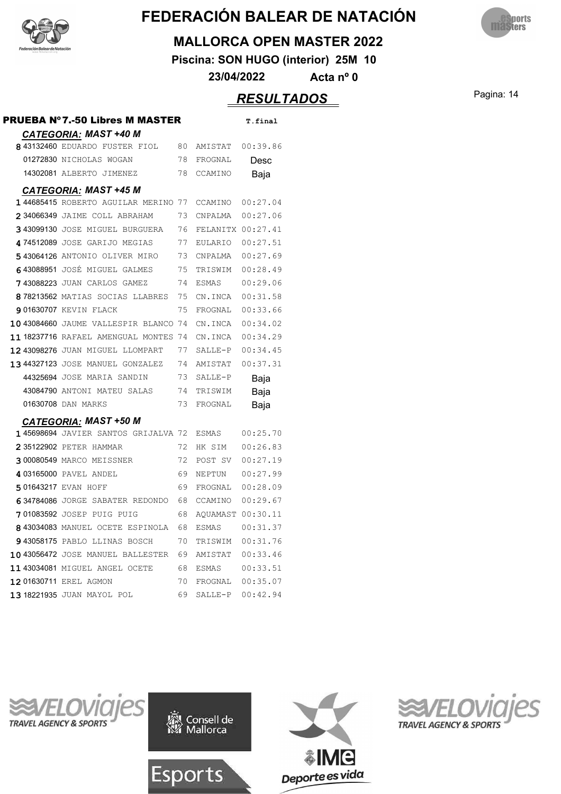



#### **MALLORCA OPEN MASTER 2022**

**Piscina: SON HUGO (interior) 25M 10**

**23/04/2022 Acta nº 0**

### Pagina: 14 *RESULTADOS*

| <b>CATEGORIA: MAST +40 M</b><br>843132460 EDUARDO FUSTER FIOL 80<br>AMISTAT 00:39.86<br>78<br>01272830 NICHOLAS WOGAN<br>FROGNAL<br>Desc<br>14302081 ALBERTO JIMENEZ<br>78<br>CCAMINO<br>Baja<br><b>CATEGORIA: MAST +45 M</b><br>144685415 ROBERTO AGUILAR MERINO 77 CCAMINO<br>00:27.04<br>2 34066349 JAIME COLL ABRAHAM<br>73.<br>CNPALMA 00:27.06<br>343099130 JOSE MIGUEL BURGUERA<br>76<br>FELANITX 00:27.41<br>474512089 JOSE GARIJO MEGIAS<br>77<br>EULARIO 00:27.51<br>543064126 ANTONIO OLIVER MIRO 73<br>CNPALMA  00:27.69<br>643088951 JOSÉ MIGUEL GALMES<br>75<br>00:28.49<br>TRISWIM<br>743088223 JUAN CARLOS GAMEZ<br>74<br>00:29.06<br>ESMAS<br>878213562 MATIAS SOCIAS LLABRES 75<br>CN.INCA<br>00:31.58<br>75<br>FROGNAL 00:33.66<br>901630707 KEVIN FLACK<br>10 43084660 JAUME VALLESPIR BLANCO 74<br>00:34.02<br>CN.INCA<br>11 18237716 RAFAEL AMENGUAL MONTES 74<br>00:34.29<br>CN.INCA<br>12 43098276 JUAN MIGUEL LLOMPART 77<br>00:34.45<br>SALLE-P<br><b>13 44327123</b> JOSE MANUEL GONZALEZ 74<br>00:37.31<br>AMISTAT<br>44325694 JOSE MARIA SANDIN<br>73<br>SALLE-P<br>Baja<br>43084790 ANTONI MATEU SALAS 74<br>TRISWIM<br>Baja<br>01630708 DAN MARKS<br>73<br>FROGNAL<br>Baja<br><b>CATEGORIA: MAST +50 M</b><br>145698694 JAVIER SANTOS GRIJALVA 72<br>00:25.70<br>ESMAS<br>72<br>00:26.83<br>235122902 PETER HAMMAR<br>HK SIM<br>300080549 MARCO MEISSNER<br>00:27.19<br>72<br>POST SV<br>4 03165000 PAVEL ANDEL<br>69<br>00:27.99<br>NEPTUN<br>501643217 EVAN HOFF<br>69<br>FROGNAL 00:28.09<br>634784086 JORGE SABATER REDONDO 68<br>CCAMINO<br>00:29.67<br>701083592 JOSEP PUIG PUIG<br>68<br>AQUAMAST 00:30.11<br>8 43034083 MANUEL OCETE ESPINOLA<br>68<br>00:31.37<br>ESMAS<br>70<br>TRISWIM 00:31.76<br>943058175 PABLO LLINAS BOSCH<br>10 43056472 JOSE MANUEL BALLESTER 69<br>AMISTAT 00:33.46<br>11 43034081 MIGUEL ANGEL OCETE<br>68<br>12 01630711 EREL AGMON<br>70<br>FROGNAL 00:35.07<br>1318221935 JUAN MAYOL POL<br>69<br>SALLE-P 00:42.94 | PRUEBA Nº7.-50 Libres M MASTER |  | T.final |
|------------------------------------------------------------------------------------------------------------------------------------------------------------------------------------------------------------------------------------------------------------------------------------------------------------------------------------------------------------------------------------------------------------------------------------------------------------------------------------------------------------------------------------------------------------------------------------------------------------------------------------------------------------------------------------------------------------------------------------------------------------------------------------------------------------------------------------------------------------------------------------------------------------------------------------------------------------------------------------------------------------------------------------------------------------------------------------------------------------------------------------------------------------------------------------------------------------------------------------------------------------------------------------------------------------------------------------------------------------------------------------------------------------------------------------------------------------------------------------------------------------------------------------------------------------------------------------------------------------------------------------------------------------------------------------------------------------------------------------------------------------------------------------------------------------------------------------------------------------------------------------------------------------------------------------------------------------------------------------------|--------------------------------|--|---------|
|                                                                                                                                                                                                                                                                                                                                                                                                                                                                                                                                                                                                                                                                                                                                                                                                                                                                                                                                                                                                                                                                                                                                                                                                                                                                                                                                                                                                                                                                                                                                                                                                                                                                                                                                                                                                                                                                                                                                                                                          |                                |  |         |
|                                                                                                                                                                                                                                                                                                                                                                                                                                                                                                                                                                                                                                                                                                                                                                                                                                                                                                                                                                                                                                                                                                                                                                                                                                                                                                                                                                                                                                                                                                                                                                                                                                                                                                                                                                                                                                                                                                                                                                                          |                                |  |         |
|                                                                                                                                                                                                                                                                                                                                                                                                                                                                                                                                                                                                                                                                                                                                                                                                                                                                                                                                                                                                                                                                                                                                                                                                                                                                                                                                                                                                                                                                                                                                                                                                                                                                                                                                                                                                                                                                                                                                                                                          |                                |  |         |
|                                                                                                                                                                                                                                                                                                                                                                                                                                                                                                                                                                                                                                                                                                                                                                                                                                                                                                                                                                                                                                                                                                                                                                                                                                                                                                                                                                                                                                                                                                                                                                                                                                                                                                                                                                                                                                                                                                                                                                                          |                                |  |         |
|                                                                                                                                                                                                                                                                                                                                                                                                                                                                                                                                                                                                                                                                                                                                                                                                                                                                                                                                                                                                                                                                                                                                                                                                                                                                                                                                                                                                                                                                                                                                                                                                                                                                                                                                                                                                                                                                                                                                                                                          |                                |  |         |
|                                                                                                                                                                                                                                                                                                                                                                                                                                                                                                                                                                                                                                                                                                                                                                                                                                                                                                                                                                                                                                                                                                                                                                                                                                                                                                                                                                                                                                                                                                                                                                                                                                                                                                                                                                                                                                                                                                                                                                                          |                                |  |         |
|                                                                                                                                                                                                                                                                                                                                                                                                                                                                                                                                                                                                                                                                                                                                                                                                                                                                                                                                                                                                                                                                                                                                                                                                                                                                                                                                                                                                                                                                                                                                                                                                                                                                                                                                                                                                                                                                                                                                                                                          |                                |  |         |
|                                                                                                                                                                                                                                                                                                                                                                                                                                                                                                                                                                                                                                                                                                                                                                                                                                                                                                                                                                                                                                                                                                                                                                                                                                                                                                                                                                                                                                                                                                                                                                                                                                                                                                                                                                                                                                                                                                                                                                                          |                                |  |         |
|                                                                                                                                                                                                                                                                                                                                                                                                                                                                                                                                                                                                                                                                                                                                                                                                                                                                                                                                                                                                                                                                                                                                                                                                                                                                                                                                                                                                                                                                                                                                                                                                                                                                                                                                                                                                                                                                                                                                                                                          |                                |  |         |
|                                                                                                                                                                                                                                                                                                                                                                                                                                                                                                                                                                                                                                                                                                                                                                                                                                                                                                                                                                                                                                                                                                                                                                                                                                                                                                                                                                                                                                                                                                                                                                                                                                                                                                                                                                                                                                                                                                                                                                                          |                                |  |         |
|                                                                                                                                                                                                                                                                                                                                                                                                                                                                                                                                                                                                                                                                                                                                                                                                                                                                                                                                                                                                                                                                                                                                                                                                                                                                                                                                                                                                                                                                                                                                                                                                                                                                                                                                                                                                                                                                                                                                                                                          |                                |  |         |
|                                                                                                                                                                                                                                                                                                                                                                                                                                                                                                                                                                                                                                                                                                                                                                                                                                                                                                                                                                                                                                                                                                                                                                                                                                                                                                                                                                                                                                                                                                                                                                                                                                                                                                                                                                                                                                                                                                                                                                                          |                                |  |         |
|                                                                                                                                                                                                                                                                                                                                                                                                                                                                                                                                                                                                                                                                                                                                                                                                                                                                                                                                                                                                                                                                                                                                                                                                                                                                                                                                                                                                                                                                                                                                                                                                                                                                                                                                                                                                                                                                                                                                                                                          |                                |  |         |
|                                                                                                                                                                                                                                                                                                                                                                                                                                                                                                                                                                                                                                                                                                                                                                                                                                                                                                                                                                                                                                                                                                                                                                                                                                                                                                                                                                                                                                                                                                                                                                                                                                                                                                                                                                                                                                                                                                                                                                                          |                                |  |         |
|                                                                                                                                                                                                                                                                                                                                                                                                                                                                                                                                                                                                                                                                                                                                                                                                                                                                                                                                                                                                                                                                                                                                                                                                                                                                                                                                                                                                                                                                                                                                                                                                                                                                                                                                                                                                                                                                                                                                                                                          |                                |  |         |
|                                                                                                                                                                                                                                                                                                                                                                                                                                                                                                                                                                                                                                                                                                                                                                                                                                                                                                                                                                                                                                                                                                                                                                                                                                                                                                                                                                                                                                                                                                                                                                                                                                                                                                                                                                                                                                                                                                                                                                                          |                                |  |         |
|                                                                                                                                                                                                                                                                                                                                                                                                                                                                                                                                                                                                                                                                                                                                                                                                                                                                                                                                                                                                                                                                                                                                                                                                                                                                                                                                                                                                                                                                                                                                                                                                                                                                                                                                                                                                                                                                                                                                                                                          |                                |  |         |
|                                                                                                                                                                                                                                                                                                                                                                                                                                                                                                                                                                                                                                                                                                                                                                                                                                                                                                                                                                                                                                                                                                                                                                                                                                                                                                                                                                                                                                                                                                                                                                                                                                                                                                                                                                                                                                                                                                                                                                                          |                                |  |         |
|                                                                                                                                                                                                                                                                                                                                                                                                                                                                                                                                                                                                                                                                                                                                                                                                                                                                                                                                                                                                                                                                                                                                                                                                                                                                                                                                                                                                                                                                                                                                                                                                                                                                                                                                                                                                                                                                                                                                                                                          |                                |  |         |
|                                                                                                                                                                                                                                                                                                                                                                                                                                                                                                                                                                                                                                                                                                                                                                                                                                                                                                                                                                                                                                                                                                                                                                                                                                                                                                                                                                                                                                                                                                                                                                                                                                                                                                                                                                                                                                                                                                                                                                                          |                                |  |         |
|                                                                                                                                                                                                                                                                                                                                                                                                                                                                                                                                                                                                                                                                                                                                                                                                                                                                                                                                                                                                                                                                                                                                                                                                                                                                                                                                                                                                                                                                                                                                                                                                                                                                                                                                                                                                                                                                                                                                                                                          |                                |  |         |
|                                                                                                                                                                                                                                                                                                                                                                                                                                                                                                                                                                                                                                                                                                                                                                                                                                                                                                                                                                                                                                                                                                                                                                                                                                                                                                                                                                                                                                                                                                                                                                                                                                                                                                                                                                                                                                                                                                                                                                                          |                                |  |         |
|                                                                                                                                                                                                                                                                                                                                                                                                                                                                                                                                                                                                                                                                                                                                                                                                                                                                                                                                                                                                                                                                                                                                                                                                                                                                                                                                                                                                                                                                                                                                                                                                                                                                                                                                                                                                                                                                                                                                                                                          |                                |  |         |
|                                                                                                                                                                                                                                                                                                                                                                                                                                                                                                                                                                                                                                                                                                                                                                                                                                                                                                                                                                                                                                                                                                                                                                                                                                                                                                                                                                                                                                                                                                                                                                                                                                                                                                                                                                                                                                                                                                                                                                                          |                                |  |         |
|                                                                                                                                                                                                                                                                                                                                                                                                                                                                                                                                                                                                                                                                                                                                                                                                                                                                                                                                                                                                                                                                                                                                                                                                                                                                                                                                                                                                                                                                                                                                                                                                                                                                                                                                                                                                                                                                                                                                                                                          |                                |  |         |
|                                                                                                                                                                                                                                                                                                                                                                                                                                                                                                                                                                                                                                                                                                                                                                                                                                                                                                                                                                                                                                                                                                                                                                                                                                                                                                                                                                                                                                                                                                                                                                                                                                                                                                                                                                                                                                                                                                                                                                                          |                                |  |         |
|                                                                                                                                                                                                                                                                                                                                                                                                                                                                                                                                                                                                                                                                                                                                                                                                                                                                                                                                                                                                                                                                                                                                                                                                                                                                                                                                                                                                                                                                                                                                                                                                                                                                                                                                                                                                                                                                                                                                                                                          |                                |  |         |
|                                                                                                                                                                                                                                                                                                                                                                                                                                                                                                                                                                                                                                                                                                                                                                                                                                                                                                                                                                                                                                                                                                                                                                                                                                                                                                                                                                                                                                                                                                                                                                                                                                                                                                                                                                                                                                                                                                                                                                                          |                                |  |         |
|                                                                                                                                                                                                                                                                                                                                                                                                                                                                                                                                                                                                                                                                                                                                                                                                                                                                                                                                                                                                                                                                                                                                                                                                                                                                                                                                                                                                                                                                                                                                                                                                                                                                                                                                                                                                                                                                                                                                                                                          |                                |  |         |
|                                                                                                                                                                                                                                                                                                                                                                                                                                                                                                                                                                                                                                                                                                                                                                                                                                                                                                                                                                                                                                                                                                                                                                                                                                                                                                                                                                                                                                                                                                                                                                                                                                                                                                                                                                                                                                                                                                                                                                                          |                                |  |         |
|                                                                                                                                                                                                                                                                                                                                                                                                                                                                                                                                                                                                                                                                                                                                                                                                                                                                                                                                                                                                                                                                                                                                                                                                                                                                                                                                                                                                                                                                                                                                                                                                                                                                                                                                                                                                                                                                                                                                                                                          |                                |  |         |
|                                                                                                                                                                                                                                                                                                                                                                                                                                                                                                                                                                                                                                                                                                                                                                                                                                                                                                                                                                                                                                                                                                                                                                                                                                                                                                                                                                                                                                                                                                                                                                                                                                                                                                                                                                                                                                                                                                                                                                                          |                                |  |         |
|                                                                                                                                                                                                                                                                                                                                                                                                                                                                                                                                                                                                                                                                                                                                                                                                                                                                                                                                                                                                                                                                                                                                                                                                                                                                                                                                                                                                                                                                                                                                                                                                                                                                                                                                                                                                                                                                                                                                                                                          |                                |  |         |
|                                                                                                                                                                                                                                                                                                                                                                                                                                                                                                                                                                                                                                                                                                                                                                                                                                                                                                                                                                                                                                                                                                                                                                                                                                                                                                                                                                                                                                                                                                                                                                                                                                                                                                                                                                                                                                                                                                                                                                                          |                                |  |         |







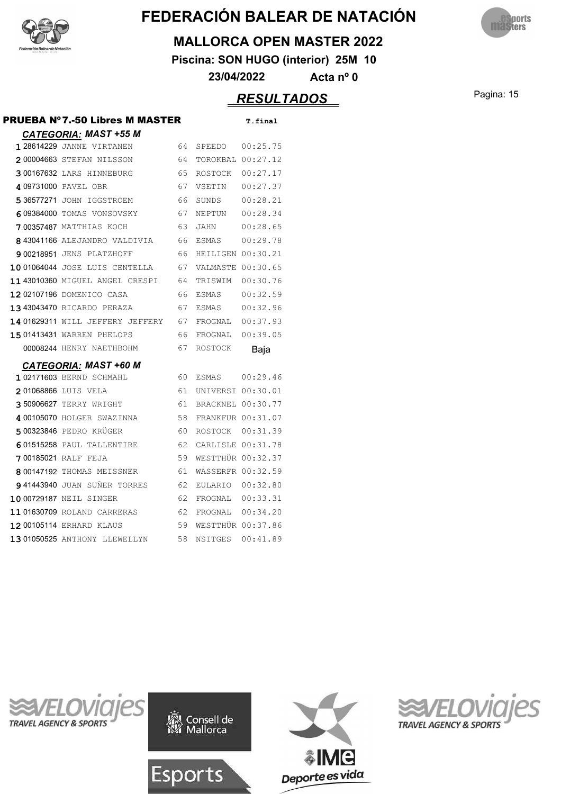



#### **MALLORCA OPEN MASTER 2022**

**Piscina: SON HUGO (interior) 25M 10**

**23/04/2022 Acta nº 0**

### Pagina: 15 *RESULTADOS*

| PRUEBA Nº7.-50 Libres M MASTER     |    |                   | T.final  |
|------------------------------------|----|-------------------|----------|
| <b>CATEGORIA: MAST +55 M</b>       |    |                   |          |
| <b>128614229 JANNE VIRTANEN</b>    | 64 | SPEEDO            | 00:25.75 |
| 200004663 STEFAN NILSSON           | 64 | TOROKBAL 00:27.12 |          |
| 300167632 LARS HINNEBURG           | 65 | ROSTOCK 00:27.17  |          |
| 4 09731000 PAVEL OBR               | 67 | VSETIN            | 00:27.37 |
| 5 36577271 JOHN IGGSTROEM          | 66 | SUNDS             | 00:28.21 |
| 609384000 TOMAS VONSOVSKY          | 67 | NEPTUN            | 00:28.34 |
| <b>700357487 MATTHIAS KOCH</b>     | 63 | JAHN              | 00:28.65 |
| 843041166 ALEJANDRO VALDIVIA       | 66 | ESMAS             | 00:29.78 |
| 900218951 JENS PLATZHOFF           | 66 | HEILIGEN 00:30.21 |          |
| 1001064044 JOSE LUIS CENTELLA      | 67 | VALMASTE 00:30.65 |          |
| 11 43010360 MIGUEL ANGEL CRESPI    | 64 | TRISWIM           | 00:30.76 |
| 1202107196 DOMENICO CASA           | 66 | <b>ESMAS</b>      | 00:32.59 |
| 13 43043470 RICARDO PERAZA         | 67 | ESMAS             | 00:32.96 |
| 14  01629311  WILL JEFFERY JEFFERY | 67 | FROGNAL           | 00:37.93 |
| 1501413431 WARREN PHELOPS          | 66 | FROGNAL           | 00:39.05 |
| 00008244 HENRY NAETHBOHM           | 67 | ROSTOCK           | Baja     |
| <b>CATEGORIA: MAST +60 M</b>       |    |                   |          |
| 1 02171603 BERND SCHMAHL           | 60 | ESMAS 00:29.46    |          |
| 201068866 LUIS VELA                | 61 | UNIVERSI 00:30.01 |          |
| 3 50906627 TERRY WRIGHT            | 61 | BRACKNEL 00:30.77 |          |
| 4 00105070 HOLGER SWAZINNA         | 58 | FRANKFUR 00:31.07 |          |
| 500323846 PEDRO KRÜGER             | 60 | ROSTOCK 00:31.39  |          |
| 601515258 PAUL TALLENTIRE          | 62 | CARLISLE 00:31.78 |          |
| 700185021 RALF FEJA                | 59 | WESTTHÜR 00:32.37 |          |
| 8 00147192 THOMAS MEISSNER         | 61 | WASSERFR 00:32.59 |          |
| 941443940 JUAN SUÑER TORRES        | 62 | EULARIO 00:32.80  |          |
| 10 00729187 NEIL SINGER            | 62 | FROGNAL 00:33.31  |          |
| 11 01630709 ROLAND CARRERAS        | 62 | FROGNAL           | 00:34.20 |
| 1200105114 ERHARD KLAUS            | 59 | WESTTHÜR 00:37.86 |          |
| 1301050525 ANTHONY LLEWELLYN       | 58 | NSITGES           | 00:41.89 |







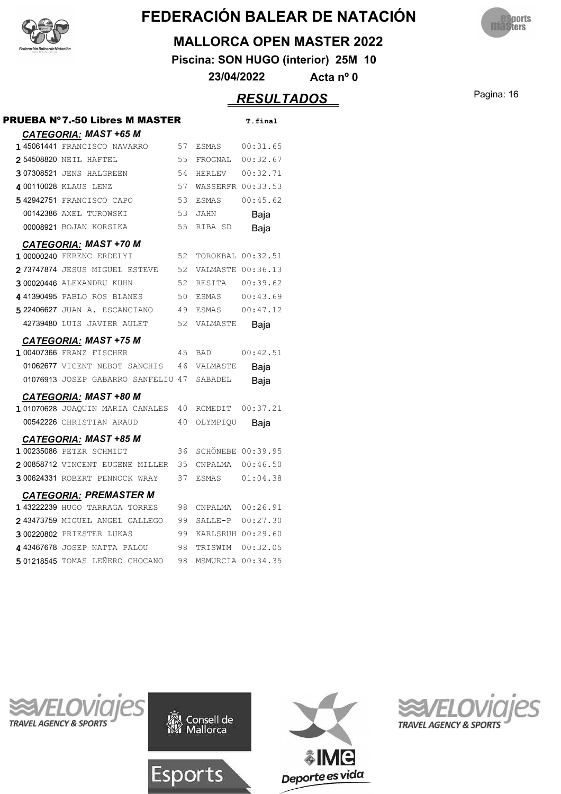



#### **MALLORCA OPEN MASTER 2022**

**Piscina: SON HUGO (interior) 25M 10**

**23/04/2022 Acta nº 0**

### **RESULTADOS** Pagina: 16

| PRUEBA Nº7.-50 Libres M MASTER     |    |                          | T.final  |
|------------------------------------|----|--------------------------|----------|
| <b>CATEGORIA: MAST +65 M</b>       |    |                          |          |
| 1 45061441 FRANCISCO NAVARRO       | 57 | ESMAS                    | 00:31.65 |
| 2 54508820 NEIL HAFTEL             | 55 | FROGNAL                  | 00:32.67 |
| 307308521 JENS HALGREEN            | 54 | HERLEV                   | 00:32.71 |
| 4 00110028 KLAUS LENZ              | 57 | WASSERFR 00:33.53        |          |
| 542942751 FRANCISCO CAPO           | 53 | <b>ESMAS</b>             | 00:45.62 |
| 00142386 AXEL TUROWSKI             | 53 | <b>JAHN</b>              | Baja     |
| 00008921 BOJAN KORSIKA             | 55 | RIBA SD                  | Baja     |
| <b>CATEGORIA: MAST +70 M</b>       |    |                          |          |
| 1 00000240 FERENC ERDELYI          | 52 | TOROKBAL 00:32.51        |          |
| 273747874 JESUS MIGUEL ESTEVE      | 52 | VALMASTE 00:36.13        |          |
| 300020446 ALEXANDRU KUHN           | 52 | RESITA                   | 00:39.62 |
| 441390495 PABLO ROS BLANES         | 50 | ESMAS                    | 00:43.69 |
| 5 22406627 JUAN A. ESCANCIANO      | 49 | ESMAS                    | 00:47.12 |
| 42739480 LUIS JAVIER AULET         | 52 | VALMASTE                 | Baia     |
| <b>CATEGORIA: MAST +75 M</b>       |    |                          |          |
| 1 00407366 FRANZ FISCHER           | 45 | <b>BAD</b>               | 00:42.51 |
| 01062677 VICENT NEBOT SANCHIS      | 46 | VALMASTE                 | Baja     |
| 01076913 JOSEP GABARRO SANFELIU 47 |    | <b>SABADEL</b>           | Baja     |
| <b>CATEGORIA: MAST +80 M</b>       |    |                          |          |
| 101070628 JOAQUIN MARIA CANALES    | 40 | RCMEDIT                  | 00:37.21 |
| 00542226 CHRISTIAN ARAUD           | 40 | OLYMPIOU                 | Baja     |
| <b>CATEGORIA: MAST +85 M</b>       |    |                          |          |
| 1 00235086 PETER SCHMIDT           | 36 | <b>SCHÖNEBE 00:39.95</b> |          |
| 200858712 VINCENT EUGENE MILLER    | 35 | CNPALMA                  | 00:46.50 |
| 300624331 ROBERT PENNOCK WRAY      | 37 | ESMAS                    | 01:04.38 |
| <b>CATEGORIA: PREMASTER M</b>      |    |                          |          |
| 143222239 HUGO TARRAGA TORRES      | 98 | CNPALMA  00:26.91        |          |
| 2 43473759 MIGUEL ANGEL GALLEGO    | 99 | SALLE-P 00:27.30         |          |
| 300220802 PRIESTER LUKAS           | 99 | KARLSRUH 00:29.60        |          |
| 4 43467678 JOSEP NATTA PALOU       | 98 | TRISWIM                  | 00:32.05 |
| 501218545 TOMAS LEÑERO CHOCANO     | 98 | MSMURCIA 00:34.35        |          |
|                                    |    |                          |          |







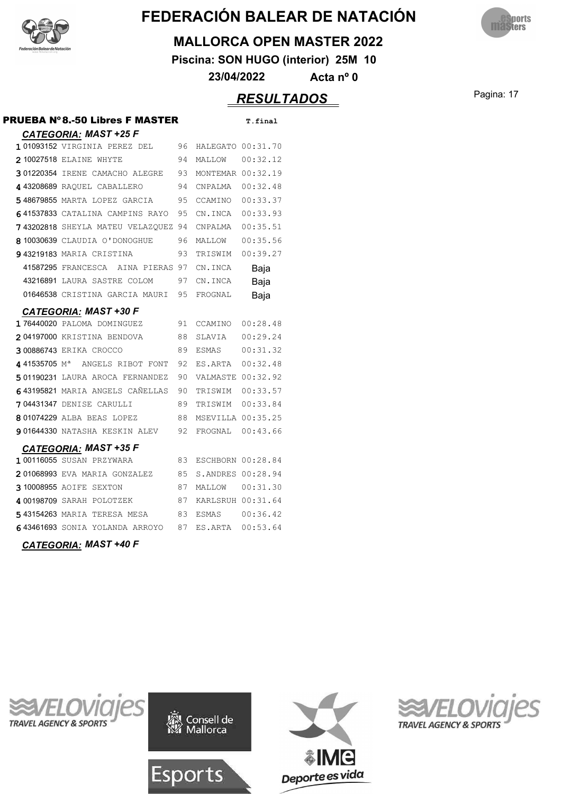



#### **MALLORCA OPEN MASTER 2022**

**Piscina: SON HUGO (interior) 25M 10**

**23/04/2022 Acta nº 0**

### Pagina: 17 *RESULTADOS*

| PRUEBA Nº8.-50 Libres F MASTER             |    |                   | T.final  |
|--------------------------------------------|----|-------------------|----------|
| <b>CATEGORIA: MAST +25 F</b>               |    |                   |          |
| 101093152 VIRGINIA PEREZ DEL               | 96 | HALEGATO 00:31.70 |          |
| <b>2 10027518 ELAINE WHYTE</b>             | 94 | MALLOW            | 00:32.12 |
| 301220354 IRENE CAMACHO ALEGRE             | 93 | MONTEMAR 00:32.19 |          |
| 443208689 RAOUEL CABALLERO                 | 94 | CNPALMA           | 00:32.48 |
| 548679855 MARTA LOPEZ GARCIA               | 95 | CCAMINO 00:33.37  |          |
| 641537833 CATALINA CAMPINS RAYO            | 95 | CN. INCA 00:33.93 |          |
| 743202818 SHEYLA MATEU VELAZOUEZ 94        |    | CNPALMA           | 00:35.51 |
| 810030639 CLAUDIA O'DONOGHUE               | 96 | MALLOW            | 00:35.56 |
| 943219183 MARIA CRISTINA                   | 93 | TRISWIM           | 00:39.27 |
| 41587295 FRANCESCA<br>AINA PIERAS 97       |    | CN.INCA           | Baja     |
| 43216891 LAURA SASTRE COLOM                | 97 | CN.INCA           | Baja     |
| 01646538 CRISTINA GARCIA MAURI 95          |    | FROGNAL           | Baja     |
| <b>CATEGORIA: MAST +30 F</b>               |    |                   |          |
| 176440020 PALOMA DOMINGUEZ                 | 91 | CCAMINO           | 00:28.48 |
| 204197000 KRISTINA BENDOVA                 | 88 | SLAVIA            | 00:29.24 |
| 300886743 ERIKA CROCCO                     | 89 | ESMAS             | 00:31.32 |
| 441535705 M <sup>a</sup> ANGELS RIBOT FONT | 92 | ES.ARTA 00:32.48  |          |
| 501190231 LAURA AROCA FERNANDEZ            | 90 | VALMASTE 00:32.92 |          |
| 643195821 MARIA ANGELS CAÑELLAS            | 90 | TRISWIM           | 00:33.57 |
| 704431347 DENISE CARULLI                   | 89 | TRISWIM           | 00:33.84 |
| 801074229 ALBA BEAS LOPEZ                  | 88 | MSEVILLA 00:35.25 |          |
| 901644330 NATASHA KESKIN ALEV              | 92 | FROGNAL 00:43.66  |          |
| <b>CATEGORIA: MAST +35 F</b>               |    |                   |          |
| 1 00116055 SUSAN PRZYWARA                  | 83 | ESCHBORN 00:28.84 |          |
| 201068993 EVA MARIA GONZALEZ               | 85 | S.ANDRES 00:28.94 |          |
| 310008955 AOIFE SEXTON                     | 87 | MALLOW            | 00:31.30 |
| 4 00198709 SARAH POLOTZEK                  | 87 | KARLSRUH 00:31.64 |          |
| 543154263 MARIA TERESA MESA                | 83 | <b>ESMAS</b>      | 00:36.42 |
| 643461693 SONIA YOLANDA ARROYO             | 87 | ES.ARTA 00:53.64  |          |
|                                            |    |                   |          |

*CATEGORIA: MAST +40 F*





Esports



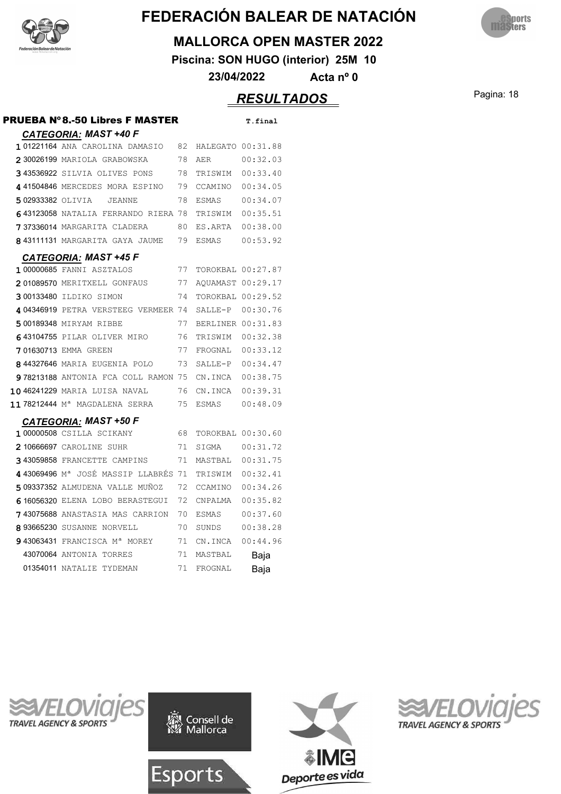



#### **MALLORCA OPEN MASTER 2022**

**Piscina: SON HUGO (interior) 25M 10**

**23/04/2022 Acta nº 0**

### Pagina: 18 *RESULTADOS*

| <b>PRUEBA N°8.-50 Libres F MASTER</b>           |     |                   | T.final  |
|-------------------------------------------------|-----|-------------------|----------|
| <b>CATEGORIA: MAST +40 F</b>                    |     |                   |          |
| 101221164 ANA CAROLINA DAMASIO                  | 82  | HALEGATO 00:31.88 |          |
| 230026199 MARIOLA GRABOWSKA                     | 78  | AER               | 00:32.03 |
| 343536922 SILVIA OLIVES PONS                    | 78  | TRISWIM 00:33.40  |          |
| 441504846 MERCEDES MORA ESPINO                  | 79  | CCAMINO 00:34.05  |          |
| 502933382 OLIVIA<br><b>JEANNE</b>               | 78  | ESMAS 00:34.07    |          |
| 643123058 NATALIA FERRANDO RIERA 78             |     | TRISWIM 00:35.51  |          |
| 737336014 MARGARITA CLADERA                     | 80. | ES.ARTA 00:38.00  |          |
| 843111131 MARGARITA GAYA JAUME                  | 79  | ESMAS             | 00:53.92 |
| <b>CATEGORIA: MAST +45 F</b>                    |     |                   |          |
| 100000685 FANNI ASZTALOS                        | 77  | TOROKBAL 00:27.87 |          |
| 201089570 MERITXELL GONFAUS                     | 77  | AOUAMAST 00:29.17 |          |
| 300133480 ILDIKO SIMON                          | 74  | TOROKBAL 00:29.52 |          |
| 404346919 PETRA VERSTEEG VERMEER 74             |     | SALLE-P 00:30.76  |          |
| 500189348 MIRYAM RIBBE                          | 77  | BERLINER 00:31.83 |          |
| 643104755 PILAR OLIVER MIRO                     | 76  | TRISWIM 00:32.38  |          |
| 701630713 EMMA GREEN                            | 77  | FROGNAL 00:33.12  |          |
| 844327646 MARIA EUGENIA POLO                    | 73  | SALLE-P 00:34.47  |          |
| 978213188 ANTONIA FCA COLL RAMON 75             |     | CN.INCA 00:38.75  |          |
| 1046241229 MARIA LUISA NAVAL                    | 76  | CN.INCA 00:39.31  |          |
| 11 78212444 M <sup>a</sup> MAGDALENA SERRA      | 75  | ESMAS 00:48.09    |          |
| <b>CATEGORIA: MAST +50 F</b>                    |     |                   |          |
| 1 00000508 CSILLA SCIKANY                       | 68. | TOROKBAL 00:30.60 |          |
| 2 10666697 CAROLINE SUHR                        | 71  |                   |          |
| 343059858 FRANCETTE CAMPINS                     | 71  | MASTBAL 00:31.75  |          |
| 443069496 M <sup>a</sup> JOSÉ MASSIP LLABRÉS 71 |     | TRISWIM 00:32.41  |          |
| 509337352 ALMUDENA VALLE MUÑOZ                  | 72  | CCAMINO 00:34.26  |          |
| 616056320 ELENA LOBO BERASTEGUI                 | 72  | CNPALMA           | 00:35.82 |
| 743075688 ANASTASIA MAS CARRION                 | 70  | ESMAS             | 00:37.60 |
| 893665230 SUSANNE NORVELL                       | 70  | SUNDS             | 00:38.28 |
| 943063431 FRANCISCA Mª MOREY                    | 71  | CN.INCA           | 00:44.96 |
| 43070064 ANTONIA TORRES                         | 71  | MASTBAL           | Baja     |
| 01354011 NATALIE TYDEMAN                        | 71  | FROGNAL           | Baja     |
|                                                 |     |                   |          |







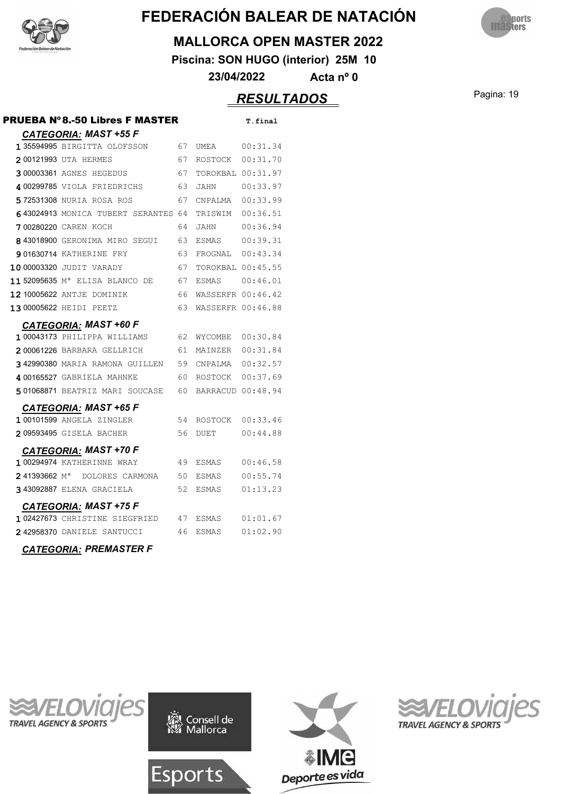



#### **MALLORCA OPEN MASTER 2022**

**Piscina: SON HUGO (interior) 25M 10**

**23/04/2022 Acta nº 0**

### Pagina: 19 *RESULTADOS*

| PRUEBA Nº8.-50 Libres F MASTER<br><b>CATEGORIA: MAST +55 F</b>           |      |                        | T.final |
|--------------------------------------------------------------------------|------|------------------------|---------|
| 135594995 BIRGITTA OLOFSSON 67                                           |      |                        |         |
| 200121993 UTA HERMES                                                     | 67   | ROSTOCK 00:31.70       |         |
| 300003361 AGNES HEGEDUS                                                  | 67   | TOROKBAL 00:31.97      |         |
| 4 00299785 VIOLA FRIEDRICHS 63                                           |      | JAHN 00:33.97          |         |
| 572531308 NURIA ROSA ROS<br>67                                           |      | CNPALMA  00:33.99      |         |
| 643024913 MONICA TUBERT SERANTES 64                                      |      | TRISWIM 00:36.51       |         |
| <b>700280220</b> CAREN KOCH                                              | 64   | JAHN 00:36.94          |         |
| 843018900 GERONIMA MIRO SEGUI 63                                         |      |                        |         |
| 901630714 KATHERINE FRY                                                  | 63   | FROGNAL 00:43.34       |         |
| 10 00003320 JUDIT VARADY 67                                              |      | TOROKBAL 00:45.55      |         |
| 11 52095635 M <sup>a</sup> ELISA BLANCO DE 67                            |      |                        |         |
| 12 10005622 ANTJE DOMINIK                                                | - 66 | WASSERFR 00:46.42      |         |
| 13 00005622 HEIDI PEETZ                                                  |      | 63 WASSERFR 00:46.88   |         |
| <b>CATEGORIA: MAST +60 F</b>                                             |      |                        |         |
| 1 00043173 PHILIPPA WILLIAMS 62 WYCOMBE 00:30.84                         |      |                        |         |
| 200061226 BARBARA GELLRICH                                               | 61   | MAINZER 00:31.84       |         |
| 342990380 MARIA RAMONA GUILLEN 59 CNPALMA 00:32.57                       |      |                        |         |
| 400165527 GABRIELA MAHNKE<br>60                                          |      | ROSTOCK 00:37.69       |         |
| 501068871 BEATRIZ MARI SOUCASE 60                                        |      | BARRACUD 00:48.94      |         |
| <b>CATEGORIA: MAST +65 F</b>                                             |      |                        |         |
| 1 00101599 ANGELA ZINGLER                                                |      | 54 ROSTOCK 00:33.46    |         |
| 209593495 GISELA BACHER                                                  | 56   | DUET 00:44.88          |         |
| <b>CATEGORIA: MAST +70 F</b>                                             |      |                        |         |
| 100294974 KATHERINNE WRAY                                                |      | 49 ESMAS 00:46.58      |         |
| 241393662 M <sup>a</sup> DOLORES CARMONA 50                              |      | ESMAS 00:55.74         |         |
| 343092887 ELENA GRACIELA                                                 | 52   | ESMAS         01:13.23 |         |
|                                                                          |      |                        |         |
| CATEGORIA: MAST +75 F<br>102427673 CHRISTINE SIEGFRIED 47 ESMAS 01:01.67 |      |                        |         |
| 242958370 DANIELE SANTUCCI 46                                            |      |                        |         |







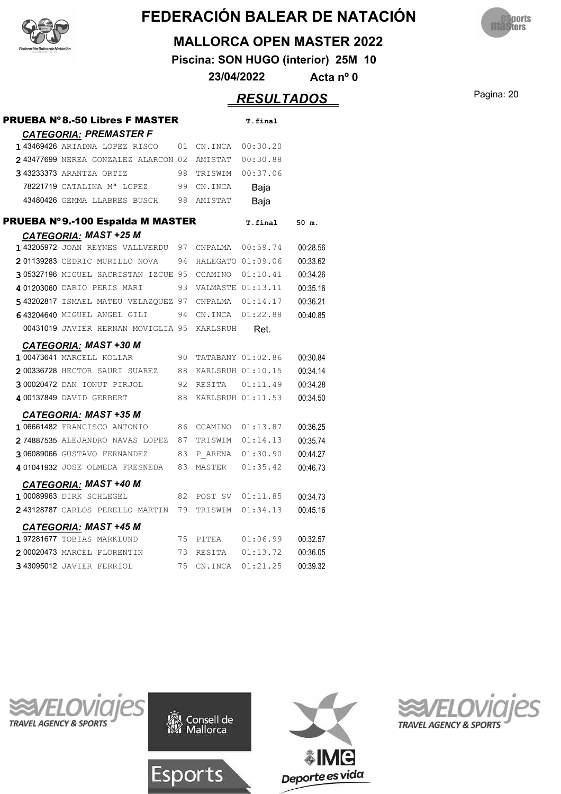



#### **MALLORCA OPEN MASTER 2022**

**Piscina: SON HUGO (interior) 25M 10**

**23/04/2022 Acta nº 0**

### Pagina: 20 *RESULTADOS*

| <b>PRUEBA N°8.-50 Libres F MASTER</b>                          |    |                    | T.final           |          |
|----------------------------------------------------------------|----|--------------------|-------------------|----------|
| <b>CATEGORIA: PREMASTER F</b><br>143469426 ARIADNA LOPEZ RISCO | 01 | CN.INCA            | 00:30.20          |          |
| 243477699 NEREA GONZALEZ ALARCON 02                            |    | AMISTAT            | 00:30.88          |          |
| 343233373 ARANTZA ORTIZ                                        | 98 | TRISWIM            | 00:37.06          |          |
| 78221719 CATALINA Mª LOPEZ                                     | 99 | CN.INCA            | Baja              |          |
| 43480426 GEMMA LLABRES BUSCH                                   | 98 | AMISTAT            | Baja              |          |
| PRUEBA Nº9.-100 Espalda M MASTER                               |    |                    | T.final           | 50 m.    |
| <b>CATEGORIA: MAST +25 M</b>                                   |    |                    |                   |          |
| 143205972 JOAN REYNES VALLVERDU                                | 97 | CNPALMA            | 00:59.74          | 00:28.56 |
| 201139283 CEDRIC MURILLO NOVA                                  | 94 | HALEGATO 01:09.06  |                   | 00:33.62 |
| 305327196 MIGUEL SACRISTAN IZCUE 95                            |    | CCAMINO            | 01:10.41          | 00:34.26 |
| 4 01203060 DARIO PERIS MARI                                    | 93 | VALMASTE 01:13.11  |                   | 00:35.16 |
| 543202817 ISMAEL MATEU VELAZQUEZ 97                            |    | CNPALMA $01:14.17$ |                   | 00:36.21 |
| 643204640 MIGUEL ANGEL GILI                                    | 94 | CN.INCA            | 01:22.88          | 00:40.85 |
| 00431019 JAVIER HERNAN MOVIGLIA 95                             |    | KARLSRUH           | Ret.              |          |
| <b>CATEGORIA: MAST +30 M</b><br>1 00473641 MARCELL KOLLAR      | 90 |                    | TATABANY 01:02.86 | 00:30.84 |
| 200336728 HECTOR SAURI SUAREZ                                  | 88 | KARLSRUH 01:10.15  |                   | 00:34.14 |
| 300020472 DAN IONUT PIRJOL                                     | 92 |                    |                   | 00:34.28 |
| 4 00137849 DAVID GERBERT                                       | 88 |                    | KARLSRUH 01:11.53 | 00:34.50 |
| <b>CATEGORIA: MAST +35 M</b>                                   |    |                    |                   |          |
| 1 06661482 FRANCISCO ANTONIO                                   | 86 | CCAMINO            | 01:13.87          | 00:36.25 |
| 274887535 ALEJANDRO NAVAS LOPEZ                                | 87 | TRISWIM            | 01:14.13          | 00:35.74 |
| 306089066 GUSTAVO FERNANDEZ                                    | 83 |                    | P ARENA 01:30.90  | 00:44.27 |
| 401041932 JOSE OLMEDA FRESNEDA                                 | 83 | MASTER             | 01:35.42          | 00:46.73 |
| <b>CATEGORIA: MAST +40 M</b>                                   |    |                    |                   |          |
| 1 00089963 DIRK SCHLEGEL                                       | 82 | POST SV 01:11.85   |                   | 00:34.73 |
| 243128787 CARLOS PERELLO MARTIN                                | 79 | TRISWIM            | 01:34.13          | 00:45.16 |
| <b>CATEGORIA: MAST +45 M</b><br>197281677 TOBIAS MARKLUND      | 75 | PITEA              | 01:06.99          | 00:32.57 |
|                                                                |    |                    |                   |          |
| 200020473 MARCEL FLORENTIN                                     | 73 | RESITA             | 01:13.72          | 00:36.05 |







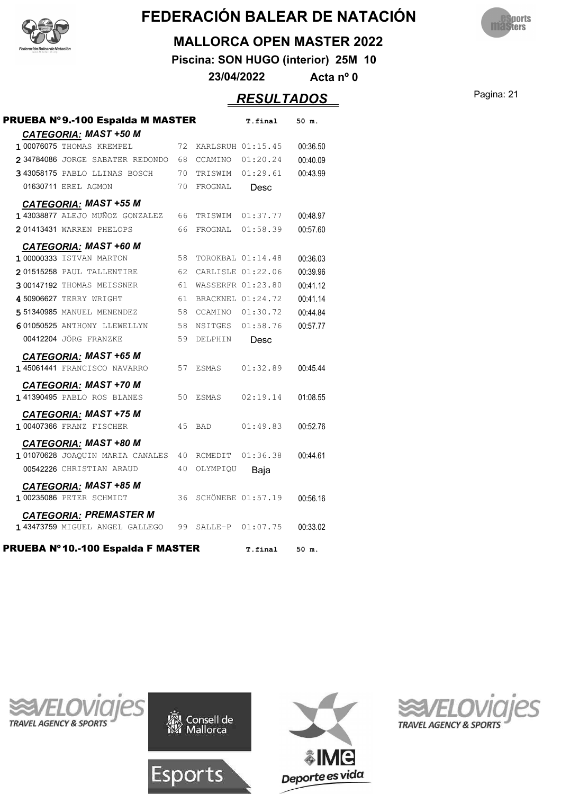



#### **MALLORCA OPEN MASTER 2022**

**Piscina: SON HUGO (interior) 25M 10**

**23/04/2022 Acta nº 0**

### Pagina: 21 *RESULTADOS*

| PRUEBA Nº9.-100 Espalda M MASTER                                |    |            | T.final                  | 50 m.    |
|-----------------------------------------------------------------|----|------------|--------------------------|----------|
| <b>CATEGORIA: MAST +50 M</b>                                    |    |            |                          |          |
| 1 00076075 THOMAS KREMPEL                                       | 72 |            | KARLSRUH 01:15.45        | 00:36.50 |
| 234784086 JORGE SABATER REDONDO                                 | 68 | CCAMINO    | 01:20.24                 | 00:40.09 |
| 3 43058175 PABLO LLINAS BOSCH                                   | 70 | TRISWIM    | 01:29.61                 | 00:43.99 |
| 01630711 EREL AGMON                                             | 70 | FROGNAL    | Desc                     |          |
| <b>CATEGORIA: MAST +55 M</b><br>1 43038877 ALEJO MUÑOZ GONZALEZ | 66 | TRISWIM    | 01:37.77                 | 00:48.97 |
| 201413431 WARREN PHELOPS                                        | 66 | FROGNAL    | 01:58.39                 | 00:57.60 |
| <b>CATEGORIA: MAST +60 M</b>                                    |    |            |                          |          |
| 1 00000333 ISTVAN MARTON                                        | 58 |            | TOROKBAL 01:14.48        | 00:36.03 |
| 201515258 PAUL TALLENTIRE                                       | 62 |            | CARLISLE 01:22.06        | 00:39.96 |
| 300147192 THOMAS MEISSNER                                       | 61 |            | WASSERFR 01:23.80        | 00:41.12 |
| 4 50906627 TERRY WRIGHT                                         | 61 |            | BRACKNEL 01:24.72        | 00:41.14 |
| <b>551340985 MANUEL MENENDEZ</b>                                | 58 |            | CCAMINO 01:30.72         | 00:44.84 |
| 601050525 ANTHONY LLEWELLYN                                     | 58 |            | NSITGES 01:58.76         | 00:57.77 |
| 00412204 JÖRG FRANZKE                                           | 59 | DELPHIN    | Desc                     |          |
| <b>CATEGORIA: MAST +65 M</b>                                    |    |            |                          |          |
| 1 45061441 FRANCISCO NAVARRO                                    | 57 | ESMAS      | 01:32.89                 | 00:45.44 |
| <b>CATEGORIA: MAST +70 M</b>                                    |    |            |                          |          |
| 141390495 PABLO ROS BLANES                                      | 50 | ESMAS      | 02:19.14                 | 01:08.55 |
| <b>CATEGORIA: MAST +75 M</b><br>1 00407366 FRANZ FISCHER        | 45 | <b>BAD</b> | 01:49.83                 | 00:52.76 |
| <b>CATEGORIA: MAST +80 M</b>                                    |    |            |                          |          |
| 101070628 JOAQUIN MARIA CANALES                                 | 40 | RCMEDIT    | 01:36.38                 | 00:44.61 |
| 00542226 CHRISTIAN ARAUD                                        | 40 | OLYMPIQU   | Baja                     |          |
| <b>CATEGORIA: MAST +85 M</b>                                    |    |            |                          |          |
| 1 00235086 PETER SCHMIDT                                        | 36 |            | <b>SCHÖNEBE 01:57.19</b> | 00:56.16 |
| <b>CATEGORIA: PREMASTER M</b>                                   |    |            |                          |          |
| 1 43473759 MIGUEL ANGEL GALLEGO                                 | 99 | SALLE-P    | 01:07.75                 | 00:33.02 |
| PRUEBA Nº10.-100 Espalda F MASTER                               |    |            | T.final                  | 50 m.    |







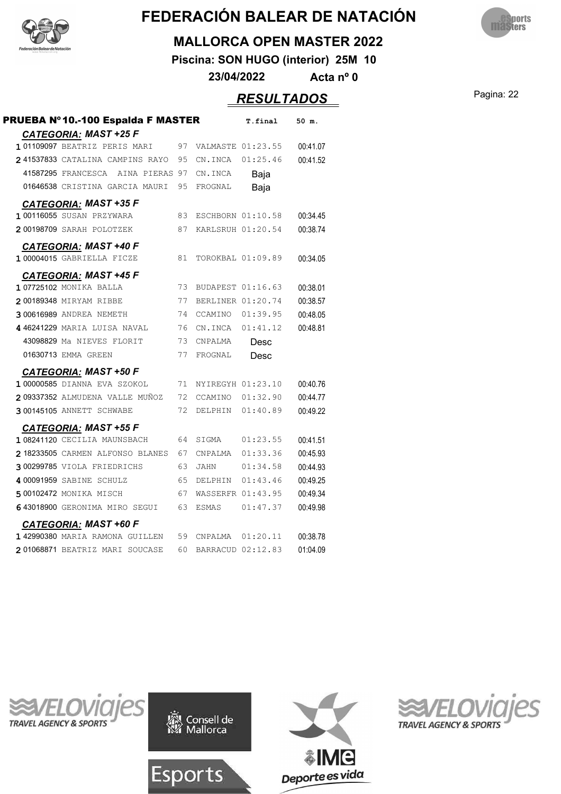



#### **MALLORCA OPEN MASTER 2022**

**Piscina: SON HUGO (interior) 25M 10**

**23/04/2022 Acta nº 0**

### Pagina: 22 *RESULTADOS*

| PRUEBA Nº10.-100 Espalda F MASTER                          |    |                   | T.final           | 50 m.    |
|------------------------------------------------------------|----|-------------------|-------------------|----------|
| <b>CATEGORIA: MAST +25 F</b>                               |    |                   |                   |          |
| 101109097 BEATRIZ PERIS MARI                               | 97 |                   | VALMASTE 01:23.55 | 00:41.07 |
| 241537833 CATALINA CAMPINS RAYO                            | 95 | CN.INCA           | 01:25.46          | 00:41.52 |
| 41587295 FRANCESCA AINA PIERAS 97                          |    | CN.INCA           | Baja              |          |
| 01646538 CRISTINA GARCIA MAURI                             | 95 | FROGNAL           | Baja              |          |
| <b>CATEGORIA: MAST +35 F</b>                               |    |                   |                   |          |
| 1 00116055 SUSAN PRZYWARA                                  | 83 |                   | ESCHBORN 01:10.58 | 00:34.45 |
| 200198709 SARAH POLOTZEK                                   | 87 | KARLSRUH 01:20.54 |                   | 00:38.74 |
| <b>CATEGORIA: MAST +40 F</b><br>1 00004015 GABRIELLA FICZE | 81 |                   | TOROKBAL 01:09.89 | 00:34.05 |
|                                                            |    |                   |                   |          |
| <b>CATEGORIA: MAST +45 F</b><br>107725102 MONIKA BALLA     | 73 |                   | BUDAPEST 01:16.63 | 00:38.01 |
| 200189348 MIRYAM RIBBE                                     | 77 | BERLINER 01:20.74 |                   | 00:38.57 |
| 300616989 ANDREA NEMETH                                    | 74 | CCAMINO           | 01:39.95          | 00:48.05 |
| 446241229 MARIA LUISA NAVAL                                | 76 | CN.INCA           | 01:41.12          | 00:48.81 |
| 43098829 Ma NIEVES FLORIT                                  | 73 | CNPALMA           |                   |          |
| 01630713 EMMA GREEN                                        | 77 | FROGNAL           | Desc              |          |
|                                                            |    |                   | Desc              |          |
| <b>CATEGORIA: MAST +50 F</b>                               |    |                   |                   |          |
| 1 00000585 DIANNA EVA SZOKOL                               | 71 | NYIREGYH 01:23.10 |                   | 00:40.76 |
| 209337352 ALMUDENA VALLE MUÑOZ                             | 72 | CCAMINO           | 01:32.90          | 00:44.77 |
| 300145105 ANNETT SCHWABE                                   | 72 | DELPHIN           | 01:40.89          | 00:49.22 |
| <b>CATEGORIA: MAST +55 F</b>                               |    |                   |                   |          |
| 1 08241120 CECILIA MAUNSBACH                               | 64 | SIGMA             | 01:23.55          | 00:41.51 |
| 218233505 CARMEN ALFONSO BLANES                            | 67 | CNPALMA           | 01:33.36          | 00:45.93 |
| 300299785 VIOLA FRIEDRICHS                                 | 63 | <b>JAHN</b>       | 01:34.58          | 00:44.93 |
| 400091959 SABINE SCHULZ                                    | 65 | DELPHIN           | 01:43.46          | 00:49.25 |
| 500102472 MONIKA MISCH                                     | 67 |                   | WASSERFR 01:43.95 | 00:49.34 |
| 643018900 GERONIMA MIRO SEGUI                              | 63 | ESMAS             | 01:47.37          | 00:49.98 |
| <b>CATEGORIA: MAST +60 F</b>                               |    |                   |                   |          |
| 1 42990380 MARIA RAMONA GUILLEN                            | 59 | CNPALMA           | 01:20.11          | 00:38.78 |
| 201068871 BEATRIZ MARI SOUCASE                             | 60 |                   | BARRACUD 02:12.83 | 01:04.09 |







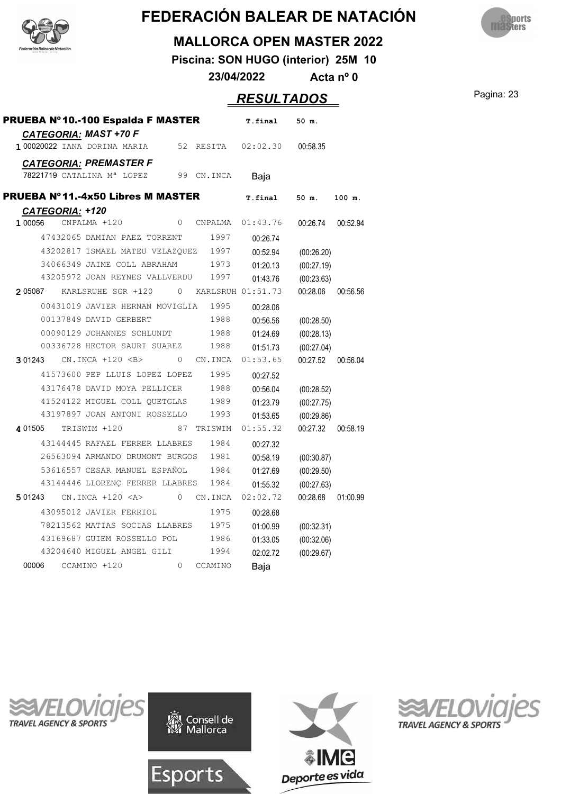



#### **MALLORCA OPEN MASTER 2022**

**Piscina: SON HUGO (interior) 25M 10**

**23/04/2022 Acta nº 0**

**Pagina: 23** 

|  | <i>ESULTADOS</i> |  |
|--|------------------|--|
|--|------------------|--|

| PRUEBA Nº10.-100 Espalda F MASTER                            |                                      |              |           | T.final           | 50 m.      |          |
|--------------------------------------------------------------|--------------------------------------|--------------|-----------|-------------------|------------|----------|
| <b>CATEGORIA: MAST +70 F</b><br>1 00020022 IANA DORINA MARIA |                                      | 52           |           | RESITA 02:02.30   | 00:58.35   |          |
| <b>CATEGORIA: PREMASTER F</b>                                |                                      |              |           |                   |            |          |
| 78221719 CATALINA Mª LOPEZ                                   |                                      | 99           | CN.INCA   | Baja              |            |          |
| <b>PRUEBA Nº11.-4x50 Libres M MASTER</b>                     |                                      |              |           | T.final           | 50 m.      | 100 m.   |
| CATEGORIA: +120                                              |                                      |              |           |                   |            |          |
| 1 00056<br>CNPALMA +120                                      |                                      |              | 0 CNPALMA | 01:43.76          | 00:26.74   | 00:52.94 |
|                                                              | 47432065 DAMIAN PAEZ TORRENT         |              | 1997      | 00:26.74          |            |          |
|                                                              | 43202817 ISMAEL MATEU VELAZQUEZ 1997 |              |           | 00:52.94          | (00:26.20) |          |
|                                                              | 34066349 JAIME COLL ABRAHAM          |              | 1973      | 01:20.13          | (00:27.19) |          |
|                                                              | 43205972 JOAN REYNES VALLVERDU       |              | 1997      | 01:43.76          | (00:23.63) |          |
| 2 05087                                                      | KARLSRUHE SGR +120                   | $\mathbf{0}$ |           | KARLSRUH 01:51.73 | 00:28.06   | 00:56.56 |
|                                                              | 00431019 JAVIER HERNAN MOVIGLIA      |              | 1995      | 00:28.06          |            |          |
| 00137849 DAVID GERBERT                                       |                                      |              | 1988      | 00:56.56          | (00:28.50) |          |
|                                                              | 00090129 JOHANNES SCHLUNDT           |              | 1988      | 01:24.69          | (00:28.13) |          |
|                                                              | 00336728 HECTOR SAURI SUAREZ         |              | 1988      | 01:51.73          | (00:27.04) |          |
| 301243 CN.INCA +120 <b></b>                                  |                                      | 0            | CN.INCA   | 01:53.65          | 00:27.52   | 00:56.04 |
|                                                              | 41573600 PEP LLUIS LOPEZ LOPEZ       |              | 1995      | 00:27.52          |            |          |
|                                                              | 43176478 DAVID MOYA PELLICER         |              | 1988      | 00:56.04          | (00:28.52) |          |
|                                                              | 41524122 MIGUEL COLL OUETGLAS        |              | 1989      | 01:23.79          | (00:27.75) |          |
|                                                              | 43197897 JOAN ANTONI ROSSELLO        |              | 1993      | 01:53.65          | (00:29.86) |          |
| 4 01505<br>TRISWIM +120                                      |                                      | 87           | TRISWIM   | 01:55.32          | 00:27.32   | 00:58.19 |
|                                                              | 43144445 RAFAEL FERRER LLABRES       |              | 1984      | 00:27.32          |            |          |
|                                                              | 26563094 ARMANDO DRUMONT BURGOS      |              | 1981      | 00:58.19          | (00:30.87) |          |
|                                                              | 53616557 CESAR MANUEL ESPAÑOL        |              | 1984      | 01:27.69          | (00:29.50) |          |
|                                                              | 43144446 LLORENC FERRER LLABRES      |              | 1984      | 01:55.32          | (00:27.63) |          |
| 5 01243                                                      | $CN. INCA + 120 < A>$                | $\circ$      | CN.INCA   | 02:02.72          | 00:28.68   | 01:00.99 |
|                                                              | 43095012 JAVIER FERRIOL              |              | 1975      | 00:28.68          |            |          |
|                                                              | 78213562 MATIAS SOCIAS LLABRES       |              | 1975      |                   |            |          |
|                                                              | 43169687 GUIEM ROSSELLO POL          |              | 1986      | 01:00.99          | (00:32.31) |          |
|                                                              | 43204640 MIGUEL ANGEL GILI           |              | 1994      | 01:33.05          | (00:32.06) |          |
| 00006                                                        |                                      | $\circ$      |           | 02:02.72          | (00:29.67) |          |
| CCAMINO +120                                                 |                                      |              | CCAMINO   | Baja              |            |          |







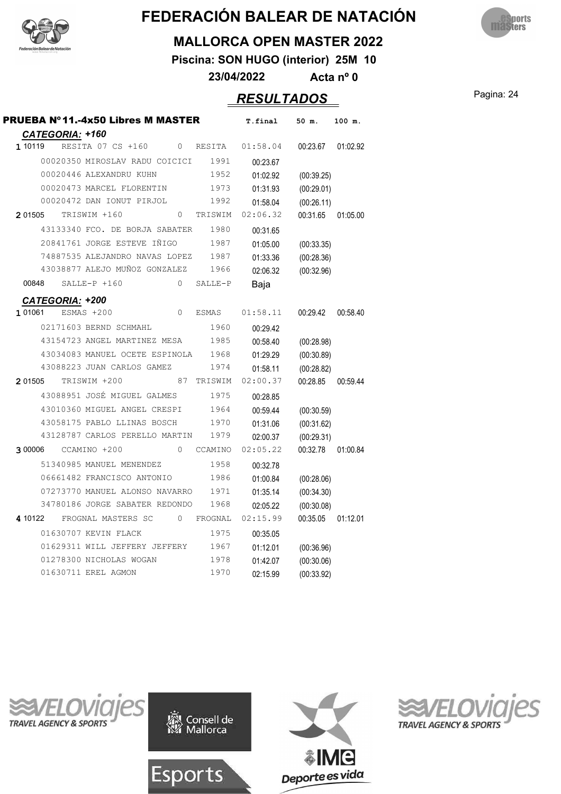



#### **MALLORCA OPEN MASTER 2022**

**Piscina: SON HUGO (interior) 25M 10**

**23/04/2022 Acta nº 0**

### Pagina: 24 *RESULTADOS*

| <b>PRUEBA Nº11.-4x50 Libres M MASTER</b><br>CATEGORIA: +160 |              | T.final  | 50 m.      | 100 m.   |
|-------------------------------------------------------------|--------------|----------|------------|----------|
| 1 10119<br>RESITA 07 CS +160<br>$\Omega$                    | RESITA       | 01:58.04 | 00:23.67   | 01:02.92 |
| 00020350 MIROSLAV RADU COICICI                              | 1991         | 00:23.67 |            |          |
| 00020446 ALEXANDRU KUHN                                     | 1952         | 01:02.92 | (00:39.25) |          |
| 00020473 MARCEL FLORENTIN                                   | 1973         | 01:31.93 | (00:29.01) |          |
| 00020472 DAN IONUT PIRJOL                                   | 1992         | 01:58.04 | (00:26.11) |          |
| 2 01505<br>TRISWIM +160<br>$\Omega$                         | TRISWIM      | 02:06.32 | 00:31.65   | 01:05.00 |
| 43133340 FCO. DE BORJA SABATER                              | 1980         | 00:31.65 |            |          |
| 20841761 JORGE ESTEVE IÑIGO                                 | 1987         | 01:05.00 | (00:33.35) |          |
| 74887535 ALEJANDRO NAVAS LOPEZ                              | 1987         | 01:33.36 | (00:28.36) |          |
| 43038877 ALEJO MUÑOZ GONZALEZ                               | 1966         | 02:06.32 | (00:32.96) |          |
| $SALLE-P + 160$<br>$\Omega$<br>00848                        | SALLE-P      | Baja     |            |          |
| <b>CATEGORIA: +200</b>                                      |              |          |            |          |
| 1 01061<br>ESMAS +200<br>$\Omega$                           | <b>ESMAS</b> | 01:58.11 | 00:29.42   | 00:58.40 |
| 02171603 BERND SCHMAHL                                      | 1960         | 00:29.42 |            |          |
| 43154723 ANGEL MARTINEZ MESA                                | 1985         | 00:58.40 | (00:28.98) |          |
| 43034083 MANUEL OCETE ESPINOLA                              | 1968         | 01:29.29 | (00:30.89) |          |
| 43088223 JUAN CARLOS GAMEZ                                  | 1974         | 01:58.11 | (00:28.82) |          |
| 2 01505<br>TRISWIM +200<br>87                               | TRISWIM      | 02:00.37 | 00:28.85   | 00:59.44 |
| 43088951 JOSÉ MIGUEL GALMES                                 | 1975         | 00:28.85 |            |          |
| 43010360 MIGUEL ANGEL CRESPI                                | 1964         | 00:59.44 | (00:30.59) |          |
| 43058175 PABLO LLINAS BOSCH                                 | 1970         | 01:31.06 | (00:31.62) |          |
| 43128787 CARLOS PERELLO MARTIN                              | 1979         | 02:00.37 | (00:29.31) |          |
| CCAMINO +200<br>$\Omega$<br>3 00006                         | CCAMINO      | 02:05.22 | 00:32.78   | 01:00.84 |
| 51340985 MANUEL MENENDEZ                                    | 1958         | 00:32.78 |            |          |
| 06661482 FRANCISCO ANTONIO                                  | 1986         | 01:00.84 | (00:28.06) |          |
| 07273770 MANUEL ALONSO NAVARRO                              | 1971         | 01:35.14 | (00:34.30) |          |
| 34780186 JORGE SABATER REDONDO                              | 1968         | 02:05.22 | (00:30.08) |          |
| 4 10122<br>FROGNAL MASTERS SC<br>$\circ$                    | FROGNAL      | 02:15.99 | 00:35.05   | 01:12.01 |
| 01630707 KEVIN FLACK                                        | 1975         | 00:35.05 |            |          |
| 01629311 WILL JEFFERY JEFFERY                               | 1967         | 01:12.01 | (00:36.96) |          |
| 01278300 NICHOLAS WOGAN                                     | 1978         | 01:42.07 | (00:30.06) |          |
| 01630711 EREL AGMON                                         | 1970         | 02:15.99 | (00:33.92) |          |







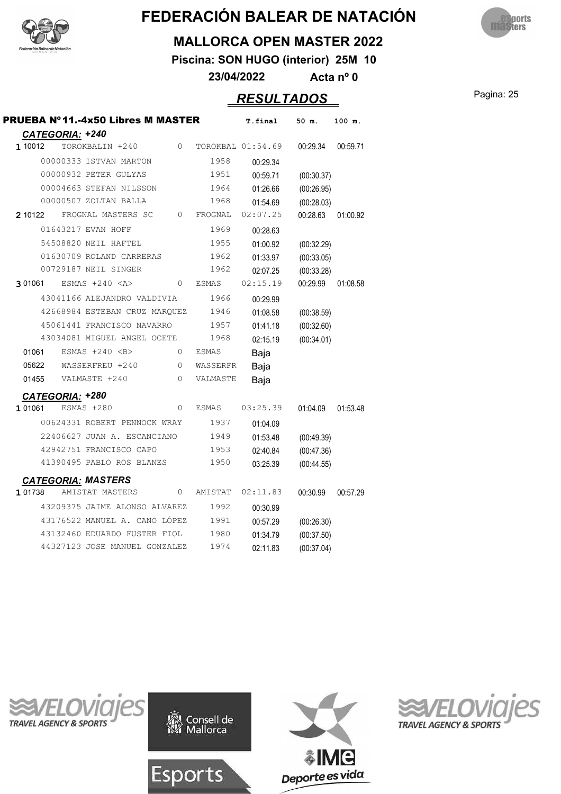



#### **MALLORCA OPEN MASTER 2022**

**Piscina: SON HUGO (interior) 25M 10**

**23/04/2022 Acta nº 0**

### Pagina: 25 *RESULTADOS*

|                        | PRUEBA Nº 11.-4x50 Libres M MASTER |          |              | T.final           | 50 m.      | 100 m.   |
|------------------------|------------------------------------|----------|--------------|-------------------|------------|----------|
| <b>CATEGORIA: +240</b> |                                    |          |              |                   |            |          |
| 1 10012                | TOROKBALIN +240                    | 0        |              | TOROKBAL 01:54.69 | 00:29.34   | 00:59.71 |
|                        | 00000333 ISTVAN MARTON             |          | 1958         | 00:29.34          |            |          |
|                        | 00000932 PETER GULYAS              |          | 1951         | 00:59.71          | (00:30.37) |          |
|                        | 00004663 STEFAN NILSSON            |          | 1964         | 01:26.66          | (00:26.95) |          |
|                        | 00000507 ZOLTAN BALLA              |          | 1968         | 01:54.69          | (00:28.03) |          |
| 2 10122                | FROGNAL MASTERS SC                 | $\circ$  | FROGNAL      | 02:07.25          | 00:28.63   | 01:00.92 |
|                        | 01643217 EVAN HOFF                 |          | 1969         | 00:28.63          |            |          |
|                        | 54508820 NEIL HAFTEL               |          | 1955         | 01:00.92          | (00:32.29) |          |
|                        | 01630709 ROLAND CARRERAS           |          | 1962         | 01:33.97          | (00:33.05) |          |
|                        | 00729187 NEIL SINGER               |          | 1962         | 02:07.25          | (00:33.28) |          |
| 3 01061                | ESMAS $+240 < A>$                  | 0        | ESMAS        | 02:15.19          | 00:29.99   | 01:08.58 |
|                        | 43041166 ALEJANDRO VALDIVIA        |          | 1966         | 00:29.99          |            |          |
|                        | 42668984 ESTEBAN CRUZ MARQUEZ      |          | 1946         | 01:08.58          | (00:38.59) |          |
|                        | 45061441 FRANCISCO NAVARRO         |          | 1957         | 01:41.18          | (00:32.60) |          |
|                        | 43034081 MIGUEL ANGEL OCETE        |          | 1968         | 02:15.19          | (00:34.01) |          |
| 01061                  | ESMAS $+240$ <b></b>               | $\circ$  | <b>ESMAS</b> | Baja              |            |          |
| 05622                  | WASSERFREU +240                    | $\circ$  | WASSERFR     | Baja              |            |          |
| 01455                  | VALMASTE +240                      | $\Omega$ | VALMASTE     | Baja              |            |          |
| CATEGORIA: +280        |                                    |          |              |                   |            |          |
| 1 01061                | ESMAS +280                         | $\Omega$ | <b>ESMAS</b> | 03:25.39          | 01:04.09   | 01:53.48 |
|                        | 00624331 ROBERT PENNOCK WRAY       |          | 1937         | 01:04.09          |            |          |
|                        | 22406627 JUAN A. ESCANCIANO        |          | 1949         | 01:53.48          | (00:49.39) |          |
|                        | 42942751 FRANCISCO CAPO            |          | 1953         | 02:40.84          | (00:47.36) |          |
|                        | 41390495 PABLO ROS BLANES          |          | 1950         | 03:25.39          | (00:44.55) |          |
|                        | <b>CATEGORIA: MASTERS</b>          |          |              |                   |            |          |
| 1 01738                | AMISTAT MASTERS                    | $\Omega$ | AMISTAT      | 02:11.83          | 00:30.99   | 00:57.29 |
|                        | 43209375 JAIME ALONSO ALVAREZ      |          | 1992         | 00:30.99          |            |          |
|                        | 43176522 MANUEL A. CANO LÓPEZ      |          | 1991         | 00:57.29          | (00:26.30) |          |
|                        | 43132460 EDUARDO FUSTER FIOL       |          | 1980         | 01:34.79          | (00:37.50) |          |
|                        | 44327123 JOSE MANUEL GONZALEZ      |          | 1974         | 02:11.83          | (00:37.04) |          |
|                        |                                    |          |              |                   |            |          |







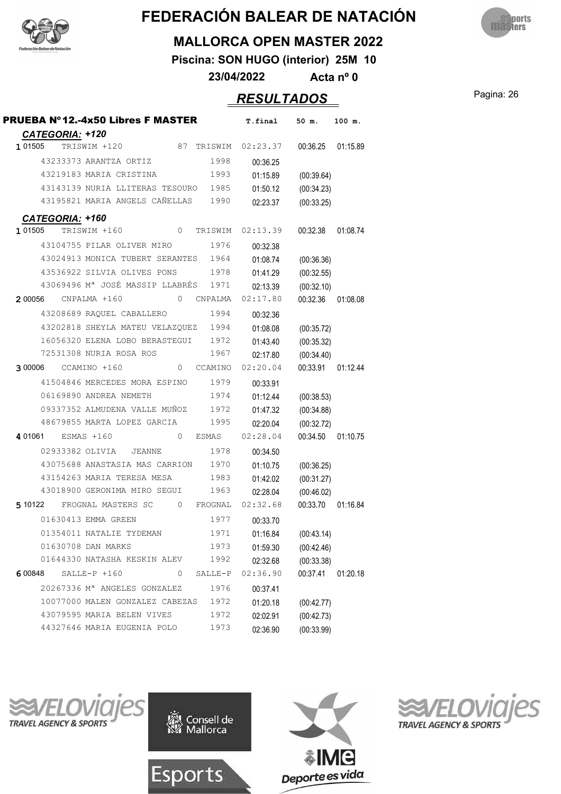



#### **MALLORCA OPEN MASTER 2022**

**Piscina: SON HUGO (interior) 25M 10**

**23/04/2022 Acta nº 0**

### Pagina: 26 *RESULTADOS*

| <b>PRUEBA Nº12.-4x50 Libres F MASTER</b>                                       | T.final  | 50 m.      | 100 m.   |
|--------------------------------------------------------------------------------|----------|------------|----------|
| CATEGORIA: +120<br>1 01505<br>87<br>TRISWIM +120<br>TRISWIM                    | 02:23.37 | 00:36.25   | 01:15.89 |
| 1998<br>43233373 ARANTZA ORTIZ                                                 |          |            |          |
| 43219183 MARIA CRISTINA<br>1993                                                | 00:36.25 |            |          |
|                                                                                | 01:15.89 | (00:39.64) |          |
| 43143139 NURIA LLITERAS TESOURO<br>1985<br>43195821 MARIA ANGELS CAÑELLAS 1990 | 01:50.12 | (00:34.23) |          |
|                                                                                | 02:23.37 | (00:33.25) |          |
| CATEGORIA: +160                                                                |          |            |          |
| $\circ$<br>1 01505<br>TRISWIM +160<br>TRISWIM                                  | 02:13.39 | 00:32.38   | 01:08.74 |
| 1976<br>43104755 PILAR OLIVER MIRO                                             | 00:32.38 |            |          |
| 43024913 MONICA TUBERT SERANTES 1964                                           | 01:08.74 | (00:36.36) |          |
| 43536922 SILVIA OLIVES PONS<br>1978                                            | 01:41.29 | (00:32.55) |          |
| 43069496 Mª JOSÉ MASSIP LLABRÉS 1971                                           | 02:13.39 | (00:32.10) |          |
| 2 00056<br>CNPALMA +160<br>0<br>CNPALMA                                        | 02:17.80 | 00:32.36   | 01:08.08 |
| 1994<br>43208689 RAQUEL CABALLERO                                              | 00:32.36 |            |          |
| 43202818 SHEYLA MATEU VELAZQUEZ 1994                                           | 01:08.08 | (00:35.72) |          |
| 16056320 ELENA LOBO BERASTEGUI 1972                                            | 01:43.40 | (00:35.32) |          |
| 72531308 NURIA ROSA ROS<br>1967                                                | 02:17.80 | (00:34.40) |          |
| 3 00006<br>CCAMINO +160<br>CCAMINO<br>$\overline{0}$                           | 02:20.04 | 00:33.91   | 01:12.44 |
| 1979<br>41504846 MERCEDES MORA ESPINO                                          | 00:33.91 |            |          |
| 06169890 ANDREA NEMETH<br>1974                                                 | 01:12.44 | (00:38.53) |          |
| 09337352 ALMUDENA VALLE MUÑOZ<br>1972                                          | 01:47.32 | (00:34.88) |          |
| 48679855 MARTA LOPEZ GARCIA<br>1995                                            | 02:20.04 | (00:32.72) |          |
| 401061 ESMAS +160<br>0<br>ESMAS                                                | 02:28.04 | 00:34.50   | 01:10.75 |
| 02933382 OLIVIA<br>1978<br><b>JEANNE</b>                                       | 00:34.50 |            |          |
| 43075688 ANASTASIA MAS CARRION 1970                                            | 01:10.75 | (00:36.25) |          |
| 43154263 MARIA TERESA MESA<br>1983                                             | 01:42.02 | (00:31.27) |          |
| 43018900 GERONIMA MIRO SEGUI<br>1963                                           | 02:28.04 | (00:46.02) |          |
| 0 FROGNAL<br>5 10122<br>FROGNAL MASTERS SC                                     | 02:32.68 | 00:33.70   | 01:16.84 |
| 1977<br>01630413 EMMA GREEN                                                    | 00:33.70 |            |          |
| 01354011 NATALIE TYDEMAN<br>1971                                               | 01:16.84 | (00:43.14) |          |
| 01630708 DAN MARKS<br>1973                                                     | 01:59.30 | (00:42.46) |          |
| 01644330 NATASHA KESKIN ALEV<br>1992                                           | 02:32.68 | (00:33.38) |          |
| $SALLE-P + 160$<br>0<br>SALLE-P<br>6 00848                                     | 02:36.90 | 00:37.41   | 01:20.18 |
| 20267336 M <sup>a</sup> ANGELES GONZALEZ<br>1976                               | 00:37.41 |            |          |
| 10077000 MALEN GONZALEZ CABEZAS<br>1972                                        | 01:20.18 | (00:42.77) |          |
| 43079595 MARIA BELEN VIVES<br>1972                                             | 02:02.91 | (00:42.73) |          |
| 44327646 MARIA EUGENIA POLO<br>1973                                            | 02:36.90 | (00:33.99) |          |
|                                                                                |          |            |          |

**TRAVEL AGENCY & SPORTS** 





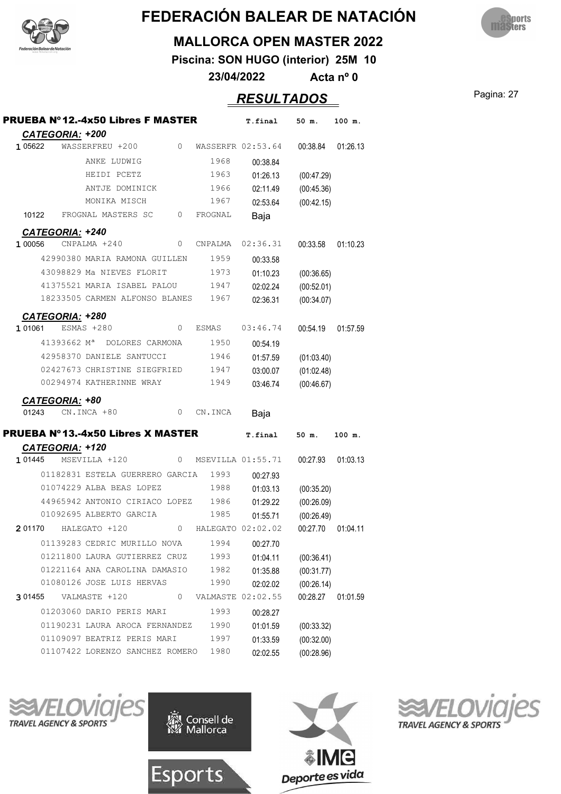



#### **MALLORCA OPEN MASTER 2022**

**Piscina: SON HUGO (interior) 25M 10**

**23/04/2022 Acta nº 0**

### Pagina: 27 *RESULTADOS*

|             | <b>CATEGORIA: +200</b>    | <b>PRUEBA Nº12.-4x50 Libres F MASTER</b> |   |                     | T.final           | 50 m.      | 100 m.   |
|-------------|---------------------------|------------------------------------------|---|---------------------|-------------------|------------|----------|
| 1 05622     |                           | WASSERFREU +200                          | 0 |                     | WASSERFR 02:53.64 | 00:38.84   | 01:26.13 |
|             |                           | ANKE LUDWIG                              |   | 1968                | 00:38.84          |            |          |
|             |                           | HEIDI PCETZ                              |   | 1963                | 01:26.13          | (00:47.29) |          |
|             |                           | ANTJE DOMINICK                           |   | 1966                | 02:11.49          | (00:45.36) |          |
|             |                           | MONIKA MISCH                             |   | 1967                | 02:53.64          | (00:42.15) |          |
| 10122       |                           | FROGNAL MASTERS SC                       | 0 | FROGNAL             | Baja              |            |          |
|             | <b>CATEGORIA: +240</b>    |                                          |   |                     |                   |            |          |
| 1 00056     |                           | CNPALMA +240                             | 0 | CNPALMA             | 02:36.31          | 00:33.58   | 01:10.23 |
|             |                           | 42990380 MARIA RAMONA GUILLEN            |   | 1959                | 00:33.58          |            |          |
|             |                           | 43098829 Ma NIEVES FLORIT                |   | 1973                | 01:10.23          | (00:36.65) |          |
|             |                           | 41375521 MARIA ISABEL PALOU              |   | 1947                | 02:02.24          | (00:52.01) |          |
|             |                           | 18233505 CARMEN ALFONSO BLANES           |   | 1967                | 02:36.31          | (00:34.07) |          |
|             | CATEGORIA: +280           |                                          |   |                     |                   |            |          |
| 1 01061     |                           | ESMAS +280                               | 0 | ESMAS               | 03:46.74          | 00:54.19   | 01:57.59 |
|             | $41393662$ M <sup>a</sup> | DOLORES CARMONA                          |   | 1950                | 00:54.19          |            |          |
|             |                           | 42958370 DANIELE SANTUCCI                |   | 1946                | 01:57.59          | (01:03.40) |          |
|             |                           | 02427673 CHRISTINE SIEGFRIED             |   | 1947                | 03:00.07          | (01:02.48) |          |
|             |                           | 00294974 KATHERINNE WRAY                 |   | 1949                | 03:46.74          | (00:46.67) |          |
|             | CATEGORIA: +80            |                                          |   |                     |                   |            |          |
| 01243       |                           | CN.INCA +80                              | 0 | CN.INCA             | Baja              |            |          |
|             |                           | PRUEBA Nº13.-4x50 Libres X MASTER        |   |                     | T.final           | 50 m.      | 100 m.   |
|             | <b>CATEGORIA: +120</b>    |                                          |   |                     |                   |            |          |
| 1 01445     |                           | MSEVILLA +120                            |   | 0 MSEVILLA 01:55.71 |                   | 00:27.93   | 01:03.13 |
|             |                           | 01182831 ESTELA GUERRERO GARCIA          |   | 1993                | 00:27.93          |            |          |
|             |                           | 01074229 ALBA BEAS LOPEZ                 |   | 1988                | 01:03.13          | (00:35.20) |          |
|             |                           | 44965942 ANTONIO CIRIACO LOPEZ 1986      |   |                     | 01:29.22          | (00:26.09) |          |
|             |                           | 01092695 ALBERTO GARCIA                  |   | 1985                | 01:55.71          | (00:26.49) |          |
| 2 01170     |                           | HALEGATO +120                            | 0 | HALEGATO 02:02.02   |                   | 00:27.70   | 01:04.11 |
|             |                           | 01139283 CEDRIC MURILLO NOVA             |   | 1994                | 00:27.70          |            |          |
|             |                           | 01211800 LAURA GUTIERREZ CRUZ            |   | 1993                | 01:04.11          | (00:36.41) |          |
|             |                           | 01221164 ANA CAROLINA DAMASIO            |   | 1982                | 01:35.88          | (00:31.77) |          |
|             |                           | 01080126 JOSE LUIS HERVAS                |   | 1990                | 02:02.02          | (00:26.14) |          |
| 3 0 1 4 5 5 |                           | VALMASTE +120                            | 0 |                     | VALMASTE 02:02.55 | 00:28.27   | 01:01.59 |
|             |                           | 01203060 DARIO PERIS MARI                |   | 1993                | 00:28.27          |            |          |
|             |                           | 01190231 LAURA AROCA FERNANDEZ           |   | 1990                | 01:01.59          | (00:33.32) |          |
|             |                           | 01109097 BEATRIZ PERIS MARI              |   | 1997                | 01:33.59          | (00:32.00) |          |
|             |                           | 01107422 LORENZO SANCHEZ ROMERO          |   | 1980                | 02:02.55          | (00:28.96) |          |







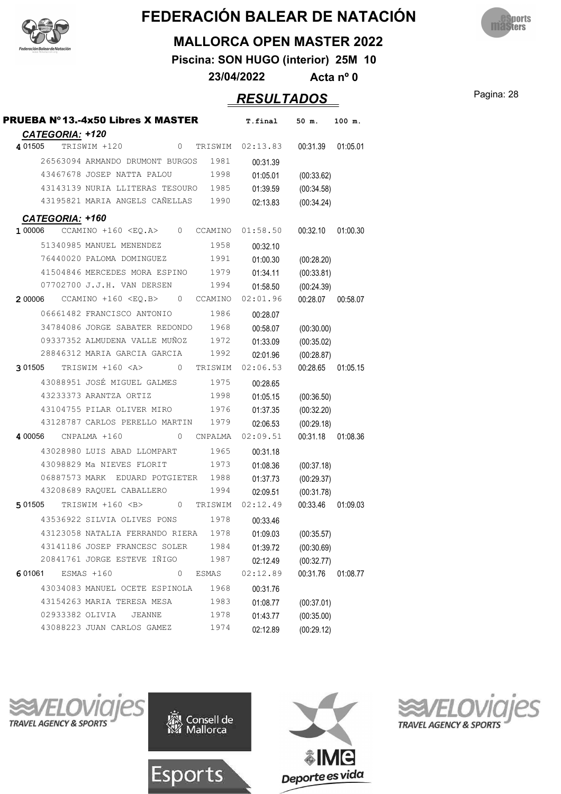



#### **MALLORCA OPEN MASTER 2022**

**Piscina: SON HUGO (interior) 25M 10**

**23/04/2022 Acta nº 0**

### Pagina: 28 *RESULTADOS*

| <b>PRUEBA Nº13.-4x50 Libres X MASTER</b>                  | T.final  | 50 m.      | 100 m.   |
|-----------------------------------------------------------|----------|------------|----------|
| CATEGORIA: +120                                           |          |            |          |
| 4 01505<br>TRISWIM +120<br>$\circ$<br>TRISWIM             | 02:13.83 | 00:31.39   | 01:05.01 |
| 26563094 ARMANDO DRUMONT BURGOS<br>1981                   | 00:31.39 |            |          |
| 43467678 JOSEP NATTA PALOU<br>1998                        | 01:05.01 | (00:33.62) |          |
| 43143139 NURIA LLITERAS TESOURO<br>1985                   | 01:39.59 | (00:34.58) |          |
| 43195821 MARIA ANGELS CAÑELLAS<br>1990                    | 02:13.83 | (00:34.24) |          |
| CATEGORIA: +160                                           |          |            |          |
| 1 00006<br>CCAMINO $+160$ <eq.a><br/>0<br/>CCAMINO</eq.a> | 01:58.50 | 00:32.10   | 01:00.30 |
| 51340985 MANUEL MENENDEZ<br>1958                          | 00:32.10 |            |          |
| 76440020 PALOMA DOMINGUEZ<br>1991                         | 01:00.30 | (00:28.20) |          |
| 41504846 MERCEDES MORA ESPINO<br>1979                     | 01:34.11 | (00:33.81) |          |
| 07702700 J.J.H. VAN DERSEN<br>1994                        | 01:58.50 | (00:24.39) |          |
| 2 00006<br>$CCAMINO +160 < EO.B>$<br>0<br>CCAMINO         | 02:01.96 | 00:28.07   | 00:58.07 |
| 1986<br>06661482 FRANCISCO ANTONIO                        | 00:28.07 |            |          |
| 34784086 JORGE SABATER REDONDO<br>1968                    | 00:58.07 | (00:30.00) |          |
| 09337352 ALMUDENA VALLE MUÑOZ<br>1972                     | 01:33.09 | (00:35.02) |          |
| 28846312 MARIA GARCIA GARCIA<br>1992                      | 02:01.96 | (00:28.87) |          |
| TRISWIM +160 <a><br/>3 01505<br/>0<br/>TRISWIM</a>        | 02:06.53 | 00:28.65   | 01:05.15 |
| 43088951 JOSÉ MIGUEL GALMES<br>1975                       | 00:28.65 |            |          |
| 43233373 ARANTZA ORTIZ<br>1998                            | 01:05.15 | (00:36.50) |          |
| 43104755 PILAR OLIVER MIRO<br>1976                        | 01:37.35 | (00:32.20) |          |
| 43128787 CARLOS PERELLO MARTIN<br>1979                    | 02:06.53 | (00:29.18) |          |
| 4 00056<br>CNPALMA +160<br>0<br>CNPALMA                   | 02:09.51 | 00:31.18   | 01:08.36 |
| 43028980 LUIS ABAD LLOMPART<br>1965                       | 00:31.18 |            |          |
| 43098829 Ma NIEVES FLORIT<br>1973                         | 01:08.36 | (00:37.18) |          |
| 06887573 MARK<br>EDUARD POTGIETER 1988                    | 01:37.73 | (00:29.37) |          |
| 43208689 RAQUEL CABALLERO<br>1994                         | 02:09.51 | (00:31.78) |          |
| TRISWIM +160 <b><br/>5 01505<br/>0<br/>TRISWIM</b>        | 02:12.49 | 00:33.46   | 01:09.03 |
| 43536922 SILVIA OLIVES PONS<br>1978                       | 00:33.46 |            |          |
| 43123058 NATALIA FERRANDO RIERA<br>1978                   | 01:09.03 | (00:35.57) |          |
| 43141186 JOSEP FRANCESC SOLER<br>1984                     | 01:39.72 | (00:30.69) |          |
| 20841761 JORGE ESTEVE IÑIGO<br>1987                       | 02:12.49 | (00:32.77) |          |
| ESMAS +160<br>0<br>6 01061<br>ESMAS                       | 02:12.89 | 00:31.76   | 01:08.77 |
| 43034083 MANUEL OCETE ESPINOLA<br>1968                    | 00:31.76 |            |          |
| 43154263 MARIA TERESA MESA<br>1983                        | 01:08.77 | (00:37.01) |          |
| 02933382 OLIVIA<br><b>JEANNE</b><br>1978                  | 01:43.77 | (00:35.00) |          |
| 43088223 JUAN CARLOS GAMEZ<br>1974                        | 02:12.89 | (00:29.12) |          |
|                                                           |          |            |          |







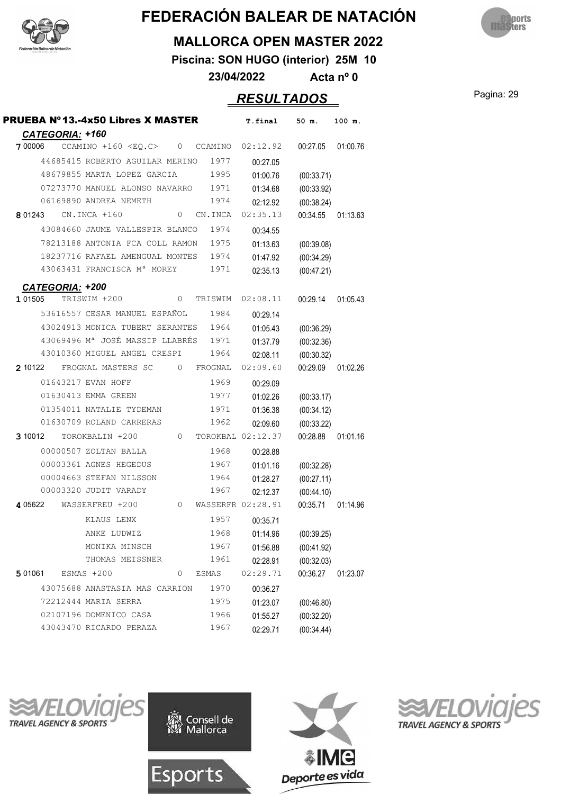



#### **MALLORCA OPEN MASTER 2022**

**Piscina: SON HUGO (interior) 25M 10**

**23/04/2022 Acta nº 0**

### Pagina: 29 *RESULTADOS*

| CATEGORIA: +160<br>$CCAMINO +160 < EQ.C$<br>02:12.92<br>00:27.05<br>7 00006<br>0 CCAMINO<br>44685415 ROBERTO AGUILAR MERINO<br>1977<br>00:27.05<br>1995<br>48679855 MARTA LOPEZ GARCIA<br>01:00.76<br>(00:33.71) | 01:00.76 |
|------------------------------------------------------------------------------------------------------------------------------------------------------------------------------------------------------------------|----------|
|                                                                                                                                                                                                                  |          |
|                                                                                                                                                                                                                  |          |
|                                                                                                                                                                                                                  |          |
| 07273770 MANUEL ALONSO NAVARRO 1971<br>(00:33.92)<br>01:34.68                                                                                                                                                    |          |
| 06169890 ANDREA NEMETH<br>1974<br>02:12.92<br>(00:38.24)                                                                                                                                                         |          |
| 02:35.13<br>CN.INCA +160<br>CN.INCA<br>00:34.55<br>8 01243<br>0                                                                                                                                                  | 01:13.63 |
| 1974<br>43084660 JAUME VALLESPIR BLANCO<br>00:34.55                                                                                                                                                              |          |
| 1975<br>78213188 ANTONIA FCA COLL RAMON<br>01:13.63<br>(00:39.08)                                                                                                                                                |          |
| 18237716 RAFAEL AMENGUAL MONTES 1974<br>(00:34.29)<br>01:47.92                                                                                                                                                   |          |
| 43063431 FRANCISCA Mª MOREY<br>1971<br>02:35.13<br>(00:47.21)                                                                                                                                                    |          |
|                                                                                                                                                                                                                  |          |
| <b>CATEGORIA: +200</b><br>TRISWIM +200<br>02:08.11<br>1 01505<br>0<br>TRISWIM<br>00:29.14                                                                                                                        | 01:05.43 |
| 53616557 CESAR MANUEL ESPAÑOL<br>1984<br>00:29.14                                                                                                                                                                |          |
| 43024913 MONICA TUBERT SERANTES<br>1964<br>01:05.43<br>(00:36.29)                                                                                                                                                |          |
| 43069496 M <sup>ª</sup> JOSÉ MASSIP LLABRÉS 1971<br>(00:32.36)<br>01:37.79                                                                                                                                       |          |
| 43010360 MIGUEL ANGEL CRESPI<br>1964<br>(00:30.32)<br>02:08.11                                                                                                                                                   |          |
| 02:09.60<br>00:29.09<br>2 10122<br>FROGNAL MASTERS SC<br>0<br>FROGNAL                                                                                                                                            | 01:02.26 |
| 01643217 EVAN HOFF<br>1969<br>00:29.09                                                                                                                                                                           |          |
| 01630413 EMMA GREEN<br>1977<br>01:02.26<br>(00:33.17)                                                                                                                                                            |          |
| 01354011 NATALIE TYDEMAN<br>1971<br>(00:34.12)<br>01:36.38                                                                                                                                                       |          |
| 01630709 ROLAND CARRERAS<br>1962<br>02:09.60<br>(00:33.22)                                                                                                                                                       |          |
| TOROKBAL 02:12.37<br>00:28.88<br>3 10012<br>TOROKBALIN +200<br>$\overline{0}$                                                                                                                                    | 01:01.16 |
| 00000507 ZOLTAN BALLA<br>1968<br>00:28.88                                                                                                                                                                        |          |
| 00003361 AGNES HEGEDUS<br>1967<br>01:01.16<br>(00:32.28)                                                                                                                                                         |          |
| 00004663 STEFAN NILSSON<br>1964<br>(00:27.11)<br>01:28.27                                                                                                                                                        |          |
| 00003320 JUDIT VARADY<br>1967<br>(00:44.10)<br>02:12.37                                                                                                                                                          |          |
| WASSERFREU +200<br>WASSERFR 02:28.91<br>00:35.71<br>4 05622<br>$\circ$                                                                                                                                           | 01:14.96 |
| KLAUS LENX<br>1957<br>00:35.71                                                                                                                                                                                   |          |
| 1968<br>ANKE LUDWIZ<br>01:14.96<br>(00:39.25)                                                                                                                                                                    |          |
| MONIKA MINSCH<br>1967<br>(00:41.92)<br>01:56.88                                                                                                                                                                  |          |
| THOMAS MEISSNER<br>1961<br>(00:32.03)<br>02:28.91                                                                                                                                                                |          |
| 02:29.71<br>00:36.27<br>5 01061<br>ESMAS +200<br>0<br>ESMAS                                                                                                                                                      | 01:23.07 |
| 43075688 ANASTASIA MAS CARRION<br>1970<br>00:36.27                                                                                                                                                               |          |
| 72212444 MARIA SERRA<br>1975<br>01:23.07<br>(00:46.80)                                                                                                                                                           |          |
| 02107196 DOMENICO CASA<br>1966<br>01:55.27<br>(00:32.20)                                                                                                                                                         |          |
| 43043470 RICARDO PERAZA<br>1967<br>(00:34.44)<br>02:29.71                                                                                                                                                        |          |







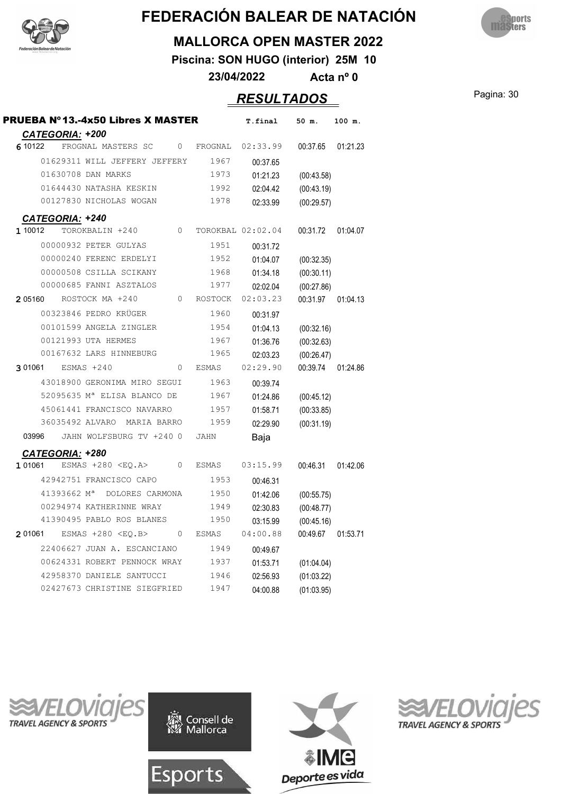



#### **MALLORCA OPEN MASTER 2022**

**Piscina: SON HUGO (interior) 25M 10**

**23/04/2022 Acta nº 0**

### Pagina: 30 *RESULTADOS*

| <b>PRUEBA Nº13.-4x50 Libres X MASTER</b>                                      | T.final                    | 50 m.      | 100 m.   |
|-------------------------------------------------------------------------------|----------------------------|------------|----------|
| CATEGORIA: +200<br>6 10 122<br>FROGNAL MASTERS SC<br>0                        | FROGNAL<br>02:33.99        | 00:37.65   | 01:21.23 |
| 01629311 WILL JEFFERY JEFFERY                                                 | 1967<br>00:37.65           |            |          |
| 01630708 DAN MARKS                                                            | 1973<br>01:21.23           | (00:43.58) |          |
| 01644430 NATASHA KESKIN                                                       | 1992<br>02:04.42           | (00:43.19) |          |
| 00127830 NICHOLAS WOGAN                                                       | 1978<br>02:33.99           | (00:29.57) |          |
| CATEGORIA: +240                                                               |                            |            |          |
| TOROKBALIN +240<br>$\Omega$<br>1 10012                                        | TOROKBAL 02:02.04          | 00:31.72   | 01:04.07 |
| 00000932 PETER GULYAS                                                         | 1951<br>00:31.72           |            |          |
| 00000240 FERENC ERDELYI                                                       | 1952<br>01:04.07           | (00:32.35) |          |
| 00000508 CSILLA SCIKANY                                                       | 1968<br>01:34.18           | (00:30.11) |          |
| 00000685 FANNI ASZTALOS                                                       | 1977<br>02:02.04           | (00:27.86) |          |
| ROSTOCK MA +240<br>2 05160<br>$\Omega$                                        | <b>ROSTOCK</b><br>02:03.23 | 00:31.97   | 01:04.13 |
| 00323846 PEDRO KRÜGER                                                         | 1960<br>00:31.97           |            |          |
| 00101599 ANGELA ZINGLER                                                       | 1954<br>01:04.13           | (00:32.16) |          |
| 00121993 UTA HERMES                                                           | 1967<br>01:36.76           | (00:32.63) |          |
| 00167632 LARS HINNEBURG                                                       | 1965<br>02:03.23           | (00:26.47) |          |
| ESMAS +240<br>3 01061<br>$\Omega$<br><b>ESMAS</b>                             | 02:29.90                   | 00:39.74   | 01:24.86 |
| 43018900 GERONIMA MIRO SEGUI                                                  | 1963<br>00:39.74           |            |          |
| 52095635 Mª ELISA BLANCO DE                                                   | 1967<br>01:24.86           | (00:45.12) |          |
| 45061441 FRANCISCO NAVARRO                                                    | 1957<br>01:58.71           | (00:33.85) |          |
| 36035492 ALVARO<br>MARIA BARRO                                                | 1959<br>02:29.90           | (00:31.19) |          |
| JAHN WOLFSBURG TV +240 0<br>03996<br><b>JAHN</b>                              | Baja                       |            |          |
| <b>CATEGORIA: +280</b>                                                        |                            |            |          |
| 1 01061<br>ESMAS $+280$ <eq.a><br/><math>\circ</math><br/><b>ESMAS</b></eq.a> | 03:15.99                   | 00:46.31   | 01:42.06 |
| 42942751 FRANCISCO CAPO                                                       | 1953<br>00:46.31           |            |          |
| 41393662 Mª<br>DOLORES CARMONA                                                | 1950<br>01:42.06           | (00:55.75) |          |
| 00294974 KATHERINNE WRAY                                                      | 1949<br>02:30.83           | (00:48.77) |          |
| 41390495 PABLO ROS BLANES                                                     | 1950<br>03:15.99           | (00:45.16) |          |
| 2 01061<br>ESMAS +280 <eo.b><br/>0<br/><b>ESMAS</b></eo.b>                    | 04:00.88                   | 00:49.67   | 01:53.71 |
| 22406627 JUAN A. ESCANCIANO                                                   | 1949<br>00:49.67           |            |          |
| 00624331 ROBERT PENNOCK WRAY                                                  | 1937<br>01:53.71           | (01:04.04) |          |
| 42958370 DANIELE SANTUCCI                                                     | 1946<br>02:56.93           | (01:03.22) |          |
| 02427673 CHRISTINE SIEGFRIED                                                  | 1947<br>04:00.88           | (01:03.95) |          |







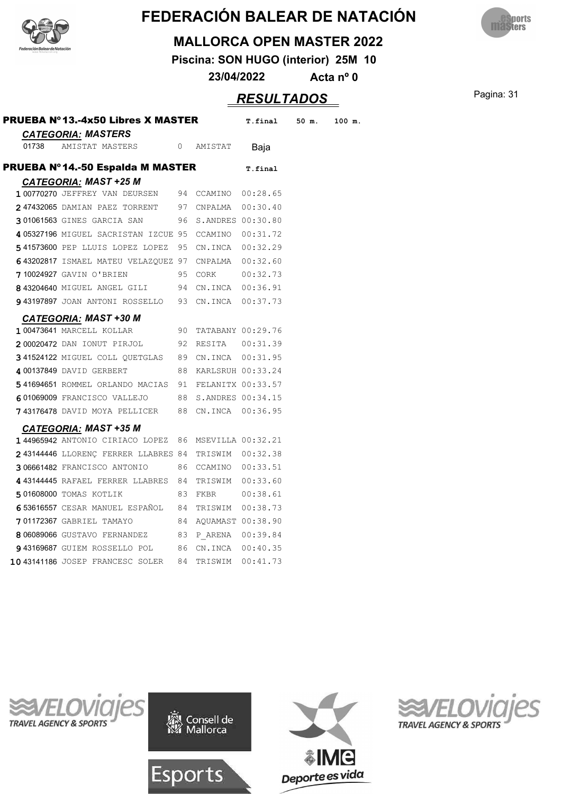



#### **MALLORCA OPEN MASTER 2022**

**Piscina: SON HUGO (interior) 25M 10**

**23/04/2022 Acta nº 0**

### **RESULTADOS** Pagina: 31

|       | PRUEBA Nº13.-4x50 Libres X MASTER                              |    |                      | T.final 50 m. | 100 m. |
|-------|----------------------------------------------------------------|----|----------------------|---------------|--------|
| 01738 | <b>CATEGORIA: MASTERS</b><br>AMISTAT MASTERS<br>$\overline{0}$ |    | AMISTAT              | Baja          |        |
|       | <b>PRUEBA Nº14.-50 Espaida M MASTER</b>                        |    |                      | T.final       |        |
|       | <b>CATEGORIA: MAST +25 M</b>                                   |    |                      |               |        |
|       | 1 00770270 JEFFREY VAN DEURSEN                                 |    | 94 CCAMINO 00:28.65  |               |        |
|       | 247432065 DAMIAN PAEZ TORRENT 97 CNPALMA 00:30.40              |    |                      |               |        |
|       | 301061563 GINES GARCIA SAN                                     |    | 96 S.ANDRES 00:30.80 |               |        |
|       | 405327196 MIGUEL SACRISTAN IZCUE 95 CCAMINO 00:31.72           |    |                      |               |        |
|       | 541573600 PEP LLUIS LOPEZ LOPEZ                                |    | 95 CN.INCA 00:32.29  |               |        |
|       | 643202817 ISMAEL MATEU VELAZQUEZ 97 CNPALMA 00:32.60           |    |                      |               |        |
|       | 710024927 GAVIN O'BRIEN                                        |    | 95 CORK              | 00:32.73      |        |
|       | 8 43204640 MIGUEL ANGEL GILI 94 CN.INCA 00:36.91               |    |                      |               |        |
|       | 93197897 JOAN ANTONI ROSSELLO 93 CN.INCA 00:37.73              |    |                      |               |        |
|       | <b>CATEGORIA: MAST +30 M</b>                                   |    |                      |               |        |
|       | 1 00473641 MARCELL KOLLAR                                      |    | 90 TATABANY 00:29.76 |               |        |
|       | 200020472 DAN IONUT PIRJOL                                     |    | 92 RESITA 00:31.39   |               |        |
|       | 341524122 MIGUEL COLL QUETGLAS 89 CN.INCA 00:31.95             |    |                      |               |        |
|       | 4 00137849 DAVID GERBERT                                       |    | 88 KARLSRUH 00:33.24 |               |        |
|       | 541694651 ROMMEL ORLANDO MACIAS 91 FELANITX 00:33.57           |    |                      |               |        |
|       | 601069009 FRANCISCO VALLEJO                                    |    | 88 S.ANDRES 00:34.15 |               |        |
|       | <b>743176478</b> DAVID MOYA PELLICER                           |    | 88 CN.INCA 00:36.95  |               |        |
|       | <b>CATEGORIA: MAST +35 M</b>                                   |    |                      |               |        |
|       | 144965942 ANTONIO CIRIACO LOPEZ                                |    | 86 MSEVILLA 00:32.21 |               |        |
|       | $2$ 43144446 LLORENÇ FERRER LLABRES 84 TRISWIM $00:32.38$      |    |                      |               |        |
|       | 306661482 FRANCISCO ANTONIO                                    |    | 86 CCAMINO 00:33.51  |               |        |
|       | 443144445 RAFAEL FERRER LLABRES 84 TRISWIM 00:33.60            |    |                      |               |        |
|       | 501608000 TOMAS KOTLIK                                         | 83 | FKBR 00:38.61        |               |        |
|       | 653616557 CESAR MANUEL ESPAÑOL 84 TRISWIM 00:38.73             |    |                      |               |        |
|       | 701172367 GABRIEL TAMAYO                                       |    | 84 AQUAMAST 00:38.90 |               |        |
|       | 806089066 GUSTAVO FERNANDEZ                                    | 83 | P ARENA 00:39.84     |               |        |
|       | 943169687 GUIEM ROSSELLO POL 86                                |    | CN.INCA 00:40.35     |               |        |
|       | 10 43141186 JOSEP FRANCESC SOLER 84                            |    | TRISWIM 00:41.73     |               |        |







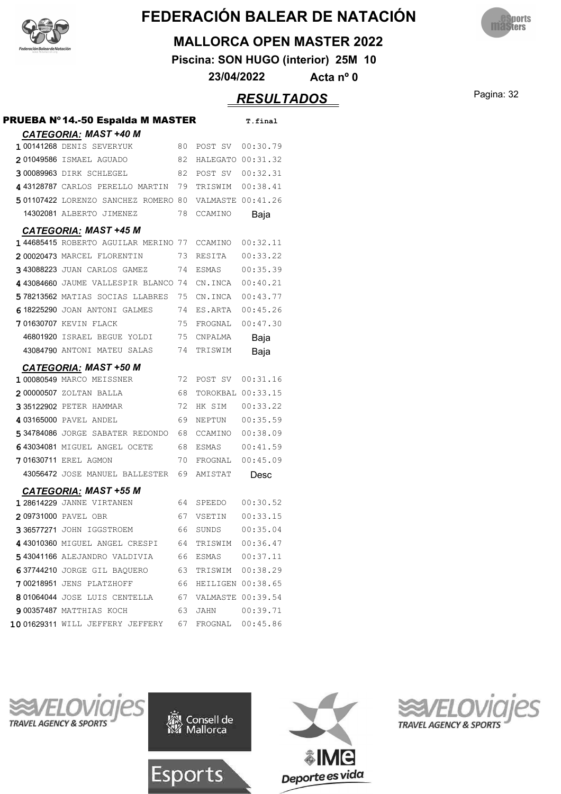



#### **MALLORCA OPEN MASTER 2022**

**Piscina: SON HUGO (interior) 25M 10**

**23/04/2022 Acta nº 0**

### Pagina: 32 *RESULTADOS*

| PRUEBA Nº14.-50 Espaida M MASTER    |    |                   | T.final  |
|-------------------------------------|----|-------------------|----------|
| <b>CATEGORIA: MAST +40 M</b>        |    |                   |          |
| <b>1 00141268 DENIS SEVERYUK</b>    | 80 | POST SV           | 00:30.79 |
| 201049586 ISMAEL AGUADO             | 82 | HALEGATO 00:31.32 |          |
| 300089963 DIRK SCHLEGEL             | 82 | POST SV           | 00:32.31 |
| 4 43128787 CARLOS PERELLO MARTIN    | 79 | TRISWIM           | 00:38.41 |
| 501107422 LORENZO SANCHEZ ROMERO 80 |    | VALMASTE 00:41.26 |          |
| 14302081 ALBERTO JIMENEZ            | 78 | CCAMINO           | Baja     |
| <b>CATEGORIA: MAST +45 M</b>        |    |                   |          |
| 144685415 ROBERTO AGUILAR MERINO 77 |    | CCAMINO           | 00:32.11 |
| 200020473 MARCEL FLORENTIN          | 73 | RESITA            | 00:33.22 |
| 343088223 JUAN CARLOS GAMEZ         | 74 | <b>ESMAS</b>      | 00:35.39 |
| 443084660 JAUME VALLESPIR BLANCO 74 |    | CN.INCA           | 00:40.21 |
| 578213562 MATIAS SOCIAS LLABRES     | 75 | CN.INCA           | 00:43.77 |
| 618225290 JOAN ANTONI GALMES        | 74 | ES.ARTA           | 00:45.26 |
| <b>701630707 KEVIN FLACK</b>        | 75 | FROGNAL           | 00:47.30 |
| 46801920 ISRAEL BEGUE YOLDI         | 75 | CNPALMA           | Baja     |
| 43084790 ANTONI MATEU SALAS         | 74 | TRISWIM           | Baja     |
| <b>CATEGORIA: MAST +50 M</b>        |    |                   |          |
| 1 00080549 MARCO MEISSNER           | 72 | POST SV           | 00:31.16 |
| 200000507 ZOLTAN BALLA              | 68 | TOROKBAL 00:33.15 |          |
| 335122902 PETER HAMMAR              | 72 | HK SIM            | 00:33.22 |
| 4 03165000 PAVEL ANDEL              | 69 | NEPTUN            | 00:35.59 |
| 534784086 JORGE SABATER REDONDO     | 68 | CCAMINO           | 00:38.09 |
| 643034081 MIGUEL ANGEL OCETE        | 68 | ESMAS             | 00:41.59 |
| 701630711 EREL AGMON                | 70 | FROGNAL           | 00:45.09 |
| 43056472 JOSE MANUEL BALLESTER      | 69 | AMISTAT           | Desc     |
| <b>CATEGORIA: MAST +55 M</b>        |    |                   |          |
| 1 28614229 JANNE VIRTANEN           | 64 | SPEEDO            | 00:30.52 |
| 209731000 PAVEL OBR                 | 67 | VSETIN            | 00:33.15 |
| 336577271 JOHN IGGSTROEM            | 66 | SUNDS             | 00:35.04 |
| 4 43010360 MIGUEL ANGEL CRESPI      | 64 | TRISWIM           | 00:36.47 |
| 543041166 ALEJANDRO VALDIVIA        | 66 |                   |          |
| 637744210 JORGE GIL BAQUERO         | 63 | TRISWIM 00:38.29  |          |
| 700218951 JENS PLATZHOFF            | 66 | HEILIGEN 00:38.65 |          |
| 801064044 JOSE LUIS CENTELLA        | 67 | VALMASTE 00:39.54 |          |
| 900357487 MATTHIAS KOCH             | 63 | JAHN 00:39.71     |          |
| 1001629311 WILL JEFFERY JEFFERY     | 67 | FROGNAL 00:45.86  |          |







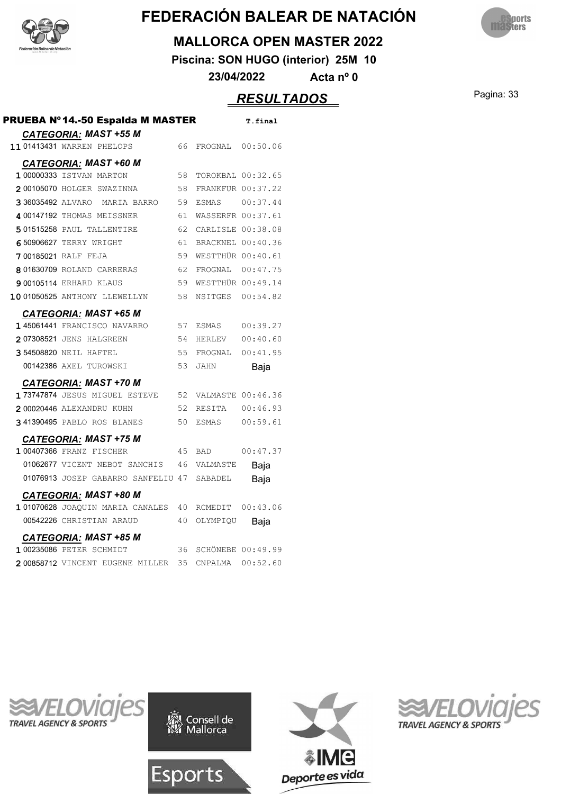



#### **MALLORCA OPEN MASTER 2022**

**Piscina: SON HUGO (interior) 25M 10**

**23/04/2022 Acta nº 0**

### Pagina: 33 *RESULTADOS*

| PRUEBA Nº14.-50 Espalda M MASTER<br><b>CATEGORIA: MAST +55 M</b> |             |    |                          | T.final  |
|------------------------------------------------------------------|-------------|----|--------------------------|----------|
| 11 01413431 WARREN PHELOPS                                       |             | 66 | FROGNAL                  | 00:50.06 |
| <b>CATEGORIA: MAST +60 M</b>                                     |             |    |                          |          |
| 1 00000333 ISTVAN MARTON                                         |             | 58 | TOROKBAL 00:32.65        |          |
| 200105070 HOLGER SWAZINNA                                        |             | 58 | <b>FRANKFUR 00:37.22</b> |          |
| 3 36035492 ALVARO                                                | MARIA BARRO | 59 | <b>ESMAS</b>             | 00:37.44 |
| 4 00147192 THOMAS MEISSNER                                       |             | 61 | WASSERFR 00:37.61        |          |
| 501515258 PAUL TALLENTIRE                                        |             | 62 | CARLISLE 00:38.08        |          |
| 650906627 TERRY WRIGHT                                           |             | 61 | BRACKNEL 00:40.36        |          |
| <b>700185021 RALF FEJA</b>                                       |             | 59 | WESTTHÜR 00:40.61        |          |
| 801630709 ROLAND CARRERAS                                        |             | 62 | FROGNAL 00:47.75         |          |
| <b>9 00105114 ERHARD KLAUS</b>                                   |             | 59 | WESTTHÜR 00:49.14        |          |
| 1001050525 ANTHONY LLEWELLYN                                     |             | 58 | NSITGES                  | 00:54.82 |
| <b>CATEGORIA: MAST +65 M</b>                                     |             |    |                          |          |
| 145061441 FRANCISCO NAVARRO                                      |             | 57 | ESMAS                    | 00:39.27 |
| 207308521 JENS HALGREEN                                          |             | 54 | HERLEV                   | 00:40.60 |
| 354508820 NEIL HAFTEL                                            |             | 55 | FROGNAL                  | 00:41.95 |
| 00142386 AXEL TUROWSKI                                           |             | 53 | JAHN                     | Baja     |
| <b>CATEGORIA: MAST +70 M</b>                                     |             |    |                          |          |
| 173747874 JESUS MIGUEL ESTEVE                                    |             | 52 | VALMASTE 00:46.36        |          |
| 200020446 ALEXANDRU KUHN                                         |             | 52 | RESITA                   | 00:46.93 |
| 341390495 PABLO ROS BLANES                                       |             | 50 | ESMAS                    | 00:59.61 |
| <b>CATEGORIA: MAST +75 M</b>                                     |             |    |                          |          |
| 1 00407366 FRANZ FISCHER                                         |             | 45 | <b>BAD</b>               | 00:47.37 |
| 01062677 VICENT NEBOT SANCHIS                                    |             | 46 | VALMASTE                 | Baja     |
| 01076913 JOSEP GABARRO SANFELIU 47                               |             |    | SABADEL                  | Baja     |
| <b>CATEGORIA: MAST +80 M</b>                                     |             |    |                          |          |
| 1 01070628 JOAOUIN MARIA CANALES                                 |             | 40 | RCMEDIT                  | 00:43.06 |
| 00542226 CHRISTIAN ARAUD                                         |             | 40 | OLYMPIQU                 | Baja     |
| <b>CATEGORIA: MAST +85 M</b>                                     |             |    |                          |          |
| 1 00235086 PETER SCHMIDT                                         |             | 36 | <b>SCHÖNEBE 00:49.99</b> |          |
| 200858712 VINCENT EUGENE MILLER                                  |             | 35 | CNPALMA                  | 00:52.60 |







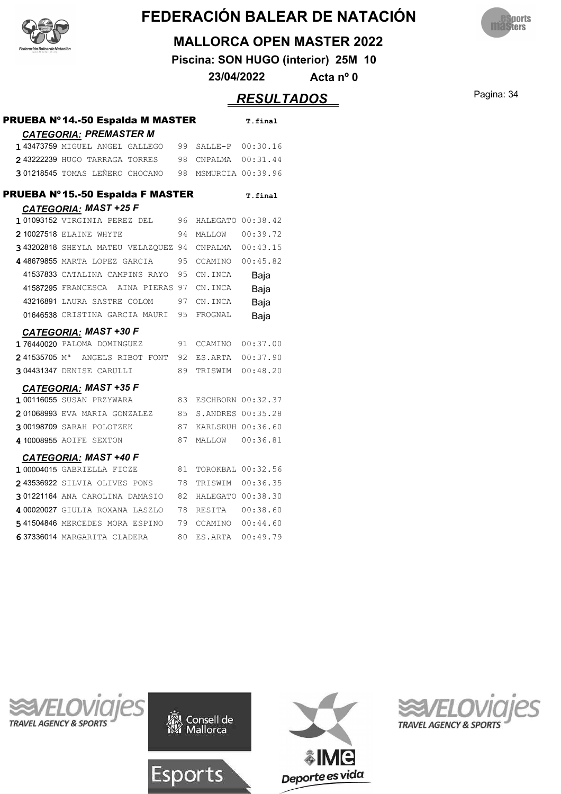



#### **MALLORCA OPEN MASTER 2022**

**Piscina: SON HUGO (interior) 25M 10**

**23/04/2022 Acta nº 0**

### Pagina: 34 *RESULTADOS*

| PRUEBA Nº 14.-50 Espalda M MASTER          |    |                   | T.final  |
|--------------------------------------------|----|-------------------|----------|
| <b>CATEGORIA: PREMASTER M</b>              |    |                   |          |
| 1 43473759 MIGUEL ANGEL GALLEGO            | 99 | SALLE-P           | 00:30.16 |
| 243222239 HUGO TARRAGA TORRES              | 98 | CNPALMA           | 00:31.44 |
| 301218545 TOMAS LEÑERO CHOCANO             | 98 | MSMURCIA 00:39.96 |          |
| <b>PRUEBA Nº15.-50 Espalda F MASTER</b>    |    |                   | T.final  |
| <b>CATEGORIA: MAST +25 F</b>               |    |                   |          |
| 101093152 VIRGINIA PEREZ DEL               | 96 | HALEGATO 00:38.42 |          |
| 2 10027518 ELAINE WHYTE                    | 94 | MALLOW            | 00:39.72 |
| 3 43202818 SHEYLA MATEU VELAZQUEZ 94       |    | CNPALMA           | 00:43.15 |
| 448679855 MARTA LOPEZ GARCIA               | 95 | CCAMINO           | 00:45.82 |
| 41537833 CATALINA CAMPINS RAYO             | 95 | CN.INCA           | Baja     |
| 41587295 FRANCESCA<br>AINA PIERAS          | 97 | CN.INCA           | Baja     |
| 43216891 LAURA SASTRE COLOM                | 97 | CN.INCA           | Baja     |
| 01646538 CRISTINA GARCIA MAURI             | 95 | FROGNAL           | Baja     |
| <b>CATEGORIA: MAST +30 F</b>               |    |                   |          |
| 176440020 PALOMA DOMINGUEZ                 | 91 | CCAMINO           | 00:37.00 |
| 241535705 M <sup>a</sup> ANGELS RIBOT FONT | 92 | ES.ARTA           | 00:37.90 |
| 304431347 DENISE CARULLI                   | 89 | TRISWIM           | 00:48.20 |
| CATEGORIA: MAST +35 F                      |    |                   |          |
| 1 00116055 SUSAN PRZYWARA                  | 83 | ESCHBORN 00:32.37 |          |
| 201068993 EVA MARIA GONZALEZ               | 85 | S.ANDRES 00:35.28 |          |
| 300198709 SARAH POLOTZEK                   | 87 | KARLSRUH 00:36.60 |          |
| 4 10008955 AOIFE SEXTON                    | 87 | MALLOW            | 00:36.81 |
| <b>CATEGORIA: MAST +40 F</b>               |    |                   |          |
| 1 00004015 GABRIELLA FICZE                 | 81 | TOROKBAL 00:32.56 |          |
| 243536922 SILVIA OLIVES PONS               | 78 | TRISWIM           | 00:36.35 |
| 301221164 ANA CAROLINA DAMASIO             | 82 | HALEGATO 00:38.30 |          |
| 4 00020027 GIULIA ROXANA LASZLO            | 78 | RESITA            | 00:38.60 |
| 541504846 MERCEDES MORA ESPINO             | 79 | CCAMINO           | 00:44.60 |
| 637336014 MARGARITA CLADERA                | 80 | ES.ARTA           | 00:49.79 |







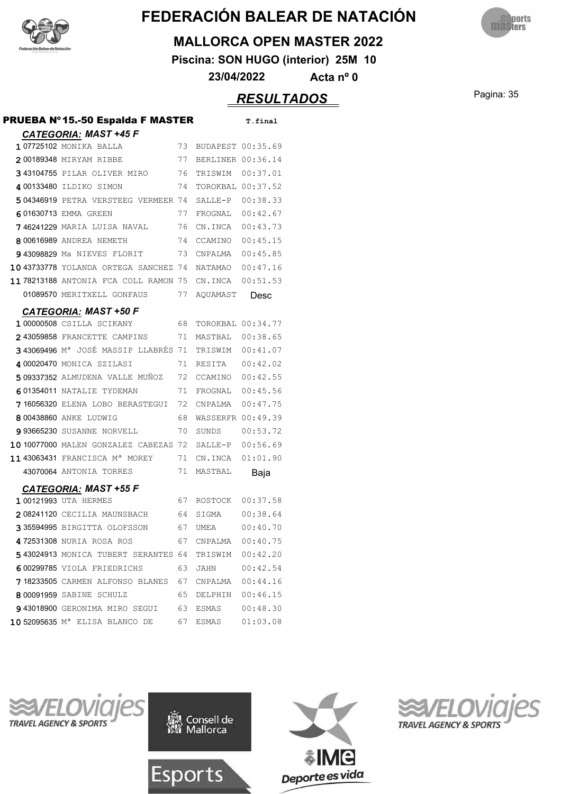



#### **MALLORCA OPEN MASTER 2022**

**Piscina: SON HUGO (interior) 25M 10**

**23/04/2022 Acta nº 0**

### Pagina: 35 *RESULTADOS*

| PRUEBA Nº15.-50 Espalda F MASTER           |     |                   | T.final  |
|--------------------------------------------|-----|-------------------|----------|
| <b>CATEGORIA: MAST +45 F</b>               |     |                   |          |
| 107725102 MONIKA BALLA                     | 73  | BUDAPEST 00:35.69 |          |
| 200189348 MIRYAM RIBBE                     | 77  | BERLINER 00:36.14 |          |
| 343104755 PILAR OLIVER MIRO                | 76  | TRISWIM 00:37.01  |          |
| 4 00133480 ILDIKO SIMON                    | 74  | TOROKBAL 00:37.52 |          |
| 504346919 PETRA VERSTEEG VERMEER 74        |     | SALLE-P           | 00:38.33 |
| 601630713 EMMA GREEN                       | 77  | FROGNAL           | 00:42.67 |
| <b>746241229</b> MARIA LUISA NAVAL         | 76  | CN.INCA           | 00:43.73 |
| 8 00616989 ANDREA NEMETH                   | 74  | CCAMINO           | 00:45.15 |
| 943098829 Ma NIEVES FLORIT                 | 73  | CNPALMA           | 00:45.85 |
| 10 43733778 YOLANDA ORTEGA SANCHEZ 74      |     | NATAMAO           | 00:47.16 |
| 1178213188 ANTONIA FCA COLL RAMON 75       |     | CN.INCA           | 00:51.53 |
| 01089570 MERITXELL GONFAUS                 | 77  | AQUAMAST          | Desc     |
| <b>CATEGORIA: MAST +50 F</b>               |     |                   |          |
| 1 00000508 CSILLA SCIKANY                  | 68  | TOROKBAL 00:34.77 |          |
| 243059858 FRANCETTE CAMPINS                | 71  | MASTBAL           | 00:38.65 |
| 343069496 Mª JOSÉ MASSIP LLABRÉS 71        |     | TRISWIM           | 00:41.07 |
| 4 00020470 MONICA SZILASI                  | 71  | RESITA            | 00:42.02 |
| 509337352 ALMUDENA VALLE MUÑOZ             | 72  | CCAMINO           | 00:42.55 |
| 601354011 NATALIE TYDEMAN                  | 71  | FROGNAL           | 00:45.56 |
| 716056320 ELENA LOBO BERASTEGUI            | 72  | CNPALMA           | 00:47.75 |
| 8 00438860 ANKE LUDWIG                     | 68  | WASSERFR 00:49.39 |          |
| <b>993665230</b> SUSANNE NORVELL           | 70  | SUNDS             | 00:53.72 |
| 10 10077000 MALEN GONZALEZ CABEZAS 72      |     | SALLE-P           | 00:56.69 |
| 1143063431 FRANCISCA Mª MOREY              | 71  | CN.INCA           | 01:01.90 |
| 43070064 ANTONIA TORRES                    | 71  | MASTBAL           | Baja     |
| <b>CATEGORIA: MAST +55 F</b>               |     |                   |          |
| 1 00121993 UTA HERMES                      | 67  | ROSTOCK           | 00:37.58 |
| 208241120 CECILIA MAUNSBACH                | 64  | SIGMA             | 00:38.64 |
| 335594995 BIRGITTA OLOFSSON                | 67  | UMEA              | 00:40.70 |
| <b>472531308</b> NURIA ROSA ROS            | 67  | CNPALMA           | 00:40.75 |
| 543024913 MONICA TUBERT SERANTES 64        |     | TRISWIM           | 00:42.20 |
| 600299785 VIOLA FRIEDRICHS                 | 63  | JAHN              | 00:42.54 |
| 718233505 CARMEN ALFONSO BLANES 67         |     |                   |          |
| 8 00091959 SABINE SCHULZ                   | 65  | DELPHIN 00:46.15  |          |
| <b>943018900</b> GERONIMA MIRO SEGUI       | 63. |                   |          |
| 10 52095635 M <sup>a</sup> ELISA BLANCO DE | 67  | ESMAS             | 01:03.08 |







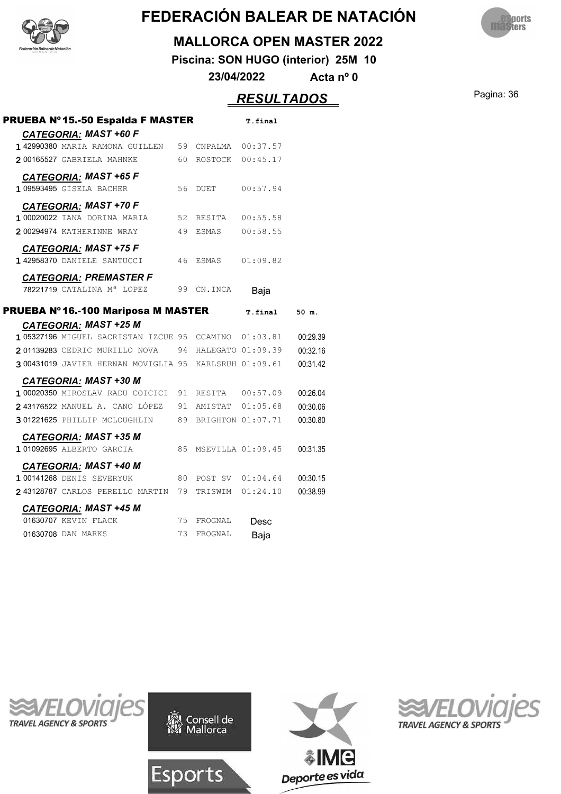



#### **MALLORCA OPEN MASTER 2022**

**Piscina: SON HUGO (interior) 25M 10**

**23/04/2022 Acta nº 0**

### Pagina: 36 *RESULTADOS*

| PRUEBA Nº15.-50 Espalda F MASTER                      |    |                     | T.final  |          |
|-------------------------------------------------------|----|---------------------|----------|----------|
| <b>CATEGORIA: MAST +60 F</b>                          |    |                     |          |          |
| 142990380 MARIA RAMONA GUILLEN                        |    | 59 CNPALMA 00:37.57 |          |          |
| 200165527 GABRIELA MAHNKE                             |    | 60 ROSTOCK 00:45.17 |          |          |
| <b>CATEGORIA: MAST +65 F</b>                          |    |                     |          |          |
| 1 09593495 GISELA BACHER                              | 56 | DUET                | 00:57.94 |          |
| <b>CATEGORIA: MAST +70 F</b>                          |    |                     |          |          |
| 1 00020022 IANA DORINA MARIA                          |    | 52 RESITA 00:55.58  |          |          |
| 200294974 KATHERINNE WRAY                             |    | 49 ESMAS 00:58.55   |          |          |
| <b>CATEGORIA: MAST +75 F</b>                          |    |                     |          |          |
| 1 42958370 DANIELE SANTUCCI                           | 46 | ESMAS               | 01:09.82 |          |
| <b>CATEGORIA: PREMASTER F</b>                         |    |                     |          |          |
| 78221719 CATALINA Mª LOPEZ                            |    | 99 CN.INCA          | Baja     |          |
| PRUEBA Nº 16.-100 Mariposa M MASTER                   |    |                     | T.final  | 50 m.    |
| <b>CATEGORIA: MAST +25 M</b>                          |    |                     |          |          |
| 105327196 MIGUEL SACRISTAN IZCUE 95 CCAMINO 01:03.81  |    |                     |          | 00:29.39 |
| 201139283 CEDRIC MURILLO NOVA 94 HALEGATO 01:09.39    |    |                     |          | 00:32.16 |
| 300431019 JAVIER HERNAN MOVIGLIA 95 KARLSRUH 01:09.61 |    |                     |          | 00:31.42 |
| <b>CATEGORIA: MAST +30 M</b>                          |    |                     |          |          |
| 1 00020350 MIROSLAV RADU COICICI 91 RESITA 00:57.09   |    |                     |          | 00:26.04 |
| 243176522 MANUEL A. CANO LÓPEZ 91 AMISTAT 01:05.68    |    |                     |          | 00:30.06 |
| 301221625 PHILLIP MCLOUGHLIN 89 BRIGHTON 01:07.71     |    |                     |          | 00:30.80 |
| <b>CATEGORIA: MAST +35 M</b>                          |    |                     |          |          |
| 1 01092695 ALBERTO GARCIA                             | 85 | MSEVILLA 01:09.45   |          | 00:31.35 |
| <b>CATEGORIA: MAST +40 M</b>                          |    |                     |          |          |
| <b>1 00141268 DENIS SEVERYUK</b>                      |    | 80 POST SV 01:04.64 |          | 00:30.15 |
| 243128787 CARLOS PERELLO MARTIN 79 TRISWIM 01:24.10   |    |                     |          | 00:38.99 |
| <b>CATEGORIA: MAST +45 M</b>                          |    |                     |          |          |
|                                                       |    | 75 FROGNAL          |          |          |
| 01630707 KEVIN FLACK                                  |    |                     | Desc     |          |







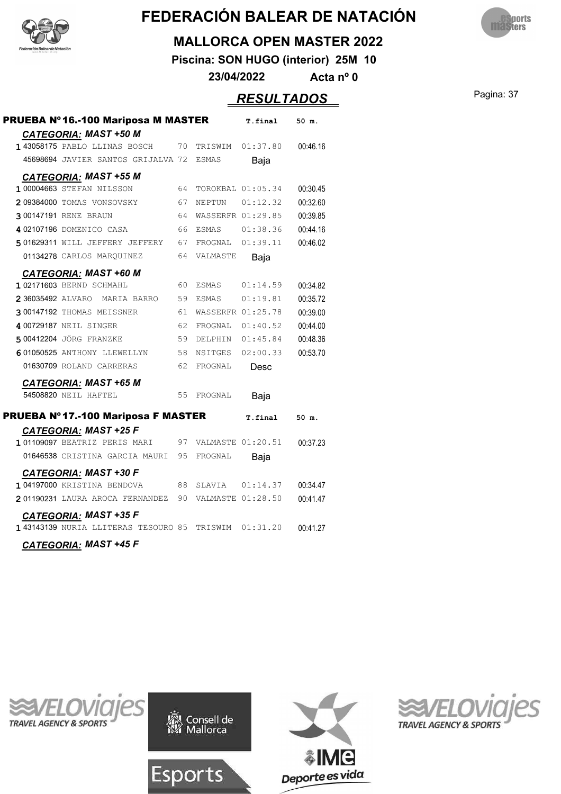



#### **MALLORCA OPEN MASTER 2022**

**Piscina: SON HUGO (interior) 25M 10**

**23/04/2022 Acta nº 0**

### Pagina: 37 *RESULTADOS*

| PRUEBA Nº 16.-100 Mariposa M MASTER                          |    |                      | T.final           | 50 m.    |
|--------------------------------------------------------------|----|----------------------|-------------------|----------|
| <b>CATEGORIA: MAST +50 M</b><br>143058175 PABLO LLINAS BOSCH | 70 |                      | TRISWIM 01:37.80  | 00:46.16 |
| 45698694 JAVIER SANTOS GRIJALVA 72                           |    | ESMAS                | Baja              |          |
|                                                              |    |                      |                   |          |
| <b>CATEGORIA: MAST +55 M</b><br>1 00004663 STEFAN NILSSON    | 64 |                      | TOROKBAL 01:05.34 | 00:30.45 |
| 209384000 TOMAS VONSOVSKY                                    | 67 | NEPTUN 01:12.32      |                   | 00:32.60 |
| <b>300147191 RENE BRAUN</b>                                  | 64 | WASSERFR 01:29.85    |                   | 00:39.85 |
| 402107196 DOMENICO CASA                                      |    | 66 ESMAS             | 01:38.36          | 00:44.16 |
| 501629311 WILL JEFFERY JEFFERY                               |    | 67 FROGNAL 01:39.11  |                   | 00:46.02 |
| 01134278 CARLOS MARQUINEZ                                    |    | 64 VALMASTE          | Baja              |          |
|                                                              |    |                      |                   |          |
| <b>CATEGORIA: MAST +60 M</b><br>1 02171603 BERND SCHMAHL     | 60 | ESMAS                | 01:14.59          | 00:34.82 |
| 2 36035492 ALVARO<br>MARIA BARRO                             | 59 | ESMAS                | 01:19.81          | 00:35.72 |
| 300147192 THOMAS MEISSNER                                    | 61 | WASSERFR 01:25.78    |                   | 00:39.00 |
| 4 00729187 NEIL SINGER                                       | 62 |                      | FROGNAL 01:40.52  | 00:44.00 |
| 500412204 JÖRG FRANZKE                                       | 59 |                      | DELPHIN 01:45.84  | 00:48.36 |
| 601050525 ANTHONY LLEWELLYN                                  | 58 | NSITGES              | 02:00.33          | 00:53.70 |
| 01630709 ROLAND CARRERAS                                     | 62 | FROGNAL              | Desc              |          |
| <b>CATEGORIA: MAST +65 M</b>                                 |    |                      |                   |          |
| 54508820 NEIL HAFTEL                                         | 55 | FROGNAL              | Baja              |          |
| PRUEBA Nº 17.-100 Mariposa F MASTER                          |    |                      | T.final           | 50 m.    |
| <b>CATEGORIA: MAST +25 F</b>                                 |    |                      |                   |          |
| 101109097 BEATRIZ PERIS MARI                                 |    | 97 VALMASTE 01:20.51 |                   | 00:37.23 |
| 01646538 CRISTINA GARCIA MAURI                               | 95 | FROGNAL              | Baja              |          |
| <u>CATEGORIA:</u> MAST +30 F                                 |    |                      |                   |          |
| 104197000 KRISTINA BENDOVA                                   |    | 88 SLAVIA 01:14.37   |                   | 00:34.47 |
| 201190231 LAURA AROCA FERNANDEZ 90 VALMASTE 01:28.50         |    |                      |                   | 00:41.47 |
| <b>CATEGORIA: MAST +35 F</b>                                 |    |                      |                   |          |
| 1 43143139 NURIA LLITERAS TESOURO 85 TRISWIM 01:31.20        |    |                      |                   | 00:41.27 |
| <b>CATEGORIA: MAST +45 F</b>                                 |    |                      |                   |          |





Esports



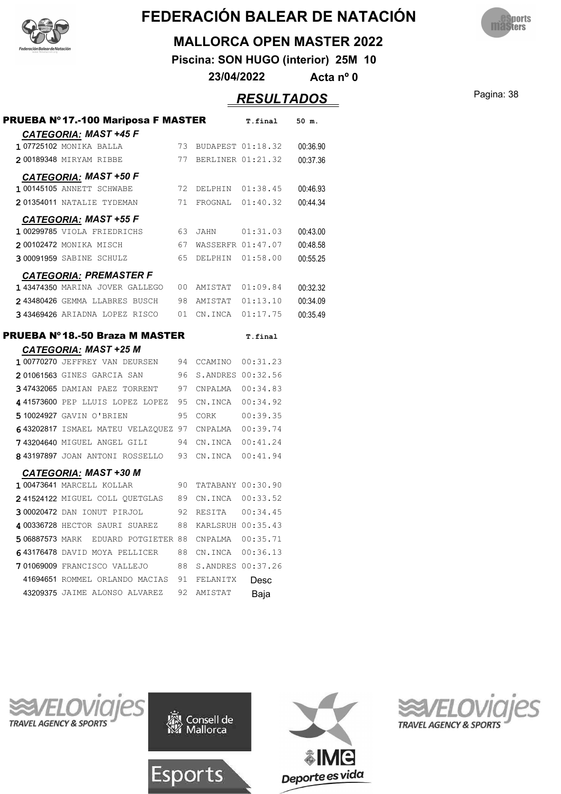



#### **MALLORCA OPEN MASTER 2022**

**Piscina: SON HUGO (interior) 25M 10**

**23/04/2022 Acta nº 0**

### Pagina: 38 *RESULTADOS*

| <b>CATEGORIA: MAST +45 F</b><br>107725102 MONIKA BALLA |    | 73 BUDAPEST 01:18.32 |          |          |
|--------------------------------------------------------|----|----------------------|----------|----------|
|                                                        |    |                      |          |          |
|                                                        |    |                      |          | 00:36.90 |
| 200189348 MIRYAM RIBBE                                 | 77 | BERLINER 01:21.32    |          | 00:37.36 |
| CATEGORIA: MAST +50 F                                  |    |                      |          |          |
| 1 00145105 ANNETT SCHWABE                              | 72 | DELPHIN 01:38.45     |          | 00:46.93 |
| 201354011 NATALIE TYDEMAN                              | 71 | FROGNAL 01:40.32     |          | 00:44.34 |
| <b>CATEGORIA: MAST +55 F</b>                           |    |                      |          |          |
| 1 00299785 VIOLA FRIEDRICHS                            |    | 63 JAHN              | 01:31.03 | 00:43.00 |
| 200102472 MONIKA MISCH                                 |    | 67 WASSERFR 01:47.07 |          | 00:48.58 |
| 300091959 SABINE SCHULZ                                | 65 | DELPHIN 01:58.00     |          | 00:55.25 |
| <b>CATEGORIA: PREMASTER F</b>                          |    |                      |          |          |
| 143474350 MARINA JOVER GALLEGO                         |    | 00 AMISTAT 01:09.84  |          | 00:32.32 |
| 243480426 GEMMA LLABRES BUSCH                          |    | 98 AMISTAT 01:13.10  |          | 00:34.09 |
| 343469426 ARIADNA LOPEZ RISCO 01                       |    | CN.INCA 01:17.75     |          | 00:35.49 |
| PRUEBA Nº 18.-50 Braza M MASTER                        |    |                      | T.final  |          |
| <b>CATEGORIA: MAST +25 M</b>                           |    |                      |          |          |
| 1 00770270 JEFFREY VAN DEURSEN                         |    | 94 CCAMINO 00:31.23  |          |          |
| 201061563 GINES GARCIA SAN                             |    | 96 S.ANDRES 00:32.56 |          |          |
| 347432065 DAMIAN PAEZ TORRENT                          | 97 |                      |          |          |
| 441573600 PEP LLUIS LOPEZ LOPEZ                        | 95 | CN.INCA 00:34.92     |          |          |
| 510024927 GAVIN O'BRIEN                                | 95 | CORK                 | 00:39.35 |          |
| 643202817 ISMAEL MATEU VELAZQUEZ 97 CNPALMA 00:39.74   |    |                      |          |          |
| 743204640 MIGUEL ANGEL GILI                            | 94 | CN.INCA 00:41.24     |          |          |
| 843197897 JOAN ANTONI ROSSELLO                         | 93 | CN.INCA  00:41.94    |          |          |
| <b>CATEGORIA: MAST +30 M</b>                           |    |                      |          |          |
| 1 00473641 MARCELL KOLLAR                              | 90 | TATABANY 00:30.90    |          |          |
| 241524122 MIGUEL COLL QUETGLAS 89 CN.INCA 00:33.52     |    |                      |          |          |
| 300020472 DAN IONUT PIRJOL<br>92                       |    | RESITA 00:34.45      |          |          |
| 4 00336728 HECTOR SAURI SUAREZ                         |    | 88 KARLSRUH 00:35.43 |          |          |
| 5 06887573 MARK EDUARD POTGIETER 88                    |    | CNPALMA  00:35.71    |          |          |
| 643176478 DAVID MOYA PELLICER                          |    | 88 CN.INCA 00:36.13  |          |          |
| 701069009 FRANCISCO VALLEJO                            |    | 88 S.ANDRES 00:37.26 |          |          |
|                                                        |    |                      |          |          |
| 41694651 ROMMEL ORLANDO MACIAS 91 FELANITX             |    |                      | Desc     |          |







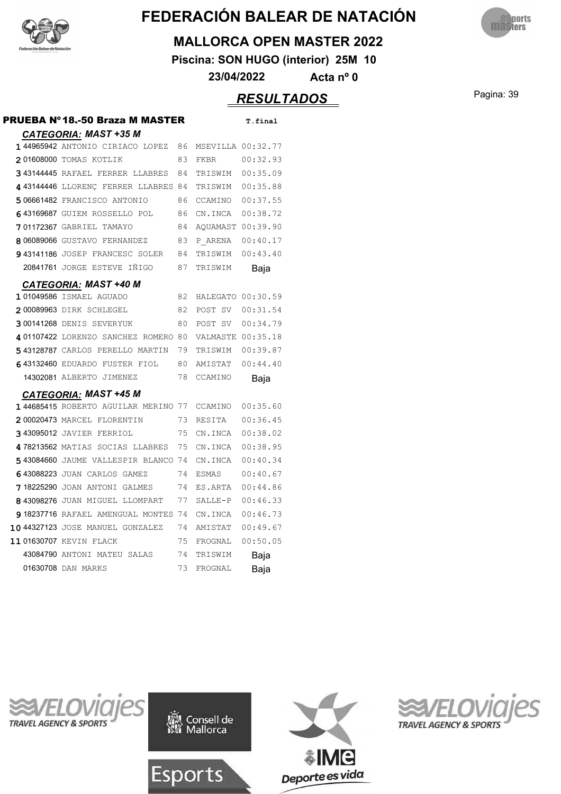



#### **MALLORCA OPEN MASTER 2022**

**Piscina: SON HUGO (interior) 25M 10**

**23/04/2022 Acta nº 0**

### Pagina: 39 *RESULTADOS*

| PRUEBA Nº 18.-50 Braza M MASTER             |    |                   | T.final  |
|---------------------------------------------|----|-------------------|----------|
| <b>CATEGORIA: MAST +35 M</b>                |    |                   |          |
| 144965942 ANTONIO CIRIACO LOPEZ 86          |    | MSEVILLA 00:32.77 |          |
| 201608000 TOMAS KOTLIK                      | 83 | FKBR              | 00:32.93 |
| 343144445 RAFAEL FERRER LLABRES             | 84 | TRISWIM 00:35.09  |          |
| 4 43144446 LLORENC FERRER LLABRES 84        |    | TRISWIM 00:35.88  |          |
| 506661482 FRANCISCO ANTONIO                 | 86 | CCAMINO 00:37.55  |          |
| 643169687 GUIEM ROSSELLO POL                | 86 | CN. INCA 00:38.72 |          |
| <b>701172367 GABRIEL TAMAYO</b>             | 84 | AOUAMAST 00:39.90 |          |
| 8 06089066 GUSTAVO FERNANDEZ                | 83 | P ARENA 00:40.17  |          |
| <b>943141186</b> JOSEP FRANCESC SOLER       | 84 | TRISWIM           | 00:43.40 |
| 20841761 JORGE ESTEVE INIGO                 | 87 | TRISWIM           | Baja     |
| CATEGORIA: MAST +40 M                       |    |                   |          |
| 101049586 ISMAEL AGUADO                     | 82 | HALEGATO 00:30.59 |          |
| 200089963 DIRK SCHLEGEL                     | 82 | POST SV 00:31.54  |          |
| <b>300141268 DENIS SEVERYUK</b>             | 80 | POST SV 00:34.79  |          |
| 401107422 LORENZO SANCHEZ ROMERO 80         |    | VALMASTE 00:35.18 |          |
| 543128787 CARLOS PERELLO MARTIN             | 79 | TRISWIM 00:39.87  |          |
| 643132460 EDUARDO FUSTER FIOL 80            |    | AMISTAT 00:44.40  |          |
| 14302081 ALBERTO JIMENEZ                    | 78 | CCAMINO           | Baja     |
| <b>CATEGORIA: MAST +45 M</b>                |    |                   |          |
| 144685415 ROBERTO AGUILAR MERINO 77 CCAMINO |    |                   | 00:35.60 |
| 200020473 MARCEL FLORENTIN                  | 73 | RESITA            | 00:36.45 |
| <b>343095012 JAVIER FERRIOL</b>             | 75 | CN.INCA           | 00:38.02 |
| 478213562 MATIAS SOCIAS LLABRES 75          |    | CN.INCA           | 00:38.95 |
| 543084660 JAUME VALLESPIR BLANCO 74         |    | CN.INCA           | 00:40.34 |
| 643088223 JUAN CARLOS GAMEZ                 | 74 | ESMAS             | 00:40.67 |
| <b>718225290</b> JOAN ANTONI GALMES         | 74 | ES.ARTA           | 00:44.86 |
| 843098276 JUAN MIGUEL LLOMPART              | 77 | SALLE-P           | 00:46.33 |
| 918237716 RAFAEL AMENGUAL MONTES 74         |    | CN.INCA           | 00:46.73 |
| 1044327123 JOSE MANUEL GONZALEZ             | 74 | AMISTAT           | 00:49.67 |
| 1101630707 KEVIN FLACK                      | 75 | FROGNAL           | 00:50.05 |
| 43084790 ANTONI MATEU SALAS                 | 74 | TRISWIM           | Baja     |
| 01630708 DAN MARKS                          | 73 | FROGNAL           | Baja     |







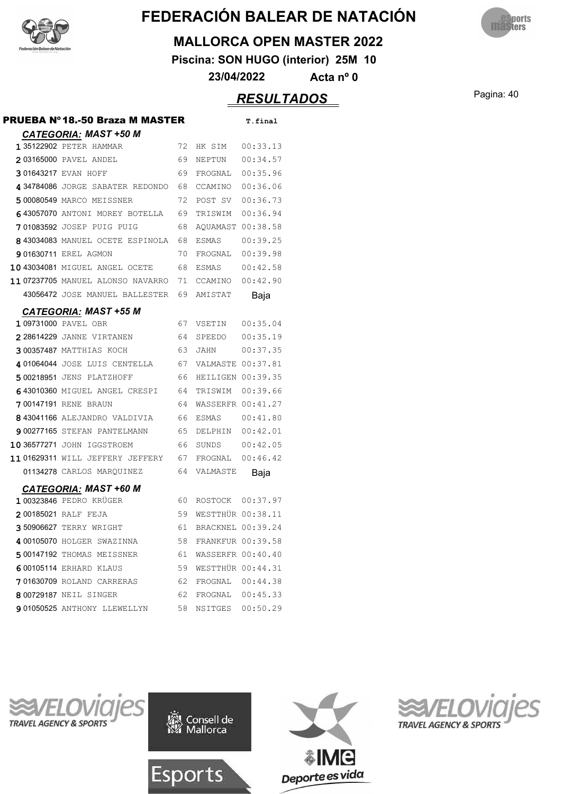



#### **MALLORCA OPEN MASTER 2022**

**Piscina: SON HUGO (interior) 25M 10**

**23/04/2022 Acta nº 0**

### Pagina: 40 *RESULTADOS*

| PRUEBA Nº 18.-50 Braza M MASTER              |      |                      | T.final  |
|----------------------------------------------|------|----------------------|----------|
| <b>CATEGORIA: MAST +50 M</b>                 |      |                      |          |
| <b>135122902 PETER HAMMAR</b>                |      | 72 HK SIM            | 00:33.13 |
| 2 03165000 PAVEL ANDEL                       | 69   | NEPTUN               | 00:34.57 |
| 301643217 EVAN HOFF                          | 69   | FROGNAL              | 00:35.96 |
| 4 34784086 JORGE SABATER REDONDO             | 68   | CCAMINO              | 00:36.06 |
| 500080549 MARCO MEISSNER                     | 72   | POST SV              | 00:36.73 |
| 643057070 ANTONI MOREY BOTELLA 69            |      | TRISWIM 00:36.94     |          |
| 701083592 JOSEP PUIG PUIG                    | 68   | AOUAMAST 00:38.58    |          |
| 8 43034083 MANUEL OCETE ESPINOLA             | 68   | ESMAS                | 00:39.25 |
| <b>901630711 EREL AGMON</b>                  | 70   | FROGNAL              | 00:39.98 |
| 10 43034081 MIGUEL ANGEL OCETE               | 68   | ESMAS                | 00:42.58 |
| 11 07237705 MANUEL ALONSO NAVARRO 71 CCAMINO |      |                      | 00:42.90 |
| 43056472 JOSE MANUEL BALLESTER               |      | 69 AMISTAT           | Baja     |
| <b>CATEGORIA: MAST +55 M</b>                 |      |                      |          |
| 1 09731000 PAVEL OBR                         | 67 - | VSETIN               | 00:35.04 |
| 228614229 JANNE VIRTANEN                     | 64   | SPEEDO               | 00:35.19 |
| 300357487 MATTHIAS KOCH                      | 63   | JAHN                 | 00:37.35 |
| 401064044 JOSE LUIS CENTELLA                 | 67   | VALMASTE 00:37.81    |          |
| 500218951 JENS PLATZHOFF                     | 66.  | HEILIGEN 00:39.35    |          |
| 643010360 MIGUEL ANGEL CRESPI                | 64   | TRISWIM              | 00:39.66 |
| <b>700147191</b> RENE BRAUN                  | 64   | WASSERFR 00:41.27    |          |
| 843041166 ALEJANDRO VALDIVIA                 | 66   | ESMAS                | 00:41.80 |
| 900277165 STEFAN PANTELMANN                  | 65   | DELPHIN              | 00:42.01 |
| 10 36577271 JOHN IGGSTROEM                   | 66   | SUNDS                | 00:42.05 |
| 1101629311 WILL JEFFERY JEFFERY 67           |      | FROGNAL              | 00:46.42 |
| 01134278 CARLOS MARQUINEZ                    | 64   | VALMASTE             | Baja     |
| <b>CATEGORIA: MAST +60 M</b>                 |      |                      |          |
| 100323846 PEDRO KRÜGER                       | 60 - | ROSTOCK 00:37.97     |          |
| 200185021 RALF FEJA                          |      | 59 WESTTHÜR 00:38.11 |          |
| 350906627 TERRY WRIGHT                       | 61   | BRACKNEL 00:39.24    |          |
| 4 00105070 HOLGER SWAZINNA                   | 58   | FRANKFUR 00:39.58    |          |
| 500147192 THOMAS MEISSNER                    | 61   | WASSERFR 00:40.40    |          |
| 6 00105114 ERHARD KLAUS                      | 59   | WESTTHÜR 00:44.31    |          |
| 701630709 ROLAND CARRERAS                    | 62   | FROGNAL 00:44.38     |          |
| 8 00729187 NEIL SINGER                       | 62   | FROGNAL 00:45.33     |          |
| 901050525 ANTHONY LLEWELLYN                  | 58   | NSITGES  00:50.29    |          |







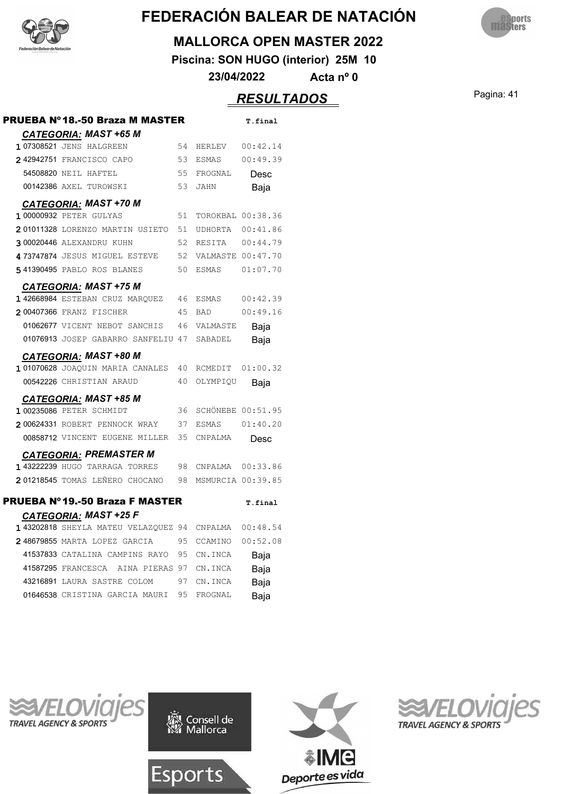



#### **MALLORCA OPEN MASTER 2022**

**Piscina: SON HUGO (interior) 25M 10**

**23/04/2022 Acta nº 0**

### Pagina: 41 *RESULTADOS*

| PRUEBA Nº 18.-50 Braza M MASTER      |    |                          | T.final  |
|--------------------------------------|----|--------------------------|----------|
| CATEGORIA: MAST +65 M                |    |                          |          |
| 107308521 JENS HALGREEN              | 54 | HERLEV                   | 00:42.14 |
| 242942751 FRANCISCO CAPO             | 53 | ESMAS                    | 00:49.39 |
| 54508820 NEIL HAFTEL                 | 55 | FROGNAL                  | Desc     |
| 00142386 AXEL TUROWSKI               | 53 | <b>JAHN</b>              | Baja     |
| <b>CATEGORIA: MAST +70 M</b>         |    |                          |          |
| <b>1 00000932 PETER GULYAS</b>       | 51 | TOROKBAL 00:38.36        |          |
| 201011328 LORENZO MARTIN USIETO      | 51 | UDHORTA                  | 00:41.86 |
| 300020446 ALEXANDRU KUHN             | 52 | RESITA                   | 00:44.79 |
| 473747874 JESUS MIGUEL ESTEVE        | 52 | VALMASTE 00:47.70        |          |
| 541390495 PABLO ROS BLANES           | 50 | <b>ESMAS</b>             | 01:07.70 |
| <b>CATEGORIA: MAST +75 M</b>         |    |                          |          |
| 142668984 ESTEBAN CRUZ MARQUEZ       | 46 | ESMAS                    | 00:42.39 |
| 200407366 FRANZ FISCHER              | 45 | <b>BAD</b>               | 00:49.16 |
| 01062677 VICENT NEBOT SANCHIS        | 46 | VALMASTE                 | Baja     |
| 01076913 JOSEP GABARRO SANFELIU 47   |    | SABADEL                  | Baja     |
| <b>CATEGORIA: MAST +80 M</b>         |    |                          |          |
| 1 01070628 JOAOUIN MARIA CANALES     | 40 | RCMEDIT                  | 01:00.32 |
| 00542226 CHRISTIAN ARAUD             | 40 | OLYMPIQU                 | Baja     |
| <b>CATEGORIA: MAST +85 M</b>         |    |                          |          |
| 1 00235086 PETER SCHMIDT             | 36 | <b>SCHÖNEBE 00:51.95</b> |          |
| 200624331 ROBERT PENNOCK WRAY        | 37 | ESMAS                    | 01:40.20 |
| 00858712 VINCENT EUGENE MILLER       | 35 | CNPALMA                  | Desc     |
| <b>CATEGORIA: PREMASTER M</b>        |    |                          |          |
| 143222239 HUGO TARRAGA TORRES        | 98 | CNPALMA  00:33.86        |          |
| 201218545 TOMAS LEÑERO CHOCANO       | 98 | MSMURCIA 00:39.85        |          |
|                                      |    |                          |          |
| PRUEBA Nº 19.-50 Braza F MASTER      |    |                          | T.final  |
| CATEGORIA: MAST +25 F                |    |                          |          |
| 143202818 SHEYLA MATEU VELAZQUEZ 94  |    | CNPALMA                  | 00:48.54 |
| 248679855 MARTA LOPEZ GARCIA         | 95 | CCAMINO                  | 00:52.08 |
| 41537833 CATALINA CAMPINS RAYO 95    |    | CN.INCA                  | Baja     |
| 41587295 FRANCESCA<br>AINA PIERAS 97 |    | CN.INCA                  | Baja     |
| 43216891 LAURA SASTRE COLOM          | 97 | CN.INCA                  | Baja     |
| 01646538 CRISTINA GARCIA MAURI       | 95 | FROGNAL                  | Baja     |







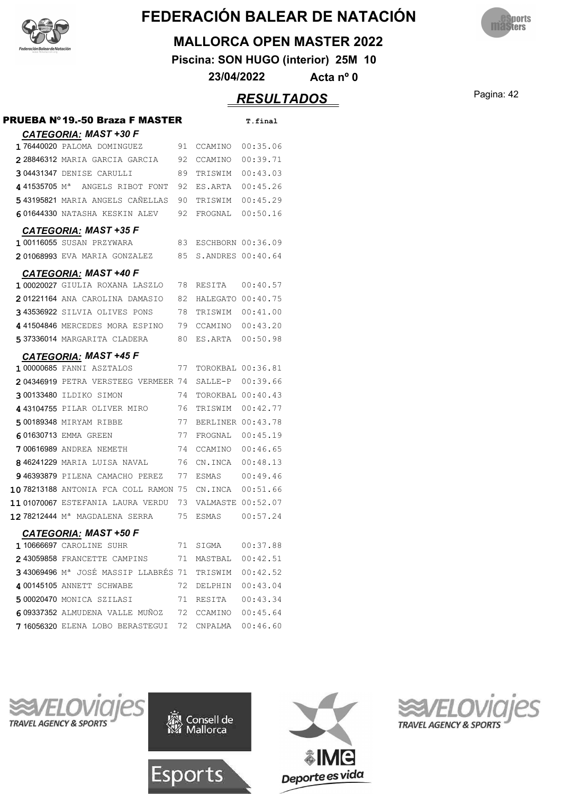



#### **MALLORCA OPEN MASTER 2022**

**Piscina: SON HUGO (interior) 25M 10**

**23/04/2022 Acta nº 0**

### Pagina: 42 *RESULTADOS*

| PRUEBA Nº 19.-50 Braza F MASTER                 |     |                   | T.final  |
|-------------------------------------------------|-----|-------------------|----------|
| <b>CATEGORIA: MAST +30 F</b>                    |     |                   |          |
| 176440020 PALOMA DOMINGUEZ                      | 91  | CCAMINO           | 00:35.06 |
| 2 28846312 MARIA GARCIA GARCIA                  | 92  | CCAMINO           | 00:39.71 |
| 304431347 DENISE CARULLI                        | 89  | TRISWIM           | 00:43.03 |
| 441535705 M <sup>a</sup> ANGELS RIBOT FONT      | 92  | ES.ARTA           | 00:45.26 |
| 543195821 MARIA ANGELS CANELLAS                 | 90  | TRISWIM           | 00:45.29 |
| 601644330 NATASHA KESKIN ALEV                   | 92. | FROGNAL           | 00:50.16 |
| <b>CATEGORIA: MAST +35 F</b>                    |     |                   |          |
| 1 00116055 SUSAN PRZYWARA                       | 83  | ESCHBORN 00:36.09 |          |
| 201068993 EVA MARIA GONZALEZ                    | 85  | S.ANDRES 00:40.64 |          |
| <b>CATEGORIA: MAST +40 F</b>                    |     |                   |          |
| 1 00020027 GIULIA ROXANA LASZLO                 | 78  | RESITA 00:40.57   |          |
| 201221164 ANA CAROLINA DAMASIO                  | 82  | HALEGATO 00:40.75 |          |
| 343536922 SILVIA OLIVES PONS                    | 78  | TRISWIM           | 00:41.00 |
| 441504846 MERCEDES MORA ESPINO                  | 79  | CCAMINO           | 00:43.20 |
| 537336014 MARGARITA CLADERA                     | 80  | ES.ARTA 00:50.98  |          |
| <b>CATEGORIA: MAST +45 F</b>                    |     |                   |          |
| 1 00000685 FANNI ASZTALOS                       | 77  | TOROKBAL 00:36.81 |          |
| 204346919 PETRA VERSTEEG VERMEER 74             |     | SALLE-P 00:39.66  |          |
| 300133480 ILDIKO SIMON                          | 74  | TOROKBAL 00:40.43 |          |
| 443104755 PILAR OLIVER MIRO                     | 76  | TRISWIM 00:42.77  |          |
| 500189348 MIRYAM RIBBE                          | 77  | BERLINER 00:43.78 |          |
| 601630713 EMMA GREEN                            | 77  | FROGNAL           | 00:45.19 |
| <b>700616989</b> ANDREA NEMETH                  | 74  | CCAMINO           | 00:46.65 |
| 846241229 MARIA LUISA NAVAL                     | 76  | CN.INCA           | 00:48.13 |
| 946393879 PILENA CAMACHO PEREZ                  | 77  | ESMAS             | 00:49.46 |
| 1078213188 ANTONIA FCA COLL RAMON 75            |     | CN.INCA 00:51.66  |          |
| 1101070067 ESTEFANIA LAURA VERDU                | 73  | VALMASTE 00:52.07 |          |
| 12 78212444 Mª MAGDALENA SERRA                  | 75  | ESMAS             | 00:57.24 |
| CATEGORIA: MAST +50 F                           |     |                   |          |
| 110666697 CAROLINE SUHR                         | 71  | SIGMA             | 00:37.88 |
| 243059858 FRANCETTE CAMPINS                     | 71  | MASTBAL 00:42.51  |          |
| 343069496 M <sup>a</sup> JOSÉ MASSIP LLABRÉS 71 |     | TRISWIM 00:42.52  |          |
| 4 00145105 ANNETT SCHWABE                       | 72  | DELPHIN 00:43.04  |          |
| 500020470 MONICA SZILASI                        | 71  | RESITA            | 00:43.34 |
| 609337352 ALMUDENA VALLE MUÑOZ                  | 72  | CCAMINO           | 00:45.64 |
| 716056320 ELENA LOBO BERASTEGUI                 | 72  | CNPALMA           | 00:46.60 |







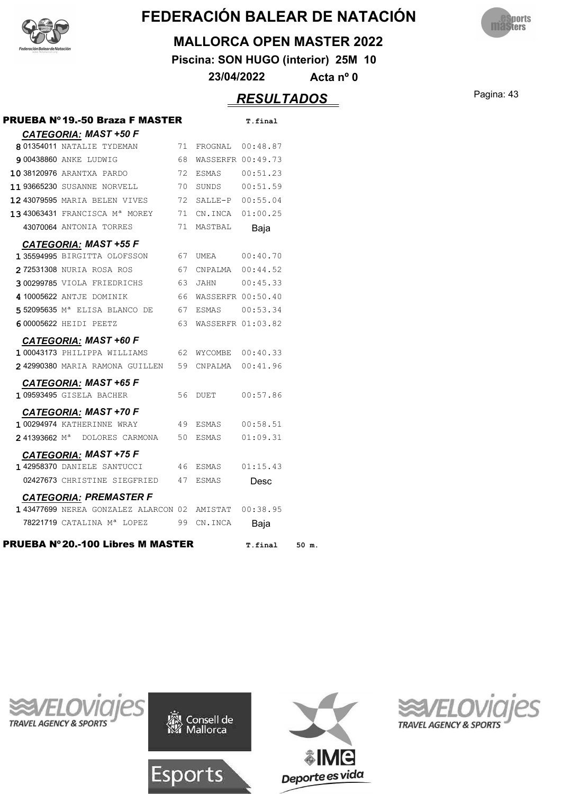



#### **MALLORCA OPEN MASTER 2022**

**Piscina: SON HUGO (interior) 25M 10**

**23/04/2022 Acta nº 0**

### Pagina: 43 *RESULTADOS*

| PRUEBA Nº 19.-50 Braza F MASTER                             |    |                                                   | T.final           |
|-------------------------------------------------------------|----|---------------------------------------------------|-------------------|
| <b>CATEGORIA: MAST +50 F</b>                                |    |                                                   |                   |
| 801354011 NATALIE TYDEMAN                                   | 71 | FROGNAL 00:48.87                                  |                   |
| <b>9 00438860 ANKE LUDWIG</b>                               | 68 |                                                   | WASSERFR 00:49.73 |
| 1038120976 ARANTXA PARDO                                    | 72 |                                                   |                   |
| <b>11 93665230</b> SUSANNE NORVELL 70                       |    |                                                   |                   |
| <b>12 43079595</b> MARIA BELEN VIVES                        | 72 | SALLE-P 00:55.04                                  |                   |
| 13 43063431 FRANCISCA M <sup>a</sup> MOREY                  |    | 71 CN.INCA 01:00.25                               |                   |
| 43070064 ANTONIA TORRES                                     | 71 | MASTBAL                                           | Baja              |
| <b>CATEGORIA: MAST +55 F</b>                                |    |                                                   |                   |
| 1 35594995 BIRGITTA OLOFSSON 67 UMEA 00:40.70               |    |                                                   |                   |
| 272531308 NURIA ROSA ROS                                    | 67 |                                                   | CNPALMA  00:44.52 |
| 300299785 VIOLA FRIEDRICHS 63                               |    |                                                   | JAHN 00:45.33     |
| 4 10005622 ANTJE DOMINIK                                    |    | 66 WASSERFR 00:50.40                              |                   |
| 5 52095635 M <sup>a</sup> ELISA BLANCO DE 67 ESMAS 00:53.34 |    |                                                   |                   |
| 6 00005622 HEIDI PEETZ                                      | 63 | WASSERFR 01:03.82                                 |                   |
| <b>CATEGORIA: MAST +60 F</b>                                |    |                                                   |                   |
| 100043173 PHILIPPA WILLIAMS                                 |    | 62 WYCOMBE 00:40.33                               |                   |
| 242990380 MARIA RAMONA GUILLEN 59 CNPALMA 00:41.96          |    |                                                   |                   |
| <b>CATEGORIA: MAST +65 F</b>                                |    |                                                   |                   |
| 1 09593495 GISELA BACHER                                    | 56 | DUET                                              | 00:57.86          |
| CATEGORIA: MAST +70 F                                       |    |                                                   |                   |
| <b>100294974 KATHERINNE WRAY</b>                            |    | 49 ESMAS 00:58.51                                 |                   |
| 241393662 M <sup>a</sup> DOLORES CARMONA 50 ESMAS 01:09.31  |    |                                                   |                   |
| <b>CATEGORIA: MAST +75 F</b>                                |    |                                                   |                   |
| 142958370 DANIELE SANTUCCI 46 ESMAS                         |    |                                                   | 01:15.43          |
| 02427673 CHRISTINE SIEGFRIED 47 ESMAS                       |    |                                                   | Desc              |
| <b>CATEGORIA: PREMASTER F</b>                               |    |                                                   |                   |
| 143477699 NEREA GONZALEZ ALARCON 02 AMISTAT 00:38.95        |    |                                                   |                   |
|                                                             |    | 78221719 CATALINA M <sup>a</sup> LOPEZ 99 CN.INCA |                   |





Esports



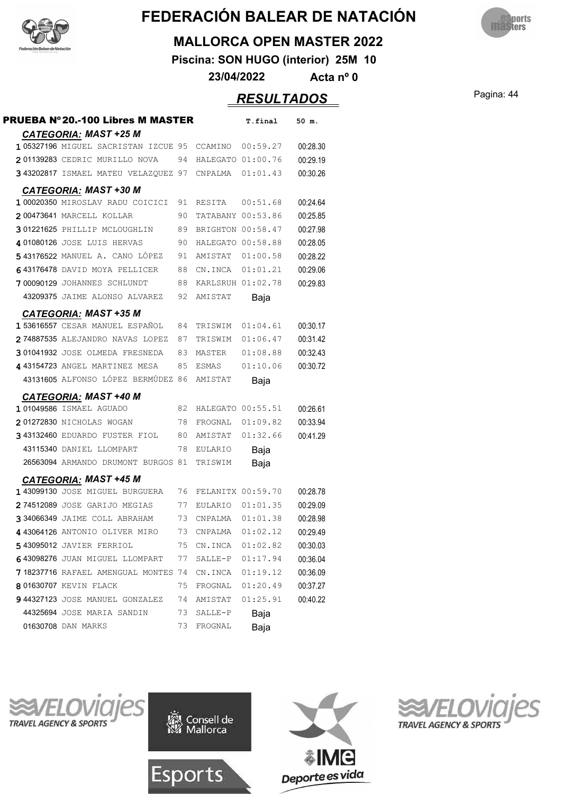



#### **MALLORCA OPEN MASTER 2022**

**Piscina: SON HUGO (interior) 25M 10**

**23/04/2022 Acta nº 0**

### Pagina: 44 *RESULTADOS*

| <b>PRUEBA Nº 20.-100 Libres M MASTER</b> |    |                   | T.final          | 50 m.    |
|------------------------------------------|----|-------------------|------------------|----------|
| <b>CATEGORIA: MAST +25 M</b>             |    |                   |                  |          |
| 105327196 MIGUEL SACRISTAN IZCUE 95      |    | CCAMINO           | 00:59.27         | 00:28.30 |
| 201139283 CEDRIC MURILLO NOVA            | 94 | HALEGATO 01:00.76 |                  | 00:29.19 |
| 343202817 ISMAEL MATEU VELAZQUEZ 97      |    | CNPALMA           | 01:01.43         | 00:30.26 |
| <b>CATEGORIA: MAST +30 M</b>             |    |                   |                  |          |
| 1 00020350 MIROSLAV RADU COICICI         | 91 | RESITA            | 00:51.68         | 00:24.64 |
| 200473641 MARCELL KOLLAR                 | 90 | TATABANY 00:53.86 |                  | 00:25.85 |
| 301221625 PHILLIP MCLOUGHLIN             | 89 | BRIGHTON 00:58.47 |                  | 00:27.98 |
| 4 01080126 JOSE LUIS HERVAS              | 90 | HALEGATO 00:58.88 |                  | 00:28.05 |
| 543176522 MANUEL A. CANO LÓPEZ           | 91 | AMISTAT           | 01:00.58         | 00:28.22 |
| 643176478 DAVID MOYA PELLICER            | 88 | CN.INCA           | 01:01.21         | 00:29.06 |
| 700090129 JOHANNES SCHLUNDT              | 88 | KARLSRUH 01:02.78 |                  | 00:29.83 |
| 43209375 JAIME ALONSO ALVAREZ            | 92 | AMISTAT           | Baja             |          |
| <b>CATEGORIA: MAST +35 M</b>             |    |                   |                  |          |
| <b>153616557</b> CESAR MANUEL ESPAÑOL    | 84 | TRISWIM           | 01:04.61         | 00:30.17 |
| 274887535 ALEJANDRO NAVAS LOPEZ          | 87 | TRISWIM           | 01:06.47         | 00:31.42 |
| 301041932 JOSE OLMEDA FRESNEDA           | 83 | MASTER            | 01:08.88         | 00:32.43 |
| 4 43154723 ANGEL MARTINEZ MESA           | 85 | ESMAS             | 01:10.06         | 00:30.72 |
| 43131605 ALFONSO LÓPEZ BERMÚDEZ 86       |    | AMISTAT           | Baja             |          |
| <b>CATEGORIA: MAST +40 M</b>             |    |                   |                  |          |
| 101049586 ISMAEL AGUADO                  | 82 | HALEGATO 00:55.51 |                  | 00:26.61 |
| 201272830 NICHOLAS WOGAN                 | 78 | FROGNAL           | 01:09.82         | 00:33.94 |
| 343132460 EDUARDO FUSTER FIOL            | 80 | AMISTAT           | 01:32.66         | 00:41.29 |
| 43115340 DANIEL LLOMPART                 | 78 | EULARIO           | Baja             |          |
| 26563094 ARMANDO DRUMONT BURGOS 81       |    | TRISWIM           | Baja             |          |
| <b>CATEGORIA: MAST +45 M</b>             |    |                   |                  |          |
| 143099130 JOSE MIGUEL BURGUERA           | 76 | FELANITX 00:59.70 |                  | 00:28.78 |
| 274512089 JOSE GARIJO MEGIAS             | 77 | EULARIO           | 01:01.35         | 00:29.09 |
| 334066349 JAIME COLL ABRAHAM             | 73 | CNPALMA           | 01:01.38         | 00:28.98 |
| 4 43064126 ANTONIO OLIVER MIRO           |    |                   |                  | 00:29.49 |
| 5 43095012 JAVIER FERRIOL                | 73 | CNPALMA           | 01:02.12         |          |
|                                          | 75 | CN.INCA           | 01:02.82         | 00:30.03 |
| 643098276 JUAN MIGUEL LLOMPART           | 77 | SALLE-P           | 01:17.94         | 00:36.04 |
| 718237716 RAFAEL AMENGUAL MONTES 74      |    |                   | CN.INCA 01:19.12 | 00:36.09 |
| 801630707 KEVIN FLACK                    | 75 | FROGNAL           | 01:20.49         | 00:37.27 |
| 944327123 JOSE MANUEL GONZALEZ           | 74 | AMISTAT           | 01:25.91         | 00:40.22 |
| 44325694 JOSE MARIA SANDIN               | 73 | SALLE-P           | Baja             |          |
| 01630708 DAN MARKS                       | 73 | FROGNAL           | Baja             |          |







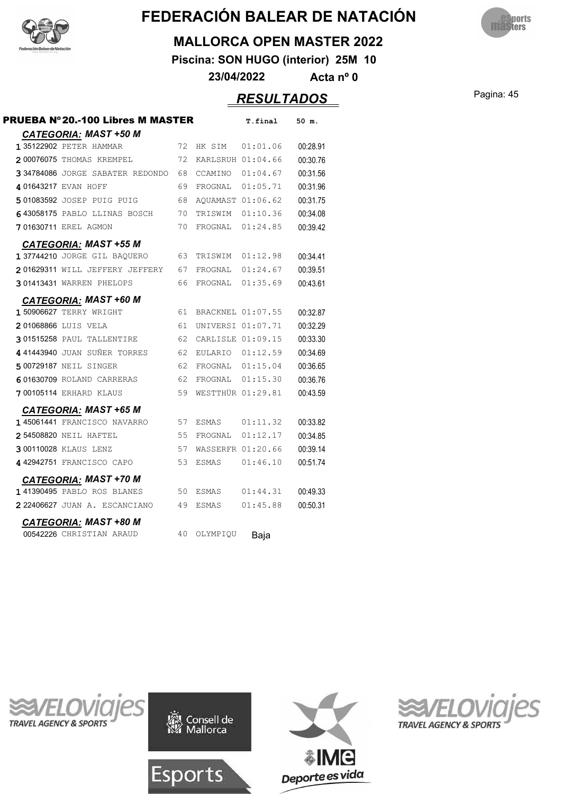



#### **MALLORCA OPEN MASTER 2022**

**Piscina: SON HUGO (interior) 25M 10**

**23/04/2022 Acta nº 0**

### Pagina: 45 *RESULTADOS*

| <b>PRUEBA Nº 20.-100 Libres M MASTER</b>                |    |          | T.final           | 50 m.    |
|---------------------------------------------------------|----|----------|-------------------|----------|
| <b>CATEGORIA: MAST +50 M</b><br>1 35122902 PETER HAMMAR | 72 |          | HK SIM 01:01.06   | 00:28.91 |
| 200076075 THOMAS KREMPEL                                | 72 |          | KARLSRUH 01:04.66 | 00:30.76 |
| 334784086 JORGE SABATER REDONDO                         | 68 | CCAMINO  | 01:04.67          | 00:31.56 |
| 401643217 EVAN HOFF                                     | 69 |          | FROGNAL 01:05.71  | 00:31.96 |
| 501083592 JOSEP PUIG PUIG                               | 68 |          | AQUAMAST 01:06.62 | 00:31.75 |
| 643058175 PABLO LLINAS BOSCH                            | 70 | TRISWIM  | 01:10.36          | 00:34.08 |
| 701630711 EREL AGMON                                    | 70 | FROGNAL  | 01:24.85          | 00:39.42 |
|                                                         |    |          |                   |          |
| <b>CATEGORIA: MAST +55 M</b>                            |    |          |                   |          |
| 1 37744210 JORGE GIL BAOUERO                            | 63 | TRISWIM  | 01:12.98          | 00:34.41 |
| 201629311 WILL JEFFERY JEFFERY                          | 67 | FROGNAL  | 01:24.67          | 00:39.51 |
| 301413431 WARREN PHELOPS                                | 66 |          | FROGNAL 01:35.69  | 00:43.61 |
| <b>CATEGORIA: MAST +60 M</b>                            |    |          |                   |          |
| 1 50906627 TERRY WRIGHT                                 | 61 |          | BRACKNEL 01:07.55 | 00:32.87 |
| 201068866 LUIS VELA                                     | 61 |          | UNIVERSI 01:07.71 | 00:32.29 |
| 301515258 PAUL TALLENTIRE                               | 62 |          | CARLISLE 01:09.15 | 00:33.30 |
| 441443940 JUAN SUÑER TORRES                             | 62 |          | EULARIO 01:12.59  | 00:34.69 |
| 500729187 NEIL SINGER                                   | 62 |          | FROGNAL 01:15.04  | 00:36.65 |
| 601630709 ROLAND CARRERAS                               | 62 |          | FROGNAL 01:15.30  | 00:36.76 |
| <b>700105114 ERHARD KLAUS</b>                           | 59 |          | WESTTHÜR 01:29.81 | 00:43.59 |
| <b>CATEGORIA: MAST +65 M</b>                            |    |          |                   |          |
| 145061441 FRANCISCO NAVARRO                             | 57 |          | ESMAS 01:11.32    | 00:33.82 |
| 254508820 NEIL HAFTEL                                   | 55 | FROGNAL  | 01:12.17          | 00:34.85 |
| 300110028 KLAUS LENZ                                    | 57 |          | WASSERFR 01:20.66 | 00:39.14 |
| 442942751 FRANCISCO CAPO                                | 53 | ESMAS    | 01:46.10          | 00:51.74 |
| <b>CATEGORIA: MAST +70 M</b>                            |    |          |                   |          |
| 141390495 PABLO ROS BLANES                              | 50 | ESMAS    | 01:44.31          | 00:49.33 |
| 222406627 JUAN A. ESCANCIANO                            | 49 | ESMAS    | 01:45.88          | 00:50.31 |
| <b>CATEGORIA: MAST +80 M</b>                            |    |          |                   |          |
| 00542226 CHRISTIAN ARAUD                                | 40 | OLYMPIQU | Baja              |          |







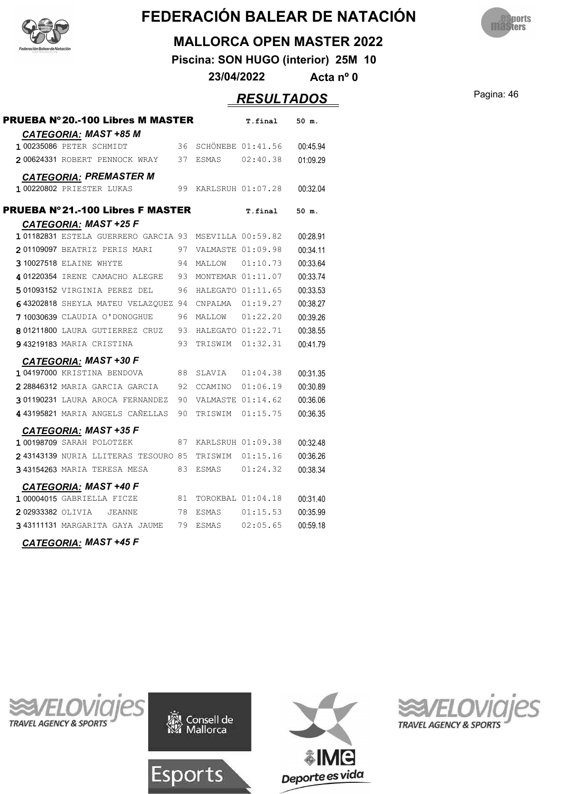



#### **MALLORCA OPEN MASTER 2022**

**Piscina: SON HUGO (interior) 25M 10**

**23/04/2022 Acta nº 0**

### Pagina: 46 *RESULTADOS*

| <b>PRUEBA Nº 20.-100 Libres M MASTER</b> |    |                   | T.final           | 50 m.    |
|------------------------------------------|----|-------------------|-------------------|----------|
| <b>CATEGORIA: MAST +85 M</b>             |    |                   |                   |          |
| 1 00235086 PETER SCHMIDT                 | 36 |                   | SCHÖNEBE 01:41.56 | 00:45.94 |
| 200624331 ROBERT PENNOCK WRAY            | 37 | ESMAS             | 02:40.38          | 01:09.29 |
| <b>CATEGORIA: PREMASTER M</b>            |    |                   |                   |          |
| 1 00220802 PRIESTER LUKAS                | 99 |                   | KARLSRUH 01:07.28 | 00:32.04 |
| <b>PRUEBA N°21.-100 Libres F MASTER</b>  |    |                   | T.final           | 50 m.    |
| CATEGORIA: MAST +25 F                    |    |                   |                   |          |
| 101182831 ESTELA GUERRERO GARCIA 93      |    | MSEVILLA 00:59.82 |                   | 00:28.91 |
| 201109097 BEATRIZ PERIS MARI             | 97 | VALMASTE 01:09.98 |                   | 00:34.11 |
| 3 10027518 ELAINE WHYTE                  | 94 | MALLOW            | 01:10.73          | 00:33.64 |
| 401220354 IRENE CAMACHO ALEGRE           | 93 | MONTEMAR 01:11.07 |                   | 00:33.74 |
| 501093152 VIRGINIA PEREZ DEL             | 96 | HALEGATO 01:11.65 |                   | 00:33.53 |
| 643202818 SHEYLA MATEU VELAZQUEZ 94      |    | CNPALMA           | 01:19.27          | 00:38.27 |
| 7 10030639 CLAUDIA O'DONOGHUE            | 96 | MALLOW 01:22.20   |                   | 00:39.26 |
| 801211800 LAURA GUTIERREZ CRUZ           | 93 |                   | HALEGATO 01:22.71 | 00:38.55 |
| 943219183 MARIA CRISTINA                 | 93 | TRISWIM           | 01:32.31          | 00:41.79 |
| <b>CATEGORIA: MAST +30 F</b>             |    |                   |                   |          |
| 104197000 KRISTINA BENDOVA               | 88 | SLAVIA            | 01:04.38          | 00:31.35 |
| 2 28846312 MARIA GARCIA GARCIA           | 92 | CCAMINO           | 01:06.19          | 00:30.89 |
| 301190231 LAURA AROCA FERNANDEZ          | 90 |                   | VALMASTE 01:14.62 | 00:36.06 |
| 4 43195821 MARIA ANGELS CAÑELLAS         | 90 | TRISWIM           | 01:15.75          | 00:36.35 |
| <b>CATEGORIA: MAST +35 F</b>             |    |                   |                   |          |
| 1 00198709 SARAH POLOTZEK                | 87 |                   | KARLSRUH 01:09.38 | 00:32.48 |
| 243143139 NURIA LLITERAS TESOURO 85      |    | TRISWIM           | 01:15.16          | 00:36.26 |
| 343154263 MARIA TERESA MESA              | 83 | ESMAS             | 01:24.32          | 00:38.34 |
| <u>CATEGORIA:</u> MAST +40 F             |    |                   |                   |          |
| 1 00004015 GABRIELLA FICZE               | 81 |                   | TOROKBAL 01:04.18 | 00:31.40 |
| 202933382 OLIVIA JEANNE                  | 78 | ESMAS             | 01:15.53          | 00:35.99 |
| 343111131 MARGARITA GAYA JAUME           | 79 | ESMAS             | 02:05.65          | 00:59.18 |



![](_page_45_Picture_10.jpeg)

![](_page_45_Picture_11.jpeg)

Esports

![](_page_45_Picture_12.jpeg)

![](_page_45_Picture_13.jpeg)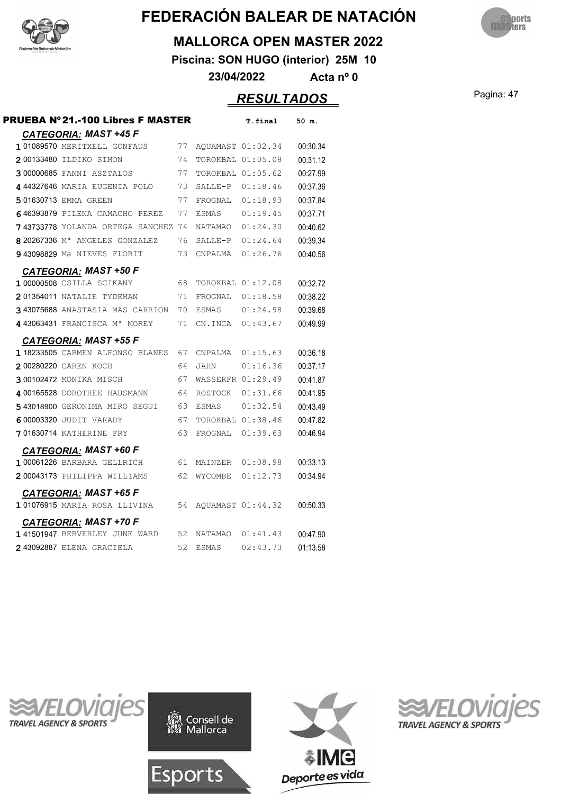![](_page_46_Picture_0.jpeg)

![](_page_46_Picture_2.jpeg)

#### **MALLORCA OPEN MASTER 2022**

**Piscina: SON HUGO (interior) 25M 10**

**23/04/2022 Acta nº 0**

### Pagina: 47 *RESULTADOS*

| <b>PRUEBA Nº21.-100 Libres F MASTER</b>                       |    |                   | T.final           | 50 m.    |
|---------------------------------------------------------------|----|-------------------|-------------------|----------|
| <b>CATEGORIA: MAST +45 F</b>                                  |    |                   |                   |          |
| 101089570 MERITXELL GONFAUS                                   | 77 | AQUAMAST 01:02.34 |                   | 00:30.34 |
| 200133480 ILDIKO SIMON                                        | 74 | TOROKBAL 01:05.08 |                   | 00:31.12 |
| 300000685 FANNI ASZTALOS                                      | 77 | TOROKBAL 01:05.62 |                   | 00:27.99 |
| 444327646 MARIA EUGENIA POLO                                  | 73 |                   | SALLE-P 01:18.46  | 00:37.36 |
| 501630713 EMMA GREEN                                          | 77 | FROGNAL           | 01:18.93          | 00:37.84 |
| 646393879 PILENA CAMACHO PEREZ                                | 77 | <b>ESMAS</b>      | 01:19.45          | 00:37.71 |
| 743733778 YOLANDA ORTEGA SANCHEZ 74                           |    | NATAMAO           | 01:24.30          | 00:40.62 |
| 8 20267336 M <sup>a</sup> ANGELES GONZALEZ                    | 76 |                   | SALLE-P 01:24.64  | 00:39.34 |
| 943098829 Ma NIEVES FLORIT                                    | 73 |                   | CNPALMA  01:26.76 | 00:40.56 |
| <b>CATEGORIA: MAST +50 F</b>                                  |    |                   |                   |          |
| 1 00000508 CSILLA SCIKANY                                     | 68 | TOROKBAL 01:12.08 |                   | 00:32.72 |
| 201354011 NATALIE TYDEMAN                                     | 71 | FROGNAL           | 01:18.58          | 00:38.22 |
| 343075688 ANASTASIA MAS CARRION                               | 70 | <b>ESMAS</b>      | 01:24.98          | 00:39.68 |
| 4 43063431 FRANCISCA Mª MOREY                                 | 71 |                   | CN.INCA 01:43.67  | 00:49.99 |
| <b>CATEGORIA: MAST +55 F</b>                                  |    |                   |                   |          |
| 1 18233505 CARMEN ALFONSO BLANES                              | 67 | CNPALMA           | 01:15.63          | 00:36.18 |
| 200280220 CAREN KOCH                                          | 64 | <b>JAHN</b>       | 01:16.36          | 00:37.17 |
| 300102472 MONIKA MISCH                                        | 67 | WASSERFR 01:29.49 |                   | 00:41.87 |
| 4 00165528 DOROTHEE HAUSMANN                                  | 64 | ROSTOCK           | 01:31.66          | 00:41.95 |
| 543018900 GERONIMA MIRO SEGUI                                 | 63 | <b>ESMAS</b>      | 01:32.54          | 00:43.49 |
| 6 00003320 JUDIT VARADY                                       | 67 | TOROKBAL 01:38.46 |                   | 00:47.82 |
| 701630714 KATHERINE FRY                                       | 63 | FROGNAL           | 01:39.63          | 00:46.94 |
| <b>CATEGORIA: MAST +60 F</b>                                  |    |                   |                   |          |
| 1 00061226 BARBARA GELLRICH                                   | 61 | MAINZER           | 01:08.98          | 00:33.13 |
| 200043173 PHILIPPA WILLIAMS                                   | 62 | WYCOMBE           | 01:12.73          | 00:34.94 |
| <b>CATEGORIA: MAST +65 F</b>                                  |    |                   |                   |          |
| 101076915 MARIA ROSA LLIVINA                                  | 54 | AQUAMAST 01:44.32 |                   | 00:50.33 |
|                                                               |    |                   |                   |          |
| <b>CATEGORIA: MAST +70 F</b><br>141501947 BERVERLEY JUNE WARD | 52 | NATAMAO           | 01:41.43          | 00:47.90 |
|                                                               | 52 | <b>ESMAS</b>      | 02:43.73          |          |
| 2 43092887 ELENA GRACIELA                                     |    |                   |                   | 01:13.58 |

![](_page_46_Picture_9.jpeg)

![](_page_46_Picture_10.jpeg)

![](_page_46_Picture_11.jpeg)

![](_page_46_Picture_12.jpeg)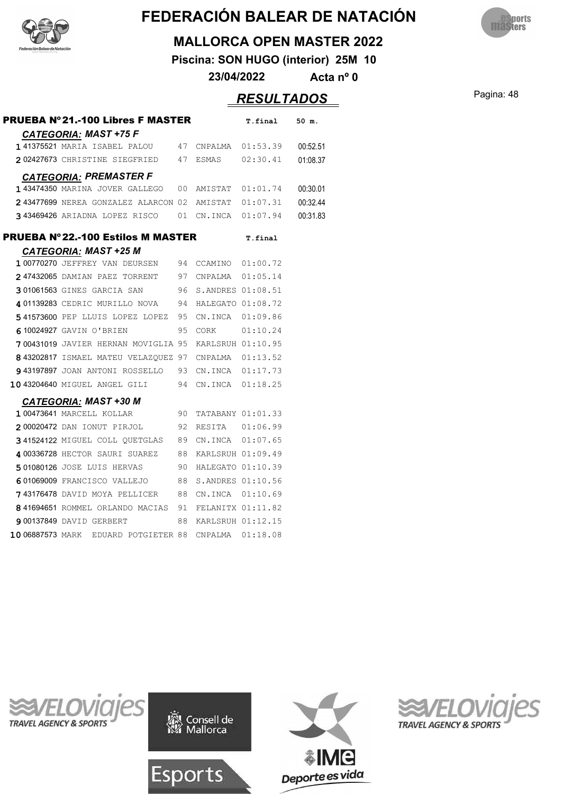![](_page_47_Picture_0.jpeg)

![](_page_47_Picture_2.jpeg)

#### **MALLORCA OPEN MASTER 2022**

**Piscina: SON HUGO (interior) 25M 10**

**23/04/2022 Acta nº 0**

### Pagina: 48 *RESULTADOS*

| <b>PRUEBA N°21.-100 Libres F MASTER</b>              |      |                     | T.final           | 50 m.    |
|------------------------------------------------------|------|---------------------|-------------------|----------|
| <b>CATEGORIA: MAST +75 F</b>                         |      |                     |                   |          |
| 141375521 MARIA ISABEL PALOU                         |      | 47 CNPALMA 01:53.39 |                   | 00:52.51 |
| 202427673 CHRISTINE SIEGFRIED 47                     |      | ESMAS 02:30.41      |                   | 01:08.37 |
| <b>CATEGORIA: PREMASTER F</b>                        |      |                     |                   |          |
| 143474350 MARINA JOVER GALLEGO                       | 00   | AMISTAT 01:01.74    |                   | 00:30.01 |
| 243477699 NEREA GONZALEZ ALARCON 02                  |      | AMISTAT 01:07.31    |                   | 00:32.44 |
| 343469426 ARIADNA LOPEZ RISCO 01 CN.INCA             |      |                     | 01:07.94          | 00:31.83 |
| <b>PRUEBA Nº 22.-100 Estilos M MASTER</b>            |      |                     | T.final           |          |
| <b>CATEGORIA: MAST +25 M</b>                         |      |                     |                   |          |
| 1 00770270 JEFFREY VAN DEURSEN                       |      | 94 CCAMINO 01:00.72 |                   |          |
| 247432065 DAMIAN PAEZ TORRENT 97                     |      | CNPALMA 01:05.14    |                   |          |
| 301061563 GINES GARCIA SAN                           | 96   | S.ANDRES 01:08.51   |                   |          |
| 401139283 CEDRIC MURILLO NOVA                        | 94   | HALEGATO 01:08.72   |                   |          |
| 541573600 PEP LLUIS LOPEZ LOPEZ                      | - 95 | CN.INCA 01:09.86    |                   |          |
| 610024927 GAVIN O'BRIEN                              | 95   | CORK                | 01:10.24          |          |
| 700431019 JAVIER HERNAN MOVIGLIA 95                  |      | KARLSRUH 01:10.95   |                   |          |
| 843202817 ISMAEL MATEU VELAZQUEZ 97 CNPALMA 01:13.52 |      |                     |                   |          |
| 943197897 JOAN ANTONI ROSSELLO 93                    |      | CN.INCA 01:17.73    |                   |          |
| 10 43204640 MIGUEL ANGEL GILI                        | 94   |                     | CN.INCA 01:18.25  |          |
| <b>CATEGORIA: MAST +30 M</b>                         |      |                     |                   |          |
| 1 00473641 MARCELL KOLLAR                            | 90   |                     | TATABANY 01:01.33 |          |
| 200020472 DAN IONUT PIRJOL<br>92                     |      | RESITA 01:06.99     |                   |          |
| 341524122 MIGUEL COLL QUETGLAS                       | 89   | CN.INCA 01:07.65    |                   |          |
| 4 00336728 HECTOR SAURI SUAREZ                       | 88   | KARLSRUH 01:09.49   |                   |          |
| 501080126 JOSE LUIS HERVAS                           | 90   | HALEGATO 01:10.39   |                   |          |
| 601069009 FRANCISCO VALLEJO                          | 88   | S.ANDRES 01:10.56   |                   |          |
| 743176478 DAVID MOYA PELLICER                        | 88   | CN.INCA 01:10.69    |                   |          |
| 841694651 ROMMEL ORLANDO MACIAS                      | 91   | FELANITX 01:11.82   |                   |          |
| 900137849 DAVID GERBERT                              | 88   | KARLSRUH 01:12.15   |                   |          |

**1006887573 MARK EDUARD POTGIETER 88 CNPALMA 01:18.08** 

![](_page_47_Picture_9.jpeg)

![](_page_47_Picture_10.jpeg)

![](_page_47_Picture_11.jpeg)

![](_page_47_Picture_12.jpeg)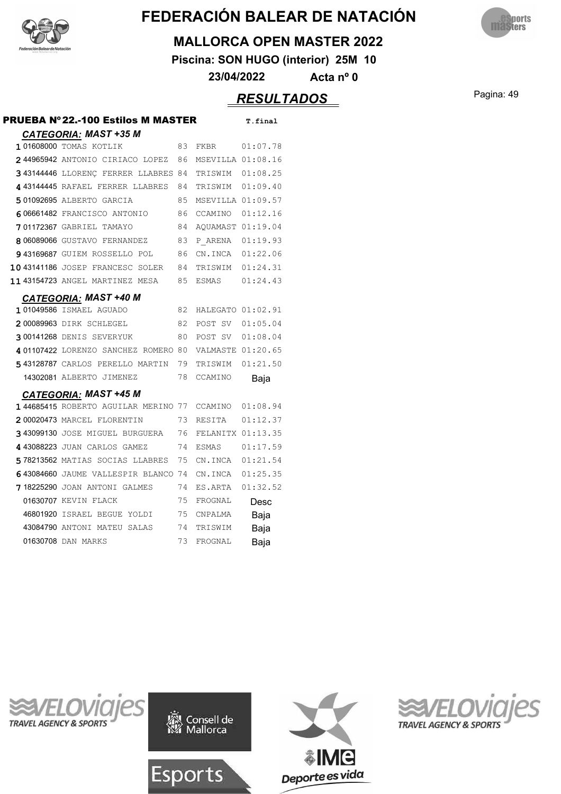![](_page_48_Picture_0.jpeg)

![](_page_48_Picture_2.jpeg)

#### **MALLORCA OPEN MASTER 2022**

**Piscina: SON HUGO (interior) 25M 10**

**23/04/2022 Acta nº 0**

### Pagina: 49 *RESULTADOS*

| PRUEBA Nº22.-100 Estilos M MASTER          |    |                   | T.final  |
|--------------------------------------------|----|-------------------|----------|
| <b>CATEGORIA: MAST +35 M</b>               |    |                   |          |
| 101608000 TOMAS KOTLIK                     | 83 | FKBR              | 01:07.78 |
| 244965942 ANTONIO CIRIACO LOPEZ            | 86 | MSEVILLA 01:08.16 |          |
| 3 43144446 LLORENC FERRER LLABRES 84       |    | TRISWIM 01:08.25  |          |
| 443144445 RAFAEL FERRER LLABRES            | 84 | TRISWIM 01:09.40  |          |
| 501092695 ALBERTO GARCIA                   | 85 | MSEVILLA 01:09.57 |          |
| 606661482 FRANCISCO ANTONIO                | 86 | CCAMINO           | 01:12.16 |
| 701172367 GABRIEL TAMAYO                   | 84 | AQUAMAST 01:19.04 |          |
| 8 06089066 GUSTAVO FERNANDEZ               | 83 | P ARENA 01:19.93  |          |
| 943169687 GUIEM ROSSELLO POL               | 86 | CN.INCA 01:22.06  |          |
| 1043141186 JOSEP FRANCESC SOLER            | 84 | TRISWIM 01:24.31  |          |
| 11 43154723 ANGEL MARTINEZ MESA            | 85 | ESMAS             | 01:24.43 |
| <b>CATEGORIA: MAST +40 M</b>               |    |                   |          |
| 101049586 ISMAEL AGUADO                    | 82 | HALEGATO 01:02.91 |          |
| 200089963 DIRK SCHLEGEL                    | 82 | POST SV 01:05.04  |          |
| 300141268 DENIS SEVERYUK                   | 80 | POST SV 01:08.04  |          |
| 401107422 LORENZO SANCHEZ ROMERO 80        |    | VALMASTE 01:20.65 |          |
| 543128787 CARLOS PERELLO MARTIN            | 79 | TRISWIM           | 01:21.50 |
| 14302081 ALBERTO JIMENEZ                   | 78 | CCAMINO           | Baja     |
| <b>CATEGORIA: MAST +45 M</b>               |    |                   |          |
| <b>144685415</b> ROBERTO AGUILAR MERINO 77 |    | CCAMINO           | 01:08.94 |
| 200020473 MARCEL FLORENTIN                 | 73 | RESITA            | 01:12.37 |
| 343099130 JOSE MIGUEL BURGUERA             | 76 | FELANITX 01:13.35 |          |
| 443088223 JUAN CARLOS GAMEZ                | 74 | <b>ESMAS</b>      | 01:17.59 |
| 578213562 MATIAS SOCIAS LLABRES            | 75 | CN.INCA 01:21.54  |          |
| 643084660 JAUME VALLESPIR BLANCO 74        |    | CN.INCA           | 01:25.35 |
| 718225290 JOAN ANTONI GALMES               | 74 | ES.ARTA           | 01:32.52 |
| 01630707 KEVIN FLACK                       | 75 | FROGNAL           | Desc     |
| 46801920 ISRAEL BEGUE YOLDI                | 75 | CNPALMA           | Baja     |
| 43084790 ANTONI MATEU SALAS                | 74 | TRISWIM           | Baja     |
| 01630708 DAN MARKS                         | 73 | FROGNAL           | Baja     |

![](_page_48_Picture_9.jpeg)

![](_page_48_Picture_10.jpeg)

![](_page_48_Picture_11.jpeg)

![](_page_48_Picture_12.jpeg)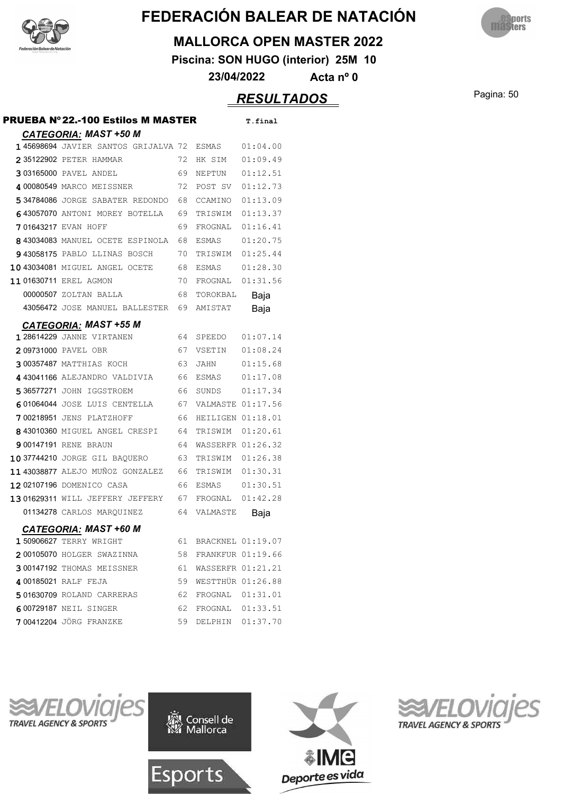![](_page_49_Picture_0.jpeg)

![](_page_49_Picture_2.jpeg)

#### **MALLORCA OPEN MASTER 2022**

**Piscina: SON HUGO (interior) 25M 10**

**23/04/2022 Acta nº 0**

### Pagina: 50 *RESULTADOS*

| <b>PRUEBA Nº22.-100 Estilos M MASTER</b>                                         |     |                      | T.final  |
|----------------------------------------------------------------------------------|-----|----------------------|----------|
| <b>CATEGORIA: MAST +50 M</b><br><b>145698694</b> JAVIER SANTOS GRIJALVA 72 ESMAS |     |                      | 01:04.00 |
| 2 35122902 PETER HAMMAR                                                          | 72  | HK SIM               | 01:09.49 |
| 303165000 PAVEL ANDEL                                                            | 69. | NEPTUN               | 01:12.51 |
| 4 00080549 MARCO MEISSNER                                                        | 72  | POST SV              | 01:12.73 |
| 534784086 JORGE SABATER REDONDO                                                  | 68  | CCAMINO              | 01:13.09 |
| 643057070 ANTONI MOREY BOTELLA                                                   | 69  | TRISWIM              | 01:13.37 |
| 701643217 EVAN HOFF                                                              | 69  | FROGNAL 01:16.41     |          |
| 843034083 MANUEL OCETE ESPINOLA                                                  | 68  | ESMAS 01:20.75       |          |
| 943058175 PABLO LLINAS BOSCH                                                     | 70  | TRISWIM 01:25.44     |          |
| 10 43034081 MIGUEL ANGEL OCETE                                                   | 68  | ESMAS                | 01:28.30 |
| 11 01630711 EREL AGMON                                                           | 70  | FROGNAL 01:31.56     |          |
| 00000507 ZOLTAN BALLA                                                            | 68. | TOROKBAL             | Baja     |
| 43056472 JOSE MANUEL BALLESTER                                                   | 69  | AMISTAT              | Baja     |
| <b>CATEGORIA: MAST +55 M</b>                                                     |     |                      |          |
| <b>128614229 JANNE VIRTANEN</b>                                                  |     | 64 SPEEDO            | 01:07.14 |
| 209731000 PAVEL OBR                                                              |     | 67 VSETIN            | 01:08.24 |
| 300357487 MATTHIAS KOCH                                                          | 63  | JAHN                 | 01:15.68 |
| 4 43041166 ALEJANDRO VALDIVIA                                                    | 66  |                      |          |
| 5 36577271 JOHN IGGSTROEM                                                        | 66  | SUNDS                | 01:17.34 |
| 601064044 JOSE LUIS CENTELLA                                                     | 67  | VALMASTE 01:17.56    |          |
| 700218951 JENS PLATZHOFF                                                         | 66  | HEILIGEN 01:18.01    |          |
| 8 43010360 MIGUEL ANGEL CRESPI                                                   | 64  | TRISWIM 01:20.61     |          |
| <b>900147191 RENE BRAUN</b>                                                      | 64  | WASSERFR 01:26.32    |          |
| 10 37744210 JORGE GIL BAQUERO                                                    | 63  | TRISWIM 01:26.38     |          |
| 11 43038877 ALEJO MUÑOZ GONZALEZ                                                 | 66  | TRISWIM 01:30.31     |          |
| 1202107196 DOMENICO CASA                                                         | 66  | ESMAS 01:30.51       |          |
| 1301629311 WILL JEFFERY JEFFERY                                                  | 67  | FROGNAL 01:42.28     |          |
| 01134278 CARLOS MAROUINEZ                                                        | 64  | VALMASTE             | Baja     |
| CATEGORIA: MAST +60 M                                                            |     |                      |          |
| 150906627 TERRY WRIGHT                                                           |     | 61 BRACKNEL 01:19.07 |          |
| 200105070 HOLGER SWAZINNA                                                        | 58  | FRANKFUR 01:19.66    |          |
| 300147192 THOMAS MEISSNER                                                        | 61  | WASSERFR 01:21.21    |          |
| 4 00185021 RALF FEJA                                                             | 59  | WESTTHÜR 01:26.88    |          |
| 501630709 ROLAND CARRERAS                                                        | 62  | FROGNAL 01:31.01     |          |
| 600729187 NEIL SINGER                                                            | 62  | FROGNAL 01:33.51     |          |
|                                                                                  |     |                      |          |

![](_page_49_Picture_9.jpeg)

![](_page_49_Picture_10.jpeg)

![](_page_49_Picture_11.jpeg)

![](_page_49_Picture_12.jpeg)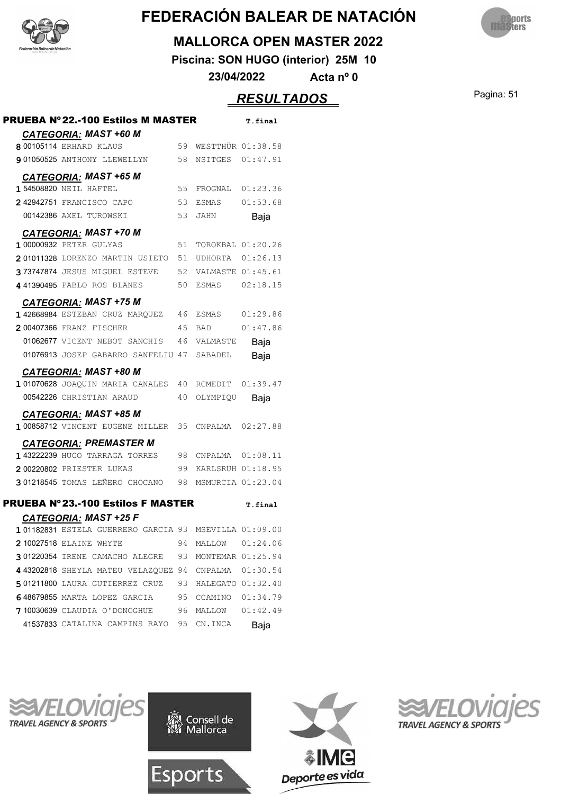![](_page_50_Picture_0.jpeg)

![](_page_50_Picture_2.jpeg)

#### **MALLORCA OPEN MASTER 2022**

**Piscina: SON HUGO (interior) 25M 10**

**23/04/2022 Acta nº 0**

### Pagina: 51 *RESULTADOS*

| PRUEBA Nº22.-100 Estilos M MASTER                                                                    |    |                      | T.final  |
|------------------------------------------------------------------------------------------------------|----|----------------------|----------|
| <b>CATEGORIA: MAST +60 M</b><br>8 00105114 ERHARD KLAUS                                              |    | 59 WESTTHÜR 01:38.58 |          |
| 901050525 ANTHONY LLEWELLYN                                                                          |    | 58 NSITGES 01:47.91  |          |
|                                                                                                      |    |                      |          |
| <b>CATEGORIA: MAST +65 M</b><br>1 54508820 NEIL HAFTEL                                               | 55 | FROGNAL 01:23.36     |          |
| 242942751 FRANCISCO CAPO                                                                             | 53 | ESMAS                | 01:53.68 |
| 00142386 AXEL TUROWSKI                                                                               | 53 | JAHN                 | Baja     |
|                                                                                                      |    |                      |          |
| <b>CATEGORIA: MAST +70 M</b><br>1 00000932 PETER GULYAS                                              | 51 | TOROKBAL 01:20.26    |          |
| 201011328 LORENZO MARTIN USIETO                                                                      | 51 | UDHORTA 01:26.13     |          |
| 373747874 JESUS MIGUEL ESTEVE                                                                        |    | 52 VALMASTE 01:45.61 |          |
| 441390495 PABLO ROS BLANES                                                                           | 50 | ESMAS 02:18.15       |          |
|                                                                                                      |    |                      |          |
| <b>CATEGORIA: MAST +75 M</b><br>142668984 ESTEBAN CRUZ MARQUEZ                                       | 46 | ESMAS 01:29.86       |          |
| 200407366 FRANZ FISCHER                                                                              | 45 | <b>BAD</b>           | 01:47.86 |
| 01062677 VICENT NEBOT SANCHIS                                                                        | 46 | VALMASTE             | Baja     |
| 01076913 JOSEP GABARRO SANFELIU 47                                                                   |    | SABADEL              | Baja     |
| <b>CATEGORIA: MAST +80 M</b>                                                                         |    |                      |          |
| 101070628 JOAQUIN MARIA CANALES                                                                      |    | 40 RCMEDIT           | 01:39.47 |
| 00542226 CHRISTIAN ARAUD                                                                             | 40 | OLYMPIOU             | Baja     |
| <b>CATEGORIA: MAST +85 M</b>                                                                         |    |                      |          |
| 1 00858712 VINCENT EUGENE MILLER                                                                     |    | 35 CNPALMA           | 02:27.88 |
| <b>CATEGORIA: PREMASTER M</b>                                                                        |    |                      |          |
| 143222239 HUGO TARRAGA TORRES                                                                        |    | 98 CNPALMA 01:08.11  |          |
| 200220802 PRIESTER LUKAS                                                                             |    | 99 KARLSRUH 01:18.95 |          |
| 301218545 TOMAS LEÑERO CHOCANO 98                                                                    |    | MSMURCIA 01:23.04    |          |
|                                                                                                      |    |                      |          |
| PRUEBA Nº23.-100 Estilos F MASTER                                                                    |    |                      | T.final  |
|                                                                                                      |    |                      |          |
| <b>CATEGORIA: MAST +25 F</b>                                                                         |    |                      |          |
| 101182831 ESTELA GUERRERO GARCIA 93 MSEVILLA 01:09.00                                                |    |                      |          |
| 210027518 ELAINE WHYTE                                                                               |    | 94 MALLOW 01:24.06   |          |
| 301220354 IRENE CAMACHO ALEGRE 93 MONTEMAR 01:25.94                                                  |    |                      |          |
| 4 43202818 SHEYLA MATEU VELAZQUEZ 94 CNPALMA 01:30.54                                                |    |                      |          |
| 501211800 LAURA GUTIERREZ CRUZ 93 HALEGATO 01:32.40                                                  |    |                      |          |
| 648679855 MARTA LOPEZ GARCIA 95 CCAMINO 01:34.79<br>7 10030639 CLAUDIA O'DONOGHUE 96 MALLOW 01:42.49 |    |                      |          |

![](_page_50_Picture_9.jpeg)

![](_page_50_Picture_10.jpeg)

![](_page_50_Picture_11.jpeg)

![](_page_50_Picture_12.jpeg)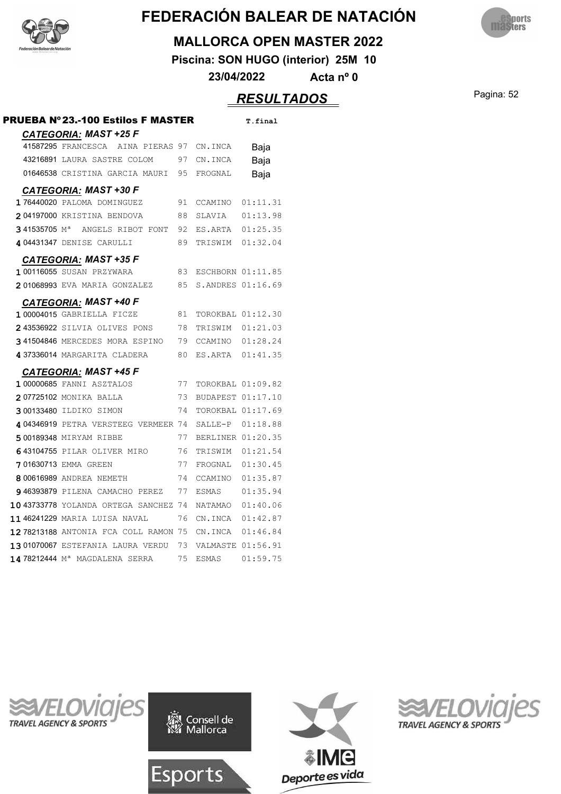![](_page_51_Picture_0.jpeg)

![](_page_51_Picture_2.jpeg)

#### **MALLORCA OPEN MASTER 2022**

**Piscina: SON HUGO (interior) 25M 10**

**23/04/2022 Acta nº 0**

### Pagina: 52 *RESULTADOS*

| <b>PRUEBA Nº 23.-100 Estilos F MASTER</b>  |    |                   | T.final  |
|--------------------------------------------|----|-------------------|----------|
| <b>CATEGORIA: MAST +25 F</b>               |    |                   |          |
| 41587295 FRANCESCA<br>AINA PIERAS 97       |    | CN.INCA           | Baja     |
| 43216891 LAURA SASTRE COLOM                | 97 | CN.INCA           | Baja     |
| 01646538 CRISTINA GARCIA MAURI             | 95 | FROGNAL           | Baja     |
| <b>CATEGORIA: MAST +30 F</b>               |    |                   |          |
| 176440020 PALOMA DOMINGUEZ                 | 91 | CCAMINO           | 01:11.31 |
| 204197000 KRISTINA BENDOVA                 | 88 | SLAVIA            | 01:13.98 |
| 341535705 M <sup>a</sup> ANGELS RIBOT FONT | 92 | ES.ARTA           | 01:25.35 |
| 404431347 DENISE CARULLI                   | 89 | TRISWIM 01:32.04  |          |
| <b>CATEGORIA: MAST +35 F</b>               |    |                   |          |
| 1 00116055 SUSAN PRZYWARA                  | 83 | ESCHBORN 01:11.85 |          |
| 201068993 EVA MARIA GONZALEZ               | 85 | S.ANDRES 01:16.69 |          |
| <b>CATEGORIA: MAST +40 F</b>               |    |                   |          |
| $1\,00004015$ GABRIELLA FICZE              | 81 | TOROKBAL 01:12.30 |          |
| 243536922 SILVIA OLIVES PONS               | 78 | TRISWIM           | 01:21.03 |
| 341504846 MERCEDES MORA ESPINO             | 79 | CCAMINO 01:28.24  |          |
| 437336014 MARGARITA CLADERA                | 80 | ES.ARTA 01:41.35  |          |
| <b>CATEGORIA: MAST +45 F</b>               |    |                   |          |
| <b>1 00000685 FANNI ASZTALOS</b>           | 77 | TOROKBAL 01:09.82 |          |
| 207725102 MONIKA BALLA                     | 73 | BUDAPEST 01:17.10 |          |
| 300133480 ILDIKO SIMON                     | 74 | TOROKBAL 01:17.69 |          |
| 404346919 PETRA VERSTEEG VERMEER 74        |    | SALLE-P 01:18.88  |          |
| 500189348 MIRYAM RIBBE                     | 77 | BERLINER 01:20.35 |          |
| 643104755 PILAR OLIVER MIRO                | 76 | TRISWIM 01:21.54  |          |
| 701630713 EMMA GREEN                       | 77 | FROGNAL 01:30.45  |          |
| 8 00616989 ANDREA NEMETH                   | 74 | CCAMINO           | 01:35.87 |
| 946393879 PILENA CAMACHO PEREZ             | 77 | <b>ESMAS</b>      | 01:35.94 |
| 10 43733778 YOLANDA ORTEGA SANCHEZ 74      |    | NATAMAO           | 01:40.06 |
| 1146241229 MARIA LUISA NAVAL               | 76 | CN.INCA           | 01:42.87 |
| 12 78213188 ANTONIA FCA COLL RAMON 75      |    | CN.INCA           | 01:46.84 |
| 1301070067 ESTEFANIA LAURA VERDU           | 73 | VALMASTE 01:56.91 |          |
| 14 78212444 M <sup>a</sup> MAGDALENA SERRA | 75 | <b>ESMAS</b>      | 01:59.75 |

![](_page_51_Picture_9.jpeg)

![](_page_51_Picture_10.jpeg)

![](_page_51_Picture_11.jpeg)

![](_page_51_Picture_12.jpeg)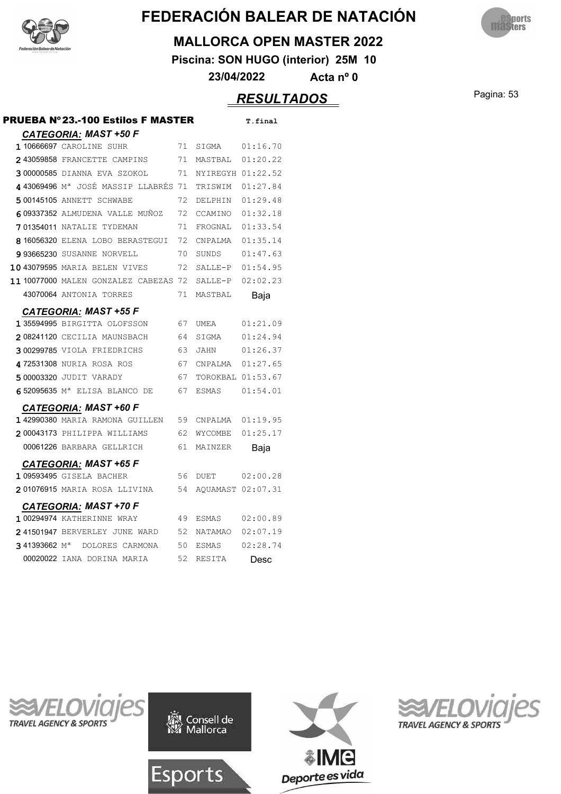![](_page_52_Picture_0.jpeg)

![](_page_52_Picture_2.jpeg)

#### **MALLORCA OPEN MASTER 2022**

**Piscina: SON HUGO (interior) 25M 10**

**23/04/2022 Acta nº 0**

### Pagina: 53 *RESULTADOS*

| <b>PRUEBA Nº23.-100 Estilos F MASTER</b>    |    |                   | T.final  |
|---------------------------------------------|----|-------------------|----------|
| <b>CATEGORIA: MAST +50 F</b>                |    |                   |          |
| 1 10666697 CAROLINE SUHR                    | 71 | SIGMA             | 01:16.70 |
| 243059858 FRANCETTE CAMPINS                 | 71 | MASTBAL           | 01:20.22 |
| 300000585 DIANNA EVA SZOKOL                 | 71 | NYIREGYH 01:22.52 |          |
| 443069496 Mª JOSÉ MASSIP LLABRÉS 71         |    | TRISWIM           | 01:27.84 |
| 500145105 ANNETT SCHWABE                    | 72 | DELPHIN           | 01:29.48 |
| 609337352 ALMUDENA VALLE MUÑOZ              | 72 | CCAMINO           | 01:32.18 |
| 701354011 NATALIE TYDEMAN                   | 71 | FROGNAL           | 01:33.54 |
| 816056320 ELENA LOBO BERASTEGUI             | 72 | CNPALMA           | 01:35.14 |
| 993665230 SUSANNE NORVELL                   | 70 | SUNDS             | 01:47.63 |
| 10 43079595 MARIA BELEN VIVES               | 72 | SALLE-P           | 01:54.95 |
| 11 10077000 MALEN GONZALEZ CABEZAS 72       |    | SALLE-P           | 02:02.23 |
| 43070064 ANTONIA TORRES                     | 71 | MASTBAL           | Baja     |
| <b>CATEGORIA: MAST +55 F</b>                |    |                   |          |
| 1 35594995 BIRGITTA OLOFSSON                | 67 | UMEA              | 01:21.09 |
| 208241120 CECILIA MAUNSBACH 64              |    | SIGMA             | 01:24.94 |
| 300299785 VIOLA FRIEDRICHS                  | 63 | JAHN              | 01:26.37 |
| 472531308 NURIA ROSA ROS                    | 67 | CNPALMA           | 01:27.65 |
| 5 00003320 JUDIT VARADY                     | 67 | TOROKBAL 01:53.67 |          |
| 652095635 M <sup>a</sup> ELISA BLANCO DE    | 67 | ESMAS             | 01:54.01 |
| <b>CATEGORIA: MAST +60 F</b>                |    |                   |          |
| 142990380 MARIA RAMONA GUILLEN              | 59 | CNPALMA           | 01:19.95 |
| 200043173 PHILIPPA WILLIAMS                 | 62 | WYCOMBE           | 01:25.17 |
| 00061226 BARBARA GELLRICH                   | 61 | MAINZER           | Baja     |
| <b>CATEGORIA: MAST +65 F</b>                |    |                   |          |
| 1 09593495 GISELA BACHER                    | 56 | DUET              | 02:00.28 |
| <b>201076915</b> MARIA ROSA LLIVINA         | 54 | AQUAMAST 02:07.31 |          |
| CATEGORIA: MAST +70 F                       |    |                   |          |
| <b>1 00294974 KATHERINNE WRAY</b>           | 49 | ESMAS             | 02:00.89 |
| 241501947 BERVERLEY JUNE WARD               | 52 | NATAMAO           | 02:07.19 |
| 341393662 M <sup>a</sup><br>DOLORES CARMONA | 50 | ESMAS             | 02:28.74 |
| 00020022 IANA DORINA MARIA                  | 52 | RESITA            | Desc     |
|                                             |    |                   |          |

![](_page_52_Picture_9.jpeg)

![](_page_52_Picture_10.jpeg)

![](_page_52_Picture_11.jpeg)

![](_page_52_Picture_12.jpeg)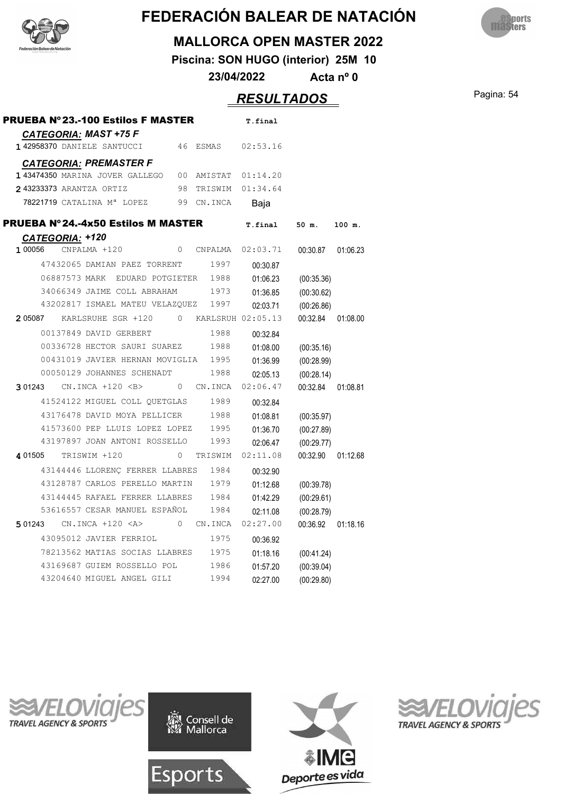![](_page_53_Picture_0.jpeg)

![](_page_53_Picture_2.jpeg)

#### **MALLORCA OPEN MASTER 2022**

**Piscina: SON HUGO (interior) 25M 10**

**23/04/2022 Acta nº 0**

### Pagina: 54 *RESULTADOS*

| <b>PRUEBA Nº 23.-100 Estilos F MASTER</b>  |               |                                                            |                  |          |                   | T.final  |          |            |          |
|--------------------------------------------|---------------|------------------------------------------------------------|------------------|----------|-------------------|----------|----------|------------|----------|
|                                            |               | <b>CATEGORIA: MAST +75 F</b><br>142958370 DANIELE SANTUCCI |                  | 46       | <b>ESMAS</b>      | 02:53.16 |          |            |          |
|                                            |               | <b>CATEGORIA: PREMASTER F</b>                              |                  |          |                   |          |          |            |          |
|                                            |               | 143474350 MARINA JOVER GALLEGO                             |                  | 00       | AMISTAT           | 01:14.20 |          |            |          |
|                                            |               | 243233373 ARANTZA ORTIZ                                    |                  | 98       | TRISWIM           | 01:34.64 |          |            |          |
|                                            |               | 78221719 CATALINA Mª LOPEZ                                 |                  | 99       | CN.INCA           | Baja     |          |            |          |
| <b>PRUEBA Nº 24.-4x50 Estilos M MASTER</b> |               |                                                            |                  |          |                   | T.final  |          | 50 m.      | 100 m.   |
| CATEGORIA: +120                            |               |                                                            |                  |          |                   |          |          |            |          |
| 1 00056                                    |               | CNPALMA +120                                               |                  | $\Omega$ | CNPALMA           | 02:03.71 |          | 00:30.87   | 01:06.23 |
|                                            |               | 47432065 DAMIAN PAEZ TORRENT                               |                  |          | 1997              |          | 00:30.87 |            |          |
|                                            | 06887573 MARK |                                                            | EDUARD POTGIETER |          | 1988              |          | 01:06.23 | (00:35.36) |          |
|                                            |               | 34066349 JAIME COLL ABRAHAM                                |                  |          | 1973              |          | 01:36.85 | (00:30.62) |          |
|                                            |               | 43202817 ISMAEL MATEU VELAZOUEZ                            |                  |          | 1997              |          | 02:03.71 | (00:26.86) |          |
| 2 05087                                    |               | KARLSRUHE SGR +120                                         |                  | 0        | KARLSRUH 02:05.13 |          |          | 00:32.84   | 01:08.00 |
|                                            |               | 00137849 DAVID GERBERT                                     |                  |          | 1988              |          | 00:32.84 |            |          |
|                                            |               | 00336728 HECTOR SAURI SUAREZ                               |                  |          | 1988              |          | 01:08.00 | (00:35.16) |          |
|                                            |               | 00431019 JAVIER HERNAN MOVIGLIA                            |                  |          | 1995              |          | 01:36.99 | (00:28.99) |          |
|                                            |               | 00050129 JOHANNES SCHENADT                                 |                  |          | 1988              |          | 02:05.13 | (00:28.14) |          |
| 3 01243                                    |               | $CN.INCA + 120 < B>$                                       |                  | $\Omega$ | CN.INCA           | 02:06.47 |          | 00:32.84   | 01:08.81 |
|                                            |               | 41524122 MIGUEL COLL QUETGLAS                              |                  |          | 1989              |          | 00:32.84 |            |          |
|                                            |               | 43176478 DAVID MOYA PELLICER                               |                  |          | 1988              |          | 01:08.81 | (00:35.97) |          |
|                                            |               | 41573600 PEP LLUIS LOPEZ LOPEZ                             |                  |          | 1995              |          | 01:36.70 | (00:27.89) |          |
|                                            |               | 43197897 JOAN ANTONI ROSSELLO                              |                  |          | 1993              |          | 02:06.47 | (00:29.77) |          |
| 4 01505                                    |               | TRISWIM +120                                               |                  | $\circ$  | TRISWIM           | 02:11.08 |          | 00:32.90   | 01:12.68 |
|                                            |               | 43144446 LLORENC FERRER LLABRES                            |                  |          | 1984              |          | 00:32.90 |            |          |
|                                            |               | 43128787 CARLOS PERELLO MARTIN                             |                  |          | 1979              |          | 01:12.68 | (00:39.78) |          |
|                                            |               | 43144445 RAFAEL FERRER LLABRES                             |                  |          | 1984              |          | 01:42.29 | (00:29.61) |          |
|                                            |               | 53616557 CESAR MANUEL ESPAÑOL                              |                  |          | 1984              |          | 02:11.08 | (00:28.79) |          |
| 5 01243                                    |               | $CN. INCA +120 < A>$                                       |                  | 0        | CN.INCA           | 02:27.00 |          | 00:36.92   | 01:18.16 |
|                                            |               | 43095012 JAVIER FERRIOL                                    |                  |          | 1975              |          | 00:36.92 |            |          |
|                                            |               | 78213562 MATIAS SOCIAS LLABRES                             |                  |          | 1975              |          | 01:18.16 | (00:41.24) |          |
|                                            |               | 43169687 GUIEM ROSSELLO POL                                |                  |          | 1986              |          | 01:57.20 | (00:39.04) |          |
|                                            |               | 43204640 MIGUEL ANGEL GILI                                 |                  |          | 1994              |          | 02:27.00 | (00:29.80) |          |
|                                            |               |                                                            |                  |          |                   |          |          |            |          |

![](_page_53_Picture_9.jpeg)

![](_page_53_Picture_10.jpeg)

![](_page_53_Picture_11.jpeg)

![](_page_53_Picture_12.jpeg)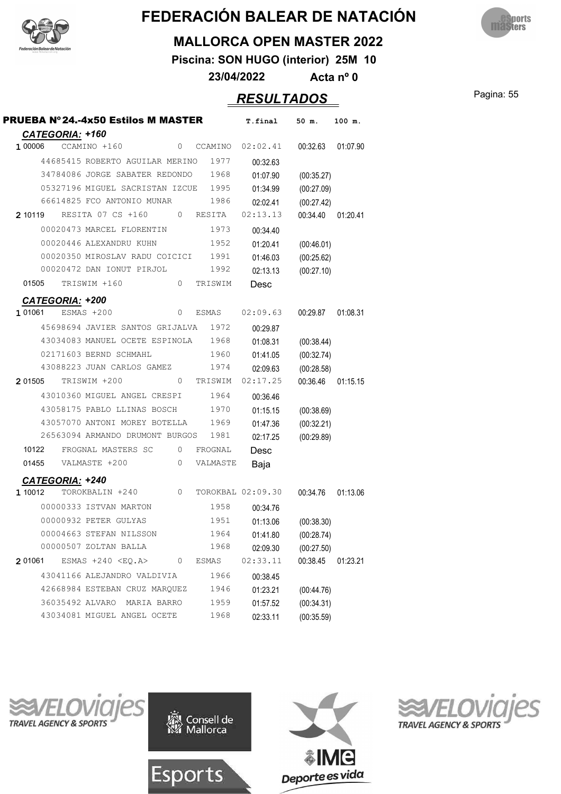![](_page_54_Picture_0.jpeg)

![](_page_54_Picture_2.jpeg)

#### **MALLORCA OPEN MASTER 2022**

**Piscina: SON HUGO (interior) 25M 10**

**23/04/2022 Acta nº 0**

### Pagina: 55 *RESULTADOS*

|                                   | PRUEBA Nº24.-4x50 Estilos M MASTER  |          |          | T.final           | 50 m.                    | 100 m.   |
|-----------------------------------|-------------------------------------|----------|----------|-------------------|--------------------------|----------|
| CATEGORIA: +160<br>1 00006        | CCAMINO +160                        | 0        | CCAMINO  | 02:02.41          | 00:32.63                 | 01:07.90 |
|                                   | 44685415 ROBERTO AGUILAR MERINO     |          | 1977     | 00:32.63          |                          |          |
|                                   | 34784086 JORGE SABATER REDONDO      |          | 1968     | 01:07.90          | (00:35.27)               |          |
|                                   | 05327196 MIGUEL SACRISTAN IZCUE     |          | 1995     | 01:34.99          | (00:27.09)               |          |
|                                   | 66614825 FCO ANTONIO MUNAR          |          | 1986     | 02:02.41          | (00:27.42)               |          |
| 2 10119                           | RESITA 07 CS +160                   | 0        | RESITA   | 02:13.13          | 00:34.40                 | 01:20.41 |
|                                   | 00020473 MARCEL FLORENTIN           |          | 1973     | 00:34.40          |                          |          |
|                                   | 00020446 ALEXANDRU KUHN             |          | 1952     | 01:20.41          | (00:46.01)               |          |
|                                   | 00020350 MIROSLAV RADU COICICI 1991 |          |          | 01:46.03          | (00:25.62)               |          |
|                                   | 00020472 DAN IONUT PIRJOL           |          | 1992     | 02:13.13          | (00:27.10)               |          |
| 01505                             | TRISWIM +160                        | 0        | TRISWIM  | Desc              |                          |          |
|                                   |                                     |          |          |                   |                          |          |
| <b>CATEGORIA: +200</b><br>1 01061 | $ESMAS + 200$                       | 0        | ESMAS    | 02:09.63          | 00:29.87                 | 01:08.31 |
|                                   | 45698694 JAVIER SANTOS GRIJALVA     |          | 1972     | 00:29.87          |                          |          |
|                                   | 43034083 MANUEL OCETE ESPINOLA      |          | 1968     | 01:08.31          | (00:38.44)               |          |
|                                   | 02171603 BERND SCHMAHL              |          | 1960     | 01:41.05          | (00:32.74)               |          |
|                                   | 43088223 JUAN CARLOS GAMEZ          |          | 1974     | 02:09.63          | (00:28.58)               |          |
| 2 01505                           | TRISWIM +200                        | $\Omega$ | TRISWIM  | 02:17.25          | 00:36.46                 | 01:15.15 |
|                                   | 43010360 MIGUEL ANGEL CRESPI        |          | 1964     | 00:36.46          |                          |          |
|                                   | 43058175 PABLO LLINAS BOSCH         |          | 1970     | 01:15.15          |                          |          |
|                                   | 43057070 ANTONI MOREY BOTELLA       |          | 1969     | 01:47.36          | (00:38.69)               |          |
|                                   | 26563094 ARMANDO DRUMONT BURGOS     |          | 1981     | 02:17.25          | (00:32.21)<br>(00:29.89) |          |
| 10122                             | FROGNAL MASTERS SC                  | 0        | FROGNAL  | Desc              |                          |          |
| 01455                             | VALMASTE +200                       | 0        | VALMASTE | Baja              |                          |          |
|                                   |                                     |          |          |                   |                          |          |
| <b>CATEGORIA: +240</b><br>1 10012 | TOROKBALIN +240                     | $\circ$  |          | TOROKBAL 02:09.30 | 00:34.76                 | 01:13.06 |
|                                   | 00000333 ISTVAN MARTON              |          | 1958     | 00:34.76          |                          |          |
|                                   | 00000932 PETER GULYAS               |          | 1951     | 01:13.06          |                          |          |
|                                   | 00004663 STEFAN NILSSON             |          | 1964     | 01:41.80          | (00:38.30)               |          |
|                                   | 00000507 ZOLTAN BALLA               |          | 1968     | 02:09.30          | (00:28.74)<br>(00:27.50) |          |
| 2 01061                           | $ESMAS + 240 < EQ.A$                | 0        | ESMAS    | 02:33.11          | 00:38.45                 | 01:23.21 |
|                                   | 43041166 ALEJANDRO VALDIVIA         |          | 1966     |                   |                          |          |
|                                   | 42668984 ESTEBAN CRUZ MARQUEZ       |          | 1946     | 00:38.45          |                          |          |
|                                   | 36035492 ALVARO<br>MARIA BARRO      |          | 1959     | 01:23.21          | (00:44.76)               |          |
|                                   |                                     |          |          | 01:57.52          | (00:34.31)               |          |
|                                   | 43034081 MIGUEL ANGEL OCETE         |          | 1968     | 02:33.11          | (00:35.59)               |          |

![](_page_54_Picture_10.jpeg)

![](_page_54_Picture_11.jpeg)

![](_page_54_Picture_12.jpeg)

![](_page_54_Picture_13.jpeg)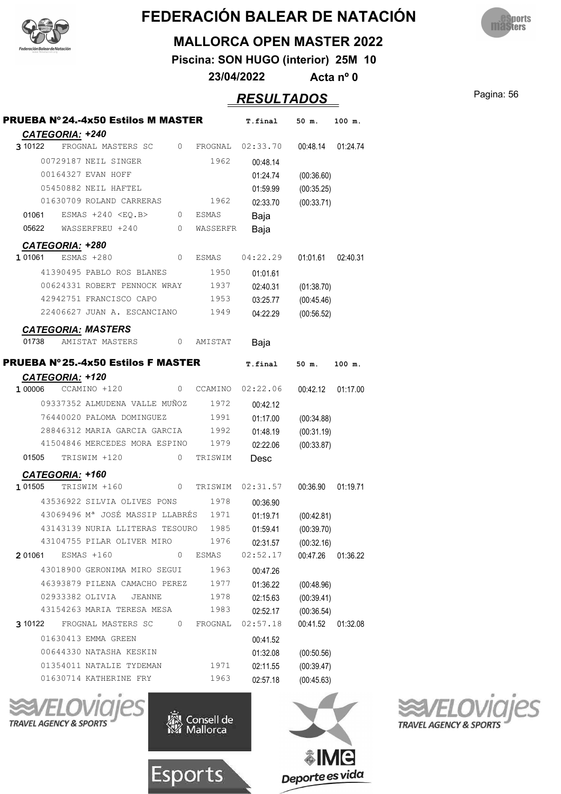![](_page_55_Picture_0.jpeg)

![](_page_55_Picture_2.jpeg)

#### **MALLORCA OPEN MASTER 2022**

**Piscina: SON HUGO (interior) 25M 10**

**23/04/2022 Acta nº 0**

### Pagina: 56 *RESULTADOS*

|                               |                 | <b>PRUEBA Nº24.-4x50 Estilos M MASTER</b>                     |                |              | T.final              | 50 m.                    | 100 m.                           |
|-------------------------------|-----------------|---------------------------------------------------------------|----------------|--------------|----------------------|--------------------------|----------------------------------|
| 3 10122                       | CATEGORIA: +240 | FROGNAL MASTERS SC                                            |                | 0 FROGNAL    | 02:33.70             | 00:48.14 01:24.74        |                                  |
|                               |                 | 00729187 NEIL SINGER                                          |                | 1962         |                      |                          |                                  |
|                               |                 |                                                               |                |              | 00:48.14             |                          |                                  |
|                               |                 | 00164327 EVAN HOFF                                            |                |              | 01:24.74             | (00:36.60)               |                                  |
|                               |                 | 05450882 NEIL HAFTEL                                          |                |              | 01:59.99             | (00:35.25)               |                                  |
|                               |                 | 01630709 ROLAND CARRERAS                                      |                | 1962         | 02:33.70             | (00:33.71)               |                                  |
| 01061                         |                 | $ESMAS + 240 < EO.B>$                                         |                | 0 ESMAS      | Baja                 |                          |                                  |
|                               |                 | 05622 WASSERFREU +240 0 WASSERFR                              |                |              | Baja                 |                          |                                  |
|                               | CATEGORIA: +280 |                                                               |                |              |                      |                          |                                  |
| 1 01061                       |                 | ESMAS +280                                                    | $\overline{0}$ | ESMAS        | 04:22.29             | 01:01.61                 | 02:40.31                         |
|                               |                 | 41390495 PABLO ROS BLANES                                     |                | 1950         | 01:01.61             |                          |                                  |
|                               |                 | 00624331 ROBERT PENNOCK WRAY 1937                             |                |              | 02:40.31             | (01:38.70)               |                                  |
|                               |                 | 42942751 FRANCISCO CAPO                                       |                | 1953         | 03:25.77             | (00:45.46)               |                                  |
|                               |                 | 22406627 JUAN A. ESCANCIANO 1949                              |                |              | 04:22.29             | (00:56.52)               |                                  |
|                               |                 | <b>CATEGORIA: MASTERS</b>                                     |                |              |                      |                          |                                  |
| 01738                         |                 | AMISTAT MASTERS                                               |                | 0 AMISTAT    | Baja                 |                          |                                  |
|                               |                 |                                                               |                |              |                      |                          |                                  |
|                               |                 | <b>PRUEBA Nº 25.-4x50 Estilos F MASTER</b>                    |                |              | T.final              | 50 m.                    | 100 m.                           |
|                               | CATEGORIA: +120 |                                                               |                |              |                      |                          |                                  |
|                               |                 | 1 00006 CCAMINO +120                                          |                | 0 CCAMINO    | 02:22.06             | 00:42.12                 | 01:17.00                         |
|                               |                 | 09337352 ALMUDENA VALLE MUÑOZ                                 |                | 1972         | 00:42.12             |                          |                                  |
|                               |                 | 76440020 PALOMA DOMINGUEZ                                     |                | 1991         | 01:17.00             | (00:34.88)               |                                  |
|                               |                 |                                                               |                |              |                      |                          |                                  |
|                               |                 | 28846312 MARIA GARCIA GARCIA                                  |                | 1992         | 01:48.19             | (00:31.19)               |                                  |
|                               |                 | 41504846 MERCEDES MORA ESPINO 1979                            |                |              | 02:22.06             | (00:33.87)               |                                  |
|                               |                 | 01505 TRISWIM +120                                            | $\mathbf{0}$   | TRISWIM      | Desc                 |                          |                                  |
|                               | CATEGORIA: +160 |                                                               |                |              |                      |                          |                                  |
|                               |                 | TRISWIM +160                                                  |                | 0 TRISWIM    | 02:31.57             | 00:36.90                 |                                  |
|                               |                 | 43536922 SILVIA OLIVES PONS                                   |                | 1978         | 00:36.90             |                          |                                  |
|                               |                 | 43069496 Mª JOSÉ MASSIP LLABRÉS 1971                          |                |              | 01:19.71             | (00:42.81)               |                                  |
|                               |                 | 43143139 NURIA LLITERAS TESOURO 1985                          |                |              |                      |                          |                                  |
|                               |                 | 43104755 PILAR OLIVER MIRO                                    |                | 1976         | 01:59.41             | (00:39.70)               |                                  |
|                               |                 | ESMAS +160                                                    | 0              | ESMAS        | 02:31.57<br>02:52.17 | (00:32.16)<br>00:47.26   |                                  |
|                               |                 |                                                               |                | 1963         |                      |                          |                                  |
|                               |                 | 43018900 GERONIMA MIRO SEGUI<br>46393879 PILENA CAMACHO PEREZ |                |              | 00:47.26             |                          |                                  |
|                               |                 | 02933382 OLIVIA<br>JEANNE                                     |                | 1977         | 01:36.22             | (00:48.96)               |                                  |
|                               |                 | 43154263 MARIA TERESA MESA                                    |                | 1978         | 02:15.63             | (00:39.41)               |                                  |
|                               |                 |                                                               |                | 1983         | 02:52.17             | (00:36.54)               |                                  |
|                               |                 | FROGNAL MASTERS SC                                            | 0              | FROGNAL      | 02:57.18             | 00:41.52                 |                                  |
|                               |                 | 01630413 EMMA GREEN                                           |                |              | 00:41.52             |                          |                                  |
|                               |                 | 00644330 NATASHA KESKIN                                       |                |              | 01:32.08             | (00:50.56)               | 01:19.71<br>01:36.22<br>01:32.08 |
| 1 01505<br>2 01061<br>3 10122 |                 | 01354011 NATALIE TYDEMAN<br>01630714 KATHERINE FRY            |                | 1971<br>1963 | 02:11.55<br>02:57.18 | (00:39.47)<br>(00:45.63) |                                  |

![](_page_55_Picture_9.jpeg)

![](_page_55_Picture_10.jpeg)

Esports

![](_page_55_Picture_11.jpeg)

![](_page_55_Picture_12.jpeg)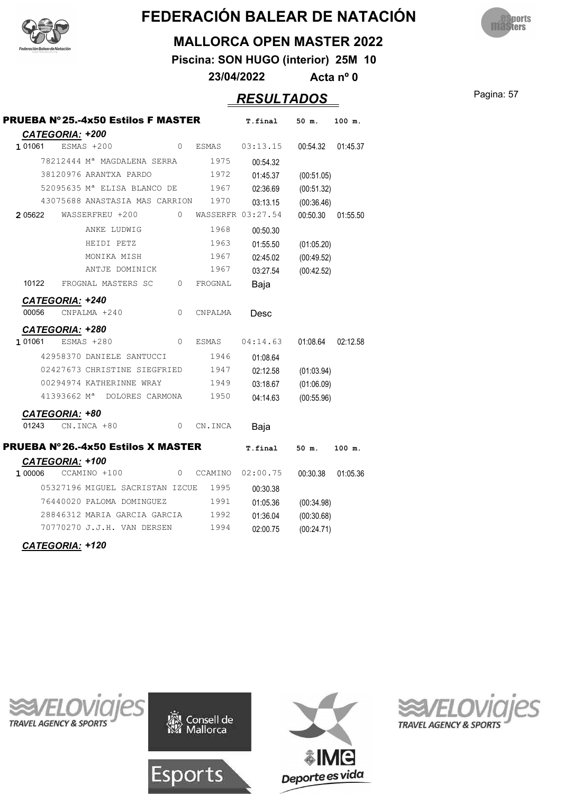![](_page_56_Picture_0.jpeg)

![](_page_56_Picture_2.jpeg)

#### **MALLORCA OPEN MASTER 2022**

**Piscina: SON HUGO (interior) 25M 10**

**23/04/2022 Acta nº 0**

**Pagina: 57** 

| <b>ESULTADOS</b> |  |
|------------------|--|
|                  |  |

|         |                        | PRUEBA Nº25.-4x50 Estilos F MASTER           |          |                     | T.final  | 50 m.      | 100 m.   |
|---------|------------------------|----------------------------------------------|----------|---------------------|----------|------------|----------|
|         | <b>CATEGORIA: +200</b> |                                              |          |                     |          |            |          |
| 1 01061 |                        | $ESMAS + 200$                                | $\Omega$ | ESMAS               | 03:13.15 | 00:54.32   | 01:45.37 |
|         |                        | 78212444 Mª MAGDALENA SERRA                  |          | 1975                | 00:54.32 |            |          |
|         |                        | 38120976 ARANTXA PARDO                       |          | 1972                | 01:45.37 | (00:51.05) |          |
|         |                        | 52095635 M <sup>ª</sup> ELISA BLANCO DE 1967 |          |                     | 02:36.69 | (00:51.32) |          |
|         |                        | 43075688 ANASTASIA MAS CARRION               |          | 1970                | 03:13.15 | (00:36.46) |          |
| 2 05622 |                        | WASSERFREU +200                              |          | 0 WASSERFR 03:27.54 |          | 00:50.30   | 01:55.50 |
|         |                        | ANKE LUDWIG                                  |          | 1968                | 00:50.30 |            |          |
|         |                        | HEIDI PETZ                                   |          | 1963                | 01:55.50 | (01:05.20) |          |
|         |                        | MONIKA MISH                                  |          | 1967                | 02:45.02 | (00:49.52) |          |
|         |                        | ANTJE DOMINICK                               |          | 1967                | 03:27.54 | (00:42.52) |          |
| 10122   |                        | FROGNAL MASTERS SC 0                         |          | FROGNAL             | Baja     |            |          |
|         |                        |                                              |          |                     |          |            |          |
| 00056   | <b>CATEGORIA: +240</b> | CNPALMA +240                                 | $\circ$  | CNPALMA             | Desc     |            |          |
|         |                        |                                              |          |                     |          |            |          |
| 1 01061 | CATEGORIA: +280        |                                              | $\Omega$ |                     |          |            |          |
|         |                        | ESMAS +280                                   |          | ESMAS               | 04:14.63 | 01:08.64   | 02:12.58 |
|         |                        | 42958370 DANIELE SANTUCCI                    |          | 1946                | 01:08.64 |            |          |
|         |                        | 02427673 CHRISTINE SIEGFRIED                 |          | 1947                | 02:12.58 | (01:03.94) |          |
|         |                        | 00294974 KATHERINNE WRAY                     |          | 1949                | 03:18.67 | (01:06.09) |          |
|         |                        | 41393662 M <sup>ª</sup> DOLORES CARMONA      |          | 1950                | 04:14.63 | (00:55.96) |          |
|         | CATEGORIA: +80         |                                              |          |                     |          |            |          |
| 01243   |                        | CN.INCA +80                                  | 0        | CN.INCA             | Baja     |            |          |
|         |                        | <b>PRUEBA Nº26.-4x50 Estilos X MASTER</b>    |          |                     | T.final  | 50 m.      | 100 m.   |
|         | CATEGORIA: +100        |                                              |          |                     |          |            |          |
| 1 00006 |                        | CCAMINO +100                                 | 0        | CCAMINO             | 02:00.75 | 00:30.38   | 01:05.36 |
|         |                        | 05327196 MIGUEL SACRISTAN IZCUE 1995         |          |                     | 00:30.38 |            |          |
|         |                        | 76440020 PALOMA DOMINGUEZ                    |          | 1991                | 01:05.36 | (00:34.98) |          |
|         |                        | 28846312 MARIA GARCIA GARCIA 1992            |          |                     | 01:36.04 | (00:30.68) |          |
|         |                        | 70770270 J.J.H. VAN DERSEN                   |          | 1994                | 02:00.75 | (00:24.71) |          |
|         |                        |                                              |          |                     |          |            |          |

*CATEGORIA: +120*

![](_page_56_Picture_10.jpeg)

![](_page_56_Picture_11.jpeg)

Esports

![](_page_56_Picture_12.jpeg)

![](_page_56_Picture_13.jpeg)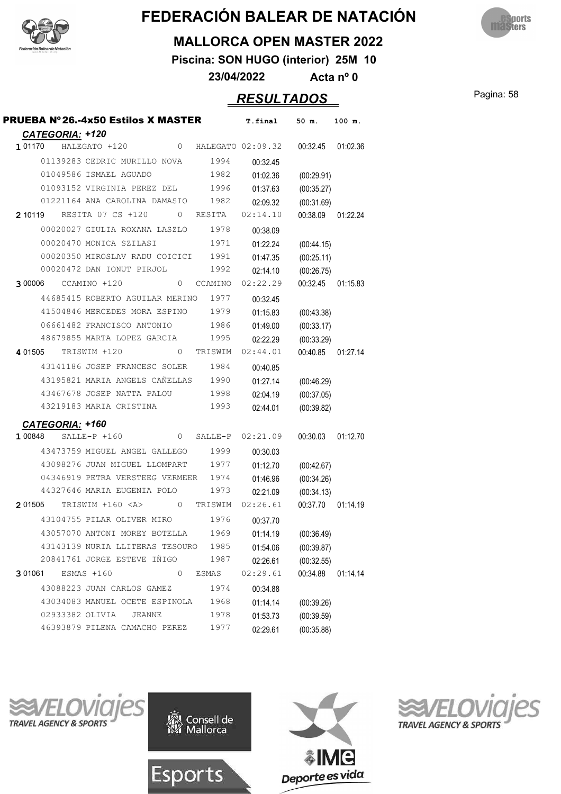![](_page_57_Picture_0.jpeg)

![](_page_57_Picture_2.jpeg)

#### **MALLORCA OPEN MASTER 2022**

**Piscina: SON HUGO (interior) 25M 10**

**23/04/2022 Acta nº 0**

Pagina: 58 *RESULTADOS*

| PRUEBA Nº26.-4x50 Estilos X MASTER                                         | T.final  | 50 m.             | 100 m.   |
|----------------------------------------------------------------------------|----------|-------------------|----------|
| <b>CATEGORIA: +120</b>                                                     |          |                   |          |
| 1 01170<br>HALEGATO +120 0 HALEGATO 02:09.32                               |          | 00:32.45          | 01:02.36 |
| 01139283 CEDRIC MURILLO NOVA<br>1994                                       | 00:32.45 |                   |          |
| 1982<br>01049586 ISMAEL AGUADO                                             | 01:02.36 | (00:29.91)        |          |
| 01093152 VIRGINIA PEREZ DEL 1996                                           | 01:37.63 | (00:35.27)        |          |
| 01221164 ANA CAROLINA DAMASIO 1982                                         | 02:09.32 | (00:31.69)        |          |
| 210119 RESITA 07 CS +120 0 RESITA                                          | 02:14.10 | 00:38.09          | 01:22.24 |
| 00020027 GIULIA ROXANA LASZLO 1978                                         | 00:38.09 |                   |          |
| 00020470 MONICA SZILASI<br>1971                                            | 01:22.24 | (00:44.15)        |          |
| 00020350 MIROSLAV RADU COICICI 1991                                        | 01:47.35 | (00:25.11)        |          |
| 00020472 DAN IONUT PIRJOL<br>1992                                          | 02:14.10 | (00:26.75)        |          |
| 300006 CCAMINO +120<br>CCAMINO<br>$\overline{0}$                           | 02:22.29 | 00:32.45          | 01:15.83 |
| 44685415 ROBERTO AGUILAR MERINO<br>1977                                    | 00:32.45 |                   |          |
| 41504846 MERCEDES MORA ESPINO<br>1979                                      | 01:15.83 | (00:43.38)        |          |
| 06661482 FRANCISCO ANTONIO<br>1986                                         | 01:49.00 | (00:33.17)        |          |
| 48679855 MARTA LOPEZ GARCIA 1995                                           | 02:22.29 | (00:33.29)        |          |
| 401505 TRISWIM +120<br>0<br>TRISWIM                                        | 02:44.01 | 00:40.85          | 01:27.14 |
| 43141186 JOSEP FRANCESC SOLER<br>1984                                      | 00:40.85 |                   |          |
| 43195821 MARIA ANGELS CAÑELLAS 1990                                        | 01:27.14 | (00:46.29)        |          |
| 1998<br>43467678 JOSEP NATTA PALOU                                         | 02:04.19 | (00:37.05)        |          |
| 43219183 MARIA CRISTINA<br>1993                                            | 02:44.01 | (00:39.82)        |          |
| CATEGORIA: +160                                                            |          |                   |          |
| $SALLE-P + 160$<br>0 SALLE-P<br>100848                                     | 02:21.09 | 00:30.03          | 01:12.70 |
| 43473759 MIGUEL ANGEL GALLEGO 1999                                         | 00:30.03 |                   |          |
| 43098276 JUAN MIGUEL LLOMPART 1977                                         | 01:12.70 | (00:42.67)        |          |
| 04346919 PETRA VERSTEEG VERMEER 1974                                       | 01:46.96 | (00:34.26)        |          |
| 44327646 MARIA EUGENIA POLO<br>1973                                        | 02:21.09 | (00:34.13)        |          |
| TRISWIM +160 <a><br/>2 01505<br/><math>\overline{0}</math><br/>TRISWIM</a> | 02:26.61 | 00:37.70 01:14.19 |          |
| 43104755 PILAR OLIVER MIRO<br>1976                                         | 00:37.70 |                   |          |
| 1969<br>43057070 ANTONI MOREY BOTELLA                                      | 01:14.19 | (00:36.49)        |          |
| 43143139 NURIA LLITERAS TESOURO 1985                                       | 01:54.06 | (00:39.87)        |          |
| 20841761 JORGE ESTEVE IÑIGO<br>1987                                        | 02:26.61 | (00:32.55)        |          |
| $\mathbf{0}$<br>3 01061<br>$ESMAS + 160$<br>ESMAS                          | 02:29.61 | 00:34.88          | 01:14.14 |
| 43088223 JUAN CARLOS GAMEZ<br>1974                                         | 00:34.88 |                   |          |
| 43034083 MANUEL OCETE ESPINOLA<br>1968                                     | 01:14.14 | (00:39.26)        |          |
| 02933382 OLIVIA<br><b>JEANNE</b><br>1978                                   | 01:53.73 | (00:39.59)        |          |
| 46393879 PILENA CAMACHO PEREZ<br>1977                                      | 02:29.61 | (00:35.88)        |          |
|                                                                            |          |                   |          |

![](_page_57_Picture_9.jpeg)

![](_page_57_Picture_10.jpeg)

![](_page_57_Picture_11.jpeg)

![](_page_57_Picture_12.jpeg)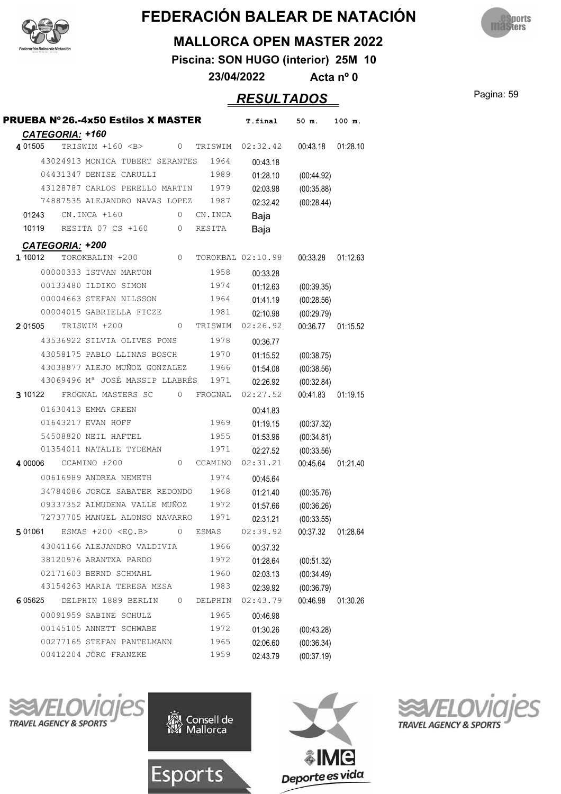![](_page_58_Picture_0.jpeg)

![](_page_58_Picture_2.jpeg)

#### **MALLORCA OPEN MASTER 2022**

**Piscina: SON HUGO (interior) 25M 10**

**23/04/2022 Acta nº 0**

Pagina: 59 *RESULTADOS*

| PRUEBA Nº26.-4x50 Estilos X MASTER                       |              | T.final           | 50 m.      | 100 m.   |
|----------------------------------------------------------|--------------|-------------------|------------|----------|
| CATEGORIA: +160<br>4 01505<br>TRISWIM +160 <b><br/>0</b> | TRISWIM      | 02:32.42          | 00:43.18   | 01:28.10 |
| 43024913 MONICA TUBERT SERANTES                          | 1964         | 00:43.18          |            |          |
| 04431347 DENISE CARULLI                                  | 1989         | 01:28.10          | (00:44.92) |          |
| 43128787 CARLOS PERELLO MARTIN                           | 1979         | 02:03.98          | (00:35.88) |          |
| 74887535 ALEJANDRO NAVAS LOPEZ                           | 1987         | 02:32.42          | (00:28.44) |          |
| 01243<br>$CN.INCA + 160$<br>0                            | CN.INCA      | Baja              |            |          |
| 10119<br>RESITA 07 CS +160<br>0                          | RESITA       | Baja              |            |          |
| <b>CATEGORIA: +200</b>                                   |              |                   |            |          |
| 1 10012<br>0<br>TOROKBALIN +200                          |              | TOROKBAL 02:10.98 | 00:33.28   | 01:12.63 |
| 00000333 ISTVAN MARTON                                   | 1958         | 00:33.28          |            |          |
| 00133480 ILDIKO SIMON                                    | 1974         | 01:12.63          | (00:39.35) |          |
| 00004663 STEFAN NILSSON                                  | 1964         | 01:41.19          | (00:28.56) |          |
| 00004015 GABRIELLA FICZE                                 | 1981         | 02:10.98          | (00:29.79) |          |
| 2 01505<br>TRISWIM +200<br>0                             | TRISWIM      | 02:26.92          | 00:36.77   | 01:15.52 |
| 43536922 SILVIA OLIVES PONS                              | 1978         | 00:36.77          |            |          |
| 43058175 PABLO LLINAS BOSCH                              | 1970         | 01:15.52          | (00:38.75) |          |
| 43038877 ALEJO MUÑOZ GONZALEZ                            | 1966         | 01:54.08          | (00:38.56) |          |
| 43069496 Mª JOSÉ MASSIP LLABRÉS                          | 1971         | 02:26.92          | (00:32.84) |          |
| 3 10122<br>FROGNAL MASTERS SC<br>0                       | FROGNAL      | 02:27.52          | 00:41.83   | 01:19.15 |
| 01630413 EMMA GREEN                                      |              | 00:41.83          |            |          |
| 01643217 EVAN HOFF                                       | 1969         | 01:19.15          | (00:37.32) |          |
| 54508820 NEIL HAFTEL                                     | 1955         | 01:53.96          | (00:34.81) |          |
| 01354011 NATALIE TYDEMAN                                 | 1971         | 02:27.52          | (00:33.56) |          |
| CCAMINO +200<br>4 00006<br>0                             | CCAMINO      | 02:31.21          | 00:45.64   | 01:21.40 |
| 00616989 ANDREA NEMETH                                   | 1974         | 00:45.64          |            |          |
| 34784086 JORGE SABATER REDONDO                           | 1968         | 01:21.40          | (00:35.76) |          |
| 09337352 ALMUDENA VALLE MUÑOZ                            | 1972         | 01:57.66          | (00:36.26) |          |
| 72737705 MANUEL ALONSO NAVARRO                           | 1971         | 02:31.21          | (00:33.55) |          |
| 5 01061<br>ESMAS $+200 < EQ.B>$<br>$\circ$               | <b>ESMAS</b> | 02:39.92          | 00:37.32   | 01:28.64 |
| 43041166 ALEJANDRO VALDIVIA                              | 1966         | 00:37.32          |            |          |
| 38120976 ARANTXA PARDO                                   | 1972         | 01:28.64          | (00:51.32) |          |
| 02171603 BERND SCHMAHL                                   | 1960         | 02:03.13          | (00:34.49) |          |
| 43154263 MARIA TERESA MESA                               | 1983         | 02:39.92          | (00:36.79) |          |
| DELPHIN 1889 BERLIN<br>$\circ$<br>6 05625                | DELPHIN      | 02:43.79          | 00:46.98   | 01:30.26 |
| 00091959 SABINE SCHULZ                                   | 1965         | 00:46.98          |            |          |
| 00145105 ANNETT SCHWABE                                  | 1972         | 01:30.26          | (00:43.28) |          |
| 00277165 STEFAN PANTELMANN                               | 1965         | 02:06.60          | (00:36.34) |          |
| 00412204 JÖRG FRANZKE                                    | 1959         | 02:43.79          | (00:37.19) |          |

**TRAVEL AGENCY & SPORTS** 

![](_page_58_Picture_10.jpeg)

![](_page_58_Picture_11.jpeg)

![](_page_58_Picture_12.jpeg)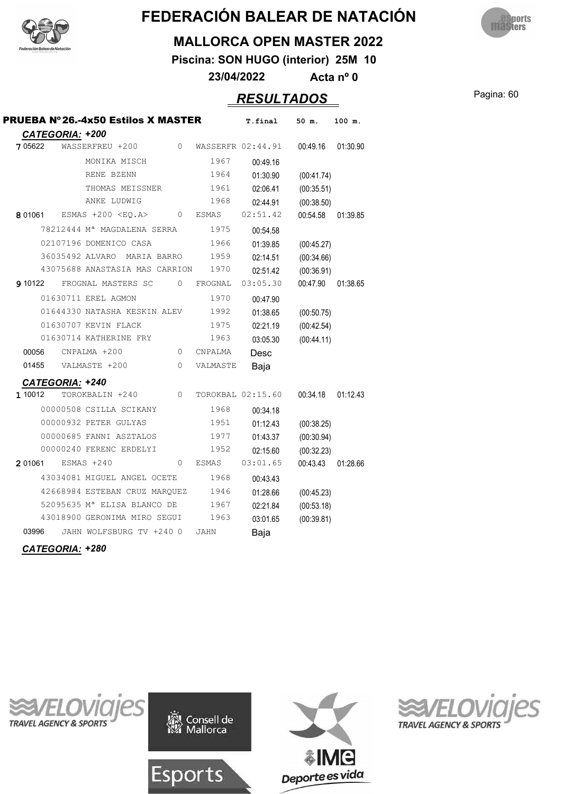![](_page_59_Picture_0.jpeg)

![](_page_59_Picture_2.jpeg)

#### **MALLORCA OPEN MASTER 2022**

**Piscina: SON HUGO (interior) 25M 10**

**23/04/2022 Acta nº 0**

#### Pagina: 60 *RESULTADOS*

| <b>PRUEBA Nº 26.-4x50 Estilos X MASTER</b>       |                         | T.final           | 50 m.      | 100 m.   |
|--------------------------------------------------|-------------------------|-------------------|------------|----------|
| <b>CATEGORIA: +200</b>                           |                         |                   |            |          |
| 7 05622<br>WASSERFREU +200                       | $\Omega$                | WASSERFR 02:44.91 | 00:49.16   | 01:30.90 |
| MONIKA MISCH                                     | 1967                    | 00:49.16          |            |          |
| RENE BZENN                                       | 1964                    | 01:30.90          | (00:41.74) |          |
| THOMAS MEISSNER                                  | 1961                    | 02:06.41          | (00:35.51) |          |
| ANKE LUDWIG                                      | 1968                    | 02:44.91          | (00:38.50) |          |
| ESMAS $+200$ <eo.a><br/>8 01061</eo.a>           | $\circ$<br><b>ESMAS</b> | 02:51.42          | 00:54.58   | 01:39.85 |
| 78212444 M <sup>a</sup> MAGDALENA SERRA          | 1975                    | 00:54.58          |            |          |
| 02107196 DOMENICO CASA                           | 1966                    | 01:39.85          | (00:45.27) |          |
| 36035492 ALVARO<br>MARIA BARRO                   | 1959                    | 02:14.51          | (00:34.66) |          |
| 43075688 ANASTASIA MAS CARRION                   | 1970                    | 02:51.42          | (00:36.91) |          |
| FROGNAL MASTERS SC<br>9 10122                    | $\mathbf{0}$<br>FROGNAL | 03:05.30          | 00:47.90   | 01:38.65 |
| 01630711 EREL AGMON                              | 1970                    | 00:47.90          |            |          |
| 01644330 NATASHA KESKIN ALEV                     | 1992                    | 01:38.65          | (00:50.75) |          |
| 01630707 KEVIN FLACK                             | 1975                    | 02:21.19          | (00:42.54) |          |
| 01630714 KATHERINE FRY                           | 1963                    | 03:05.30          | (00:44.11) |          |
| 00056<br>CNPALMA +200                            | $\circ$<br>CNPALMA      | Desc              |            |          |
| 01455<br>VALMASTE +200                           | $\Omega$<br>VALMASTE    | Baja              |            |          |
|                                                  |                         |                   |            |          |
| CATEGORIA: +240<br>1 10012<br>TOROKBALIN +240    | $\mathbf{0}$            | TOROKBAL 02:15.60 | 00:34.18   | 01:12.43 |
| 00000508 CSILLA SCIKANY                          | 1968                    |                   |            |          |
|                                                  |                         | 00:34.18          |            |          |
| 00000932 PETER GULYAS<br>00000685 FANNI ASZTALOS | 1951                    | 01:12.43          | (00:38.25) |          |
| 00000240 FERENC ERDELYI                          | 1977<br>1952            | 01:43.37          | (00:30.94) |          |
|                                                  |                         | 02:15.60          | (00:32.23) |          |
| 2 01061<br>$ESMAS + 240$                         | $\circ$<br><b>ESMAS</b> | 03:01.65          | 00:43.43   | 01:28.66 |
| 43034081 MIGUEL ANGEL OCETE                      | 1968                    | 00:43.43          |            |          |
| 42668984 ESTEBAN CRUZ MARQUEZ                    | 1946                    | 01:28.66          | (00:45.23) |          |
| 52095635 M <sup>ª</sup> ELISA BLANCO DE          | 1967                    | 02:21.84          | (00:53.18) |          |
| 43018900 GERONIMA MIRO SEGUI                     | 1963                    | 03:01.65          | (00:39.81) |          |
| 03996<br>JAHN WOLFSBURG TV +240 0                | <b>JAHN</b>             | Baja              |            |          |

*CATEGORIA: +280*

![](_page_59_Picture_10.jpeg)

![](_page_59_Picture_11.jpeg)

![](_page_59_Picture_12.jpeg)

![](_page_59_Picture_13.jpeg)